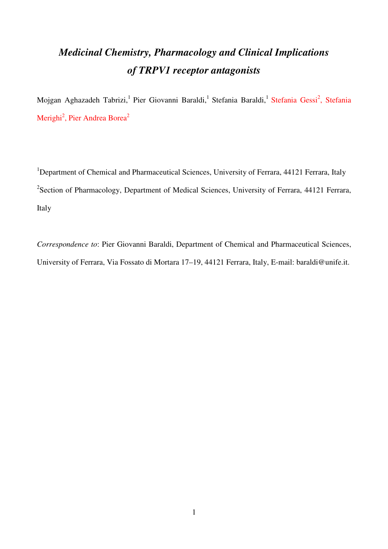# *Medicinal Chemistry, Pharmacology and Clinical Implications of TRPV1 receptor antagonists*

Mojgan Aghazadeh Tabrizi,<sup>1</sup> Pier Giovanni Baraldi,<sup>1</sup> Stefania Baraldi,<sup>1</sup> Stefania Gessi<sup>2</sup>, Stefania Merighi<sup>2</sup>, Pier Andrea Borea<sup>2</sup>

<sup>1</sup>Department of Chemical and Pharmaceutical Sciences, University of Ferrara, 44121 Ferrara, Italy <sup>2</sup>Section of Pharmacology, Department of Medical Sciences, University of Ferrara, 44121 Ferrara, Italy

*Correspondence to*: Pier Giovanni Baraldi, Department of Chemical and Pharmaceutical Sciences, University of Ferrara, Via Fossato di Mortara 17–19, 44121 Ferrara, Italy, E-mail: baraldi@unife.it.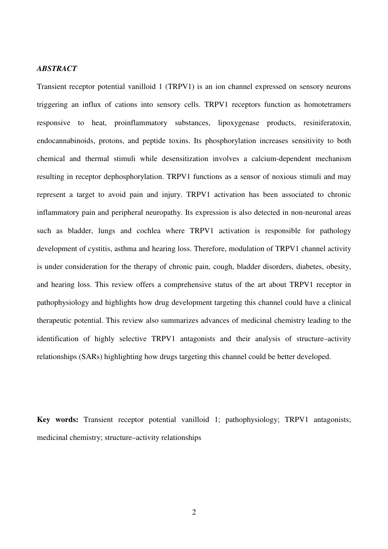## *ABSTRACT*

Transient receptor potential vanilloid 1 (TRPV1) is an ion channel expressed on sensory neurons triggering an influx of cations into sensory cells. TRPV1 receptors function as homotetramers responsive to heat, proinflammatory substances, lipoxygenase products, resiniferatoxin, endocannabinoids, protons, and peptide toxins. Its phosphorylation increases sensitivity to both chemical and thermal stimuli while desensitization involves a calcium-dependent mechanism resulting in receptor dephosphorylation. TRPV1 functions as a sensor of noxious stimuli and may represent a target to avoid pain and injury. TRPV1 activation has been associated to chronic inflammatory pain and peripheral neuropathy. Its expression is also detected in non-neuronal areas such as bladder, lungs and cochlea where TRPV1 activation is responsible for pathology development of cystitis, asthma and hearing loss. Therefore, modulation of TRPV1 channel activity is under consideration for the therapy of chronic pain, cough, bladder disorders, diabetes, obesity, and hearing loss. This review offers a comprehensive status of the art about TRPV1 receptor in pathophysiology and highlights how drug development targeting this channel could have a clinical therapeutic potential. This review also summarizes advances of medicinal chemistry leading to the identification of highly selective TRPV1 antagonists and their analysis of structure–activity relationships (SARs) highlighting how drugs targeting this channel could be better developed.

**Key words:** Transient receptor potential vanilloid 1; pathophysiology; TRPV1 antagonists; medicinal chemistry; structure–activity relationships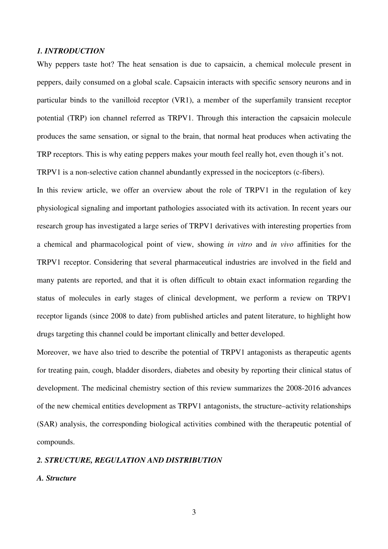### *1. INTRODUCTION*

Why peppers taste hot? The heat sensation is due to capsaicin, a chemical molecule present in peppers, daily consumed on a global scale. Capsaicin interacts with specific sensory neurons and in particular binds to the vanilloid receptor (VR1), a member of the superfamily transient receptor potential (TRP) ion channel referred as TRPV1. Through this interaction the capsaicin molecule produces the same sensation, or signal to the brain, that normal heat produces when activating the TRP receptors. This is why eating peppers makes your mouth feel really hot, even though it's not.

TRPV1 is a non-selective cation channel abundantly expressed in the nociceptors (c-fibers).

In this review article, we offer an overview about the role of TRPV1 in the regulation of key physiological signaling and important pathologies associated with its activation. In recent years our research group has investigated a large series of TRPV1 derivatives with interesting properties from a chemical and pharmacological point of view, showing *in vitro* and *in vivo* affinities for the TRPV1 receptor. Considering that several pharmaceutical industries are involved in the field and many patents are reported, and that it is often difficult to obtain exact information regarding the status of molecules in early stages of clinical development, we perform a review on TRPV1 receptor ligands (since 2008 to date) from published articles and patent literature, to highlight how drugs targeting this channel could be important clinically and better developed.

Moreover, we have also tried to describe the potential of TRPV1 antagonists as therapeutic agents for treating pain, cough, bladder disorders, diabetes and obesity by reporting their clinical status of development. The medicinal chemistry section of this review summarizes the 2008-2016 advances of the new chemical entities development as TRPV1 antagonists, the structure–activity relationships (SAR) analysis, the corresponding biological activities combined with the therapeutic potential of compounds.

## *2. STRUCTURE, REGULATION AND DISTRIBUTION*

#### *A. Structure*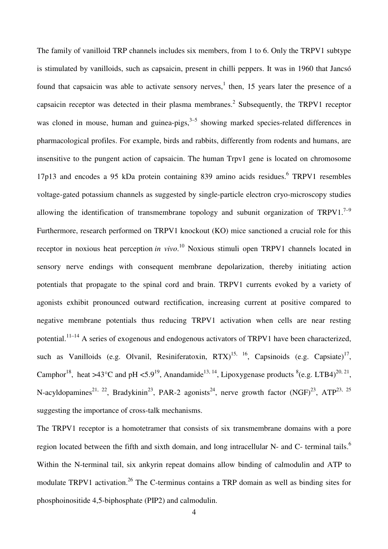The family of vanilloid TRP channels includes six members, from 1 to 6. Only the TRPV1 subtype is stimulated by vanilloids, such as capsaicin, present in chilli peppers. It was in 1960 that Jancsó found that capsaicin was able to activate sensory nerves,<sup>1</sup> then, 15 years later the presence of a capsaicin receptor was detected in their plasma membranes.<sup>2</sup> Subsequently, the TRPV1 receptor was cloned in mouse, human and guinea-pigs,  $3-5$  showing marked species-related differences in pharmacological profiles. For example, birds and rabbits, differently from rodents and humans, are insensitive to the pungent action of capsaicin. The human Trpv1 gene is located on chromosome 17p13 and encodes a 95 kDa protein containing 839 amino acids residues.<sup>6</sup> TRPV1 resembles voltage-gated potassium channels as suggested by single-particle electron cryo-microscopy studies allowing the identification of transmembrane topology and subunit organization of  $TRPV1.<sup>7-9</sup>$ Furthermore, research performed on TRPV1 knockout (KO) mice sanctioned a crucial role for this receptor in noxious heat perception *in vivo*. <sup>10</sup> Noxious stimuli open TRPV1 channels located in sensory nerve endings with consequent membrane depolarization, thereby initiating action potentials that propagate to the spinal cord and brain. TRPV1 currents evoked by a variety of agonists exhibit pronounced outward rectification, increasing current at positive compared to negative membrane potentials thus reducing TRPV1 activation when cells are near resting potential.11–14 A series of exogenous and endogenous activators of TRPV1 have been characterized, such as Vanilloids (e.g. Olvanil, Resiniferatoxin,  $RTX$ )<sup>15, 16</sup>, Capsinoids (e.g. Capsiate)<sup>17</sup>, Camphor<sup>18</sup>, heat >43°C and pH <5.9<sup>19</sup>, Anandamide<sup>13, 14</sup>, Lipoxygenase products <sup>8</sup>(e.g. LTB4)<sup>20, 21</sup>, N-acyldopamines<sup>21, 22</sup>, Bradykinin<sup>23</sup>, PAR-2 agonists<sup>24</sup>, nerve growth factor (NGF)<sup>23</sup>, ATP<sup>23, 25</sup> suggesting the importance of cross-talk mechanisms.

The TRPV1 receptor is a homotetramer that consists of six transmembrane domains with a pore region located between the fifth and sixth domain, and long intracellular N- and C- terminal tails.<sup>6</sup> Within the N-terminal tail, six ankyrin repeat domains allow binding of calmodulin and ATP to modulate TRPV1 activation.<sup>26</sup> The C-terminus contains a TRP domain as well as binding sites for phosphoinositide 4,5-biphosphate (PIP2) and calmodulin.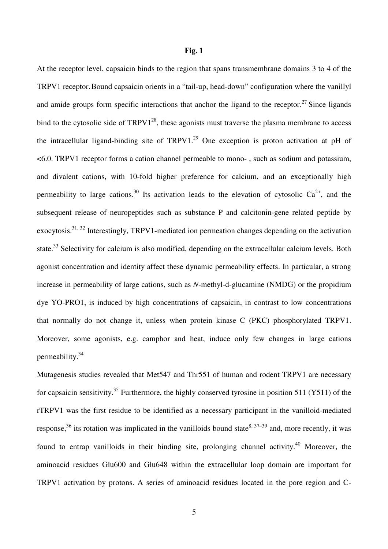#### **Fig. 1**

At the receptor level, capsaicin binds to the region that spans transmembrane domains 3 to 4 of the TRPV1 receptor.Bound capsaicin orients in a "tail-up, head-down" configuration where the vanillyl and amide groups form specific interactions that anchor the ligand to the receptor.<sup>27</sup> Since ligands bind to the cytosolic side of  $TRPV1^{28}$ , these agonists must traverse the plasma membrane to access the intracellular ligand-binding site of  $TRPV1<sup>29</sup>$  One exception is proton activation at pH of <6.0. TRPV1 receptor forms a cation channel permeable to mono- , such as sodium and potassium, and divalent cations, with 10-fold higher preference for calcium, and an exceptionally high permeability to large cations.<sup>30</sup> Its activation leads to the elevation of cytosolic  $Ca^{2+}$ , and the subsequent release of neuropeptides such as substance P and calcitonin-gene related peptide by exocytosis.<sup>31, 32</sup> Interestingly, TRPV1-mediated ion permeation changes depending on the activation state.<sup>33</sup> Selectivity for calcium is also modified, depending on the extracellular calcium levels. Both agonist concentration and identity affect these dynamic permeability effects. In particular, a strong increase in permeability of large cations, such as *N*-methyl-d-glucamine (NMDG) or the propidium dye YO-PRO1, is induced by high concentrations of capsaicin, in contrast to low concentrations that normally do not change it, unless when protein kinase C (PKC) phosphorylated TRPV1. Moreover, some agonists, e.g. camphor and heat, induce only few changes in large cations permeability.<sup>34</sup>

Mutagenesis studies revealed that Met547 and Thr551 of human and rodent TRPV1 are necessary for capsaicin sensitivity.<sup>35</sup> Furthermore, the highly conserved tyrosine in position 511 (Y511) of the rTRPV1 was the first residue to be identified as a necessary participant in the vanilloid-mediated response,<sup>36</sup> its rotation was implicated in the vanilloids bound state<sup>8, 37–39</sup> and, more recently, it was found to entrap vanilloids in their binding site, prolonging channel activity.<sup>40</sup> Moreover, the aminoacid residues Glu600 and Glu648 within the extracellular loop domain are important for TRPV1 activation by protons. A series of aminoacid residues located in the pore region and C-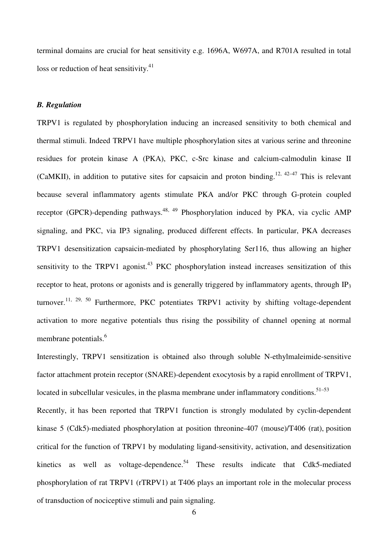terminal domains are crucial for heat sensitivity e.g. 1696A, W697A, and R701A resulted in total loss or reduction of heat sensitivity. $41$ 

## *B. Regulation*

TRPV1 is regulated by phosphorylation inducing an increased sensitivity to both chemical and thermal stimuli. Indeed TRPV1 have multiple phosphorylation sites at various serine and threonine residues for protein kinase A (PKA), PKC, c-Src kinase and calcium-calmodulin kinase II (CaMKII), in addition to putative sites for capsaicin and proton binding.<sup>12, 42–47</sup> This is relevant because several inflammatory agents stimulate PKA and/or PKC through G-protein coupled receptor (GPCR)-depending pathways.<sup>48, 49</sup> Phosphorylation induced by PKA, via cyclic AMP signaling, and PKC, via IP3 signaling, produced different effects. In particular, PKA decreases TRPV1 desensitization capsaicin-mediated by phosphorylating Ser116, thus allowing an higher sensitivity to the TRPV1 agonist.<sup>43</sup> PKC phosphorylation instead increases sensitization of this receptor to heat, protons or agonists and is generally triggered by inflammatory agents, through  $IP_3$ turnover.<sup>11, 29, 50</sup> Furthermore, PKC potentiates TRPV1 activity by shifting voltage-dependent activation to more negative potentials thus rising the possibility of channel opening at normal membrane potentials.<sup>6</sup>

Interestingly, TRPV1 sensitization is obtained also through soluble N-ethylmaleimide-sensitive factor attachment protein receptor (SNARE)-dependent exocytosis by a rapid enrollment of TRPV1, located in subcellular vesicules, in the plasma membrane under inflammatory conditions.<sup>51–53</sup>

Recently, it has been reported that TRPV1 function is strongly modulated by cyclin-dependent kinase 5 (Cdk5)-mediated phosphorylation at position threonine-407 (mouse)/T406 (rat), position critical for the function of TRPV1 by modulating ligand-sensitivity, activation, and desensitization kinetics as well as voltage-dependence.<sup>54</sup> These results indicate that Cdk5-mediated phosphorylation of rat TRPV1 (rTRPV1) at T406 plays an important role in the molecular process of transduction of nociceptive stimuli and pain signaling.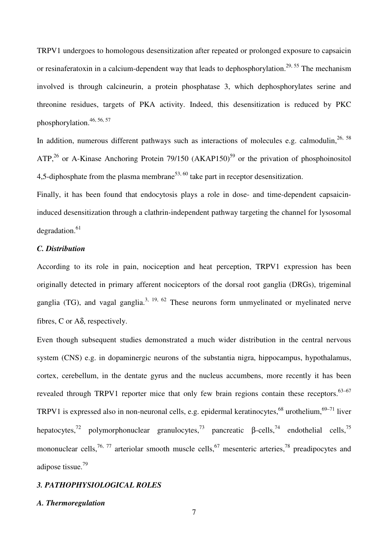TRPV1 undergoes to homologous desensitization after repeated or prolonged exposure to capsaicin or resinaferatoxin in a calcium-dependent way that leads to dephosphorylation.<sup>29, 55</sup> The mechanism involved is through calcineurin, a protein phosphatase 3, which dephosphorylates serine and threonine residues, targets of PKA activity. Indeed, this desensitization is reduced by PKC phosphorylation.46, 56, 57

In addition, numerous different pathways such as interactions of molecules e.g. calmodulin,  $26, 58$ ATP,<sup>26</sup> or A-Kinase Anchoring Protein 79/150 (AKAP150)<sup>59</sup> or the privation of phosphoinositol 4,5-diphosphate from the plasma membrane<sup>53, 60</sup> take part in receptor desensitization.

Finally, it has been found that endocytosis plays a role in dose- and time-dependent capsaicininduced desensitization through a clathrin-independent pathway targeting the channel for lysosomal  $degradation.<sup>61</sup>$ 

## *C. Distribution*

According to its role in pain, nociception and heat perception, TRPV1 expression has been originally detected in primary afferent nociceptors of the dorsal root ganglia (DRGs), trigeminal ganglia (TG), and vagal ganglia.<sup>3, 19, 62</sup> These neurons form unmyelinated or myelinated nerve fibres, C or Aδ, respectively.

Even though subsequent studies demonstrated a much wider distribution in the central nervous system (CNS) e.g. in dopaminergic neurons of the substantia nigra, hippocampus, hypothalamus, cortex, cerebellum, in the dentate gyrus and the nucleus accumbens, more recently it has been revealed through TRPV1 reporter mice that only few brain regions contain these receptors.<sup>63–67</sup> TRPV1 is expressed also in non-neuronal cells, e.g. epidermal keratinocytes,<sup>68</sup> urothelium,<sup>69–71</sup> liver hepatocytes,<sup>72</sup> polymorphonuclear granulocytes,<sup>73</sup> pancreatic β-cells,<sup>74</sup> endothelial cells,<sup>75</sup> mononuclear cells,<sup>76, 77</sup> arteriolar smooth muscle cells,<sup>67</sup> mesenteric arteries,<sup>78</sup> preadipocytes and adipose tissue.<sup>79</sup>

## *3. PATHOPHYSIOLOGICAL ROLES*

#### *A. Thermoregulation*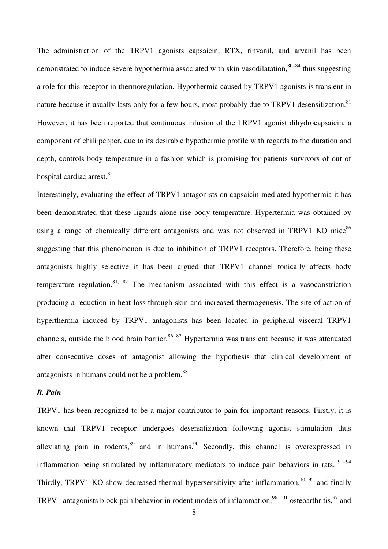The administration of the TRPV1 agonists capsaicin, RTX, rinvanil, and arvanil has been demonstrated to induce severe hypothermia associated with skin vasodilatation,  $80-84$  thus suggesting a role for this receptor in thermoregulation. Hypothermia caused by TRPV1 agonists is transient in nature because it usually lasts only for a few hours, most probably due to TRPV1 desensitization.<sup>81</sup> However, it has been reported that continuous infusion of the TRPV1 agonist dihydrocapsaicin, a component of chili pepper, due to its desirable hypothermic profile with regards to the duration and depth, controls body temperature in a fashion which is promising for patients survivors of out of hospital cardiac arrest.<sup>85</sup>

Interestingly, evaluating the effect of TRPV1 antagonists on capsaicin-mediated hypothermia it has been demonstrated that these ligands alone rise body temperature. Hypertermia was obtained by using a range of chemically different antagonists and was not observed in TRPV1 KO mice<sup>86</sup> suggesting that this phenomenon is due to inhibition of TRPV1 receptors. Therefore, being these antagonists highly selective it has been argued that TRPV1 channel tonically affects body temperature regulation.<sup>81, 87</sup> The mechanism associated with this effect is a vasoconstriction producing a reduction in heat loss through skin and increased thermogenesis. The site of action of hyperthermia induced by TRPV1 antagonists has been located in peripheral visceral TRPV1 channels, outside the blood brain barrier.<sup>86, 87</sup> Hypertermia was transient because it was attenuated after consecutive doses of antagonist allowing the hypothesis that clinical development of antagonists in humans could not be a problem.<sup>88</sup>

### *B. Pain*

TRPV1 has been recognized to be a major contributor to pain for important reasons. Firstly, it is known that TRPV1 receptor undergoes desensitization following agonist stimulation thus alleviating pain in rodents, $89$  and in humans. $90$  Secondly, this channel is overexpressed in inflammation being stimulated by inflammatory mediators to induce pain behaviors in rats.  $91-94$ Thirdly, TRPV1 KO show decreased thermal hypersensitivity after inflammation,  $10$ ,  $95$  and finally TRPV1 antagonists block pain behavior in rodent models of inflammation,  $96-101$  osteoarthritis,  $97$  and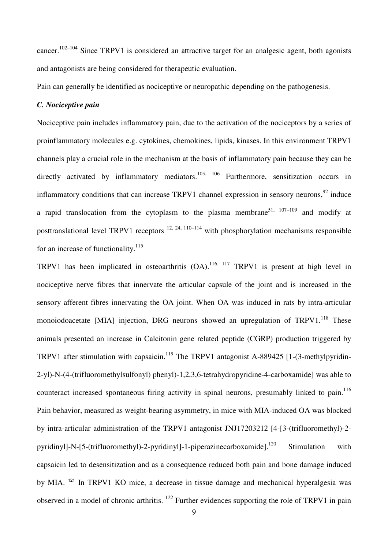cancer.<sup>102–104</sup> Since TRPV1 is considered an attractive target for an analgesic agent, both agonists and antagonists are being considered for therapeutic evaluation.

Pain can generally be identified as nociceptive or neuropathic depending on the pathogenesis.

## *C. Nociceptive pain*

Nociceptive pain includes inflammatory pain, due to the activation of the nociceptors by a series of proinflammatory molecules e.g. cytokines, chemokines, lipids, kinases. In this environment TRPV1 channels play a crucial role in the mechanism at the basis of inflammatory pain because they can be directly activated by inflammatory mediators.<sup>105, 106</sup> Furthermore, sensitization occurs in inflammatory conditions that can increase TRPV1 channel expression in sensory neurons,<sup>92</sup> induce a rapid translocation from the cytoplasm to the plasma membrane<sup>51, 107–109</sup> and modify at posttranslational level TRPV1 receptors  $^{12, 24, 110-114}$  with phosphorylation mechanisms responsible for an increase of functionality.<sup>115</sup>

TRPV1 has been implicated in osteoarthritis  $(OA)$ .<sup>116, 117</sup> TRPV1 is present at high level in nociceptive nerve fibres that innervate the articular capsule of the joint and is increased in the sensory afferent fibres innervating the OA joint. When OA was induced in rats by intra-articular monoiodoacetate [MIA] injection, DRG neurons showed an upregulation of  $TRPV1<sup>118</sup>$  These animals presented an increase in Calcitonin gene related peptide (CGRP) production triggered by TRPV1 after stimulation with capsaicin.<sup>119</sup> The TRPV1 antagonist A-889425 [1-(3-methylpyridin-2-yl)-N-(4-(trifluoromethylsulfonyl) phenyl)-1,2,3,6-tetrahydropyridine-4-carboxamide] was able to counteract increased spontaneous firing activity in spinal neurons, presumably linked to pain.<sup>116</sup> Pain behavior, measured as weight-bearing asymmetry, in mice with MIA-induced OA was blocked by intra-articular administration of the TRPV1 antagonist JNJ17203212 [4-[3-(trifluoromethyl)-2 pyridinyll-N-[5-(trifluoromethyl)-2-pyridinyll-1-piperazinecarboxamide].<sup>120</sup> Stimulation with capsaicin led to desensitization and as a consequence reduced both pain and bone damage induced by MIA.<sup>121</sup> In TRPV1 KO mice, a decrease in tissue damage and mechanical hyperalgesia was observed in a model of chronic arthritis. <sup>122</sup> Further evidences supporting the role of TRPV1 in pain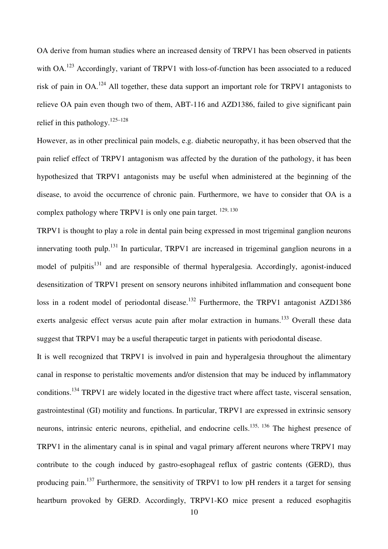OA derive from human studies where an increased density of TRPV1 has been observed in patients with OA.<sup>123</sup> Accordingly, variant of TRPV1 with loss-of-function has been associated to a reduced risk of pain in OA.<sup>124</sup> All together, these data support an important role for TRPV1 antagonists to relieve OA pain even though two of them, ABT-116 and AZD1386, failed to give significant pain relief in this pathology. $125-128$ 

However, as in other preclinical pain models, e.g. diabetic neuropathy, it has been observed that the pain relief effect of TRPV1 antagonism was affected by the duration of the pathology, it has been hypothesized that TRPV1 antagonists may be useful when administered at the beginning of the disease, to avoid the occurrence of chronic pain. Furthermore, we have to consider that OA is a complex pathology where TRPV1 is only one pain target.  $129, 130$ 

TRPV1 is thought to play a role in dental pain being expressed in most trigeminal ganglion neurons innervating tooth pulp.<sup>131</sup> In particular, TRPV1 are increased in trigeminal ganglion neurons in a model of pulpitis $131$  and are responsible of thermal hyperalgesia. Accordingly, agonist-induced desensitization of TRPV1 present on sensory neurons inhibited inflammation and consequent bone loss in a rodent model of periodontal disease.<sup>132</sup> Furthermore, the TRPV1 antagonist AZD1386 exerts analgesic effect versus acute pain after molar extraction in humans.<sup>133</sup> Overall these data suggest that TRPV1 may be a useful therapeutic target in patients with periodontal disease.

It is well recognized that TRPV1 is involved in pain and hyperalgesia throughout the alimentary canal in response to peristaltic movements and/or distension that may be induced by inflammatory conditions.<sup>134</sup> TRPV1 are widely located in the digestive tract where affect taste, visceral sensation, gastrointestinal (GI) motility and functions. In particular, TRPV1 are expressed in extrinsic sensory neurons, intrinsic enteric neurons, epithelial, and endocrine cells.<sup>135, 136</sup> The highest presence of TRPV1 in the alimentary canal is in spinal and vagal primary afferent neurons where TRPV1 may contribute to the cough induced by gastro-esophageal reflux of gastric contents (GERD), thus producing pain.<sup>137</sup> Furthermore, the sensitivity of TRPV1 to low pH renders it a target for sensing heartburn provoked by GERD. Accordingly, TRPV1-KO mice present a reduced esophagitis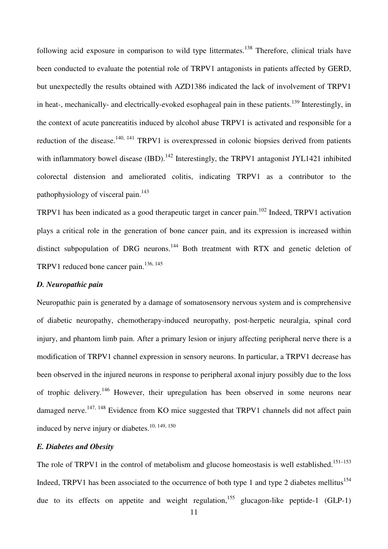following acid exposure in comparison to wild type littermates.<sup>138</sup> Therefore, clinical trials have been conducted to evaluate the potential role of TRPV1 antagonists in patients affected by GERD, but unexpectedly the results obtained with AZD1386 indicated the lack of involvement of TRPV1 in heat-, mechanically- and electrically-evoked esophageal pain in these patients.<sup>139</sup> Interestingly, in the context of acute pancreatitis induced by alcohol abuse TRPV1 is activated and responsible for a reduction of the disease.<sup>140, 141</sup> TRPV1 is overexpressed in colonic biopsies derived from patients with inflammatory bowel disease (IBD).<sup>142</sup> Interestingly, the TRPV1 antagonist JYL1421 inhibited colorectal distension and ameliorated colitis, indicating TRPV1 as a contributor to the pathophysiology of visceral pain.<sup>143</sup>

TRPV1 has been indicated as a good therapeutic target in cancer pain.<sup>102</sup> Indeed, TRPV1 activation plays a critical role in the generation of bone cancer pain, and its expression is increased within distinct subpopulation of DRG neurons.<sup>144</sup> Both treatment with RTX and genetic deletion of TRPV1 reduced bone cancer pain.<sup>136, 145</sup>

#### *D. Neuropathic pain*

Neuropathic pain is generated by a damage of somatosensory nervous system and is comprehensive of diabetic neuropathy, chemotherapy-induced neuropathy, post-herpetic neuralgia, spinal cord injury, and phantom limb pain. After a primary lesion or injury affecting peripheral nerve there is a modification of TRPV1 channel expression in sensory neurons. In particular, a TRPV1 decrease has been observed in the injured neurons in response to peripheral axonal injury possibly due to the loss of trophic delivery.<sup>146</sup> However, their upregulation has been observed in some neurons near damaged nerve.<sup>147, 148</sup> Evidence from KO mice suggested that TRPV1 channels did not affect pain induced by nerve injury or diabetes.<sup>10, 149, 150</sup>

## *E. Diabetes and Obesity*

The role of TRPV1 in the control of metabolism and glucose homeostasis is well established.<sup>151–153</sup> Indeed, TRPV1 has been associated to the occurrence of both type 1 and type 2 diabetes mellitus<sup>154</sup> due to its effects on appetite and weight regulation,<sup>155</sup> glucagon-like peptide-1 (GLP-1)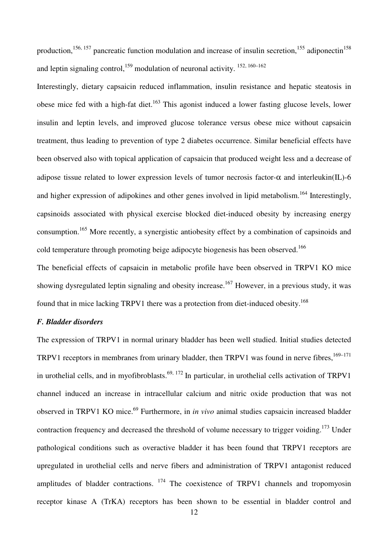production,<sup>156, 157</sup> pancreatic function modulation and increase of insulin secretion,<sup>155</sup> adiponectin<sup>158</sup> and leptin signaling control,<sup>159</sup> modulation of neuronal activity.  $152, 160-162$ 

Interestingly, dietary capsaicin reduced inflammation, insulin resistance and hepatic steatosis in obese mice fed with a high-fat diet.<sup>163</sup> This agonist induced a lower fasting glucose levels, lower insulin and leptin levels, and improved glucose tolerance versus obese mice without capsaicin treatment, thus leading to prevention of type 2 diabetes occurrence. Similar beneficial effects have been observed also with topical application of capsaicin that produced weight less and a decrease of adipose tissue related to lower expression levels of tumor necrosis factor- $\alpha$  and interleukin(IL)-6 and higher expression of adipokines and other genes involved in lipid metabolism.<sup>164</sup> Interestingly, capsinoids associated with physical exercise blocked diet-induced obesity by increasing energy consumption.<sup>165</sup> More recently, a synergistic antiobesity effect by a combination of capsinoids and cold temperature through promoting beige adipocyte biogenesis has been observed.<sup>166</sup>

The beneficial effects of capsaicin in metabolic profile have been observed in TRPV1 KO mice showing dysregulated leptin signaling and obesity increase.<sup>167</sup> However, in a previous study, it was found that in mice lacking TRPV1 there was a protection from diet-induced obesity.<sup>168</sup>

#### *F. Bladder disorders*

The expression of TRPV1 in normal urinary bladder has been well studied. Initial studies detected TRPV1 receptors in membranes from urinary bladder, then TRPV1 was found in nerve fibres,<sup>169–171</sup> in urothelial cells, and in myofibroblasts.<sup>69, 172</sup> In particular, in urothelial cells activation of TRPV1 channel induced an increase in intracellular calcium and nitric oxide production that was not observed in TRPV1 KO mice.<sup>69</sup> Furthermore, in *in vivo* animal studies capsaicin increased bladder contraction frequency and decreased the threshold of volume necessary to trigger voiding.<sup>173</sup> Under pathological conditions such as overactive bladder it has been found that TRPV1 receptors are upregulated in urothelial cells and nerve fibers and administration of TRPV1 antagonist reduced amplitudes of bladder contractions. <sup>174</sup> The coexistence of TRPV1 channels and tropomyosin receptor kinase A (TrKA) receptors has been shown to be essential in bladder control and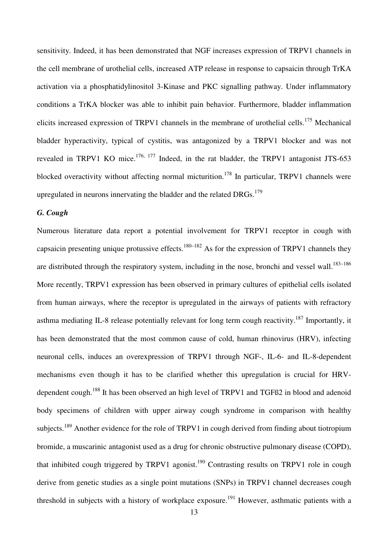sensitivity. Indeed, it has been demonstrated that NGF increases expression of TRPV1 channels in the cell membrane of urothelial cells, increased ATP release in response to capsaicin through TrKA activation via a phosphatidylinositol 3-Kinase and PKC signalling pathway. Under inflammatory conditions a TrKA blocker was able to inhibit pain behavior. Furthermore, bladder inflammation elicits increased expression of TRPV1 channels in the membrane of urothelial cells.<sup>175</sup> Mechanical bladder hyperactivity, typical of cystitis, was antagonized by a TRPV1 blocker and was not revealed in TRPV1 KO mice.<sup>176, 177</sup> Indeed, in the rat bladder, the TRPV1 antagonist JTS-653 blocked overactivity without affecting normal micturition.<sup>178</sup> In particular, TRPV1 channels were upregulated in neurons innervating the bladder and the related DRGs.<sup>179</sup>

## *G. Cough*

Numerous literature data report a potential involvement for TRPV1 receptor in cough with capsaicin presenting unique protussive effects.<sup>180–182</sup> As for the expression of TRPV1 channels they are distributed through the respiratory system, including in the nose, bronchi and vessel wall.<sup>183–186</sup> More recently, TRPV1 expression has been observed in primary cultures of epithelial cells isolated from human airways, where the receptor is upregulated in the airways of patients with refractory asthma mediating IL-8 release potentially relevant for long term cough reactivity.<sup>187</sup> Importantly, it has been demonstrated that the most common cause of cold, human rhinovirus (HRV), infecting neuronal cells, induces an overexpression of TRPV1 through NGF-, IL-6- and IL-8-dependent mechanisms even though it has to be clarified whether this upregulation is crucial for HRVdependent cough.<sup>188</sup> It has been observed an high level of TRPV1 and TGFß2 in blood and adenoid body specimens of children with upper airway cough syndrome in comparison with healthy subjects.<sup>189</sup> Another evidence for the role of TRPV1 in cough derived from finding about tiotropium bromide, a muscarinic antagonist used as a drug for chronic obstructive pulmonary disease (COPD), that inhibited cough triggered by TRPV1 agonist.<sup>190</sup> Contrasting results on TRPV1 role in cough derive from genetic studies as a single point mutations (SNPs) in TRPV1 channel decreases cough threshold in subjects with a history of workplace exposure.<sup>191</sup> However, asthmatic patients with a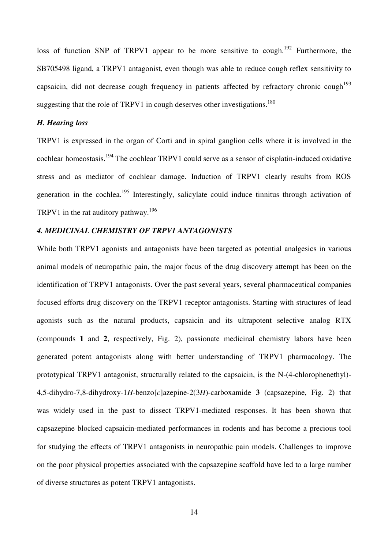loss of function SNP of TRPV1 appear to be more sensitive to cough.<sup>192</sup> Furthermore, the SB705498 ligand, a TRPV1 antagonist, even though was able to reduce cough reflex sensitivity to capsaicin, did not decrease cough frequency in patients affected by refractory chronic cough<sup>193</sup> suggesting that the role of TRPV1 in cough deserves other investigations.<sup>180</sup>

#### *H. Hearing loss*

TRPV1 is expressed in the organ of Corti and in spiral ganglion cells where it is involved in the cochlear homeostasis.<sup>194</sup> The cochlear TRPV1 could serve as a sensor of cisplatin-induced oxidative stress and as mediator of cochlear damage. Induction of TRPV1 clearly results from ROS generation in the cochlea.<sup>195</sup> Interestingly, salicylate could induce tinnitus through activation of TRPV1 in the rat auditory pathway.<sup>196</sup>

#### *4. MEDICINAL CHEMISTRY OF TRPV1 ANTAGONISTS*

While both TRPV1 agonists and antagonists have been targeted as potential analgesics in various animal models of neuropathic pain, the major focus of the drug discovery attempt has been on the identification of TRPV1 antagonists. Over the past several years, several pharmaceutical companies focused efforts drug discovery on the TRPV1 receptor antagonists. Starting with structures of lead agonists such as the natural products, capsaicin and its ultrapotent selective analog RTX (compounds **1** and **2**, respectively, Fig. 2), passionate medicinal chemistry labors have been generated potent antagonists along with better understanding of TRPV1 pharmacology. The prototypical TRPV1 antagonist, structurally related to the capsaicin, is the N-(4-chlorophenethyl)- 4,5-dihydro-7,8-dihydroxy-1*H*-benzo[*c*]azepine-2(3*H*)-carboxamide **3** (capsazepine, Fig. 2) that was widely used in the past to dissect TRPV1-mediated responses. It has been shown that capsazepine blocked capsaicin-mediated performances in rodents and has become a precious tool for studying the effects of TRPV1 antagonists in neuropathic pain models. Challenges to improve on the poor physical properties associated with the capsazepine scaffold have led to a large number of diverse structures as potent TRPV1 antagonists.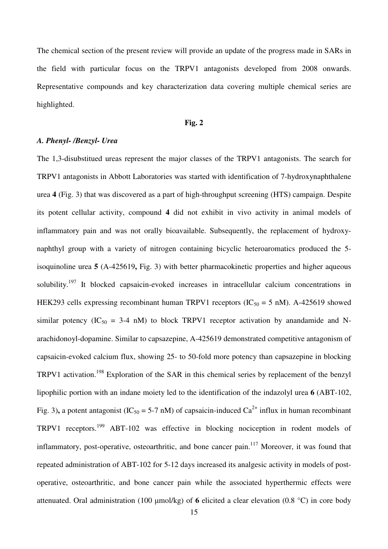The chemical section of the present review will provide an update of the progress made in SARs in the field with particular focus on the TRPV1 antagonists developed from 2008 onwards. Representative compounds and key characterization data covering multiple chemical series are highlighted.

#### **Fig. 2**

#### *A. Phenyl- /Benzyl- Urea*

The 1,3-disubstitued ureas represent the major classes of the TRPV1 antagonists. The search for TRPV1 antagonists in Abbott Laboratories was started with identification of 7-hydroxynaphthalene urea **4** (Fig. 3) that was discovered as a part of high-throughput screening (HTS) campaign. Despite its potent cellular activity, compound **4** did not exhibit in vivo activity in animal models of inflammatory pain and was not orally bioavailable. Subsequently, the replacement of hydroxynaphthyl group with a variety of nitrogen containing bicyclic heteroaromatics produced the 5 isoquinoline urea **5** (A-425619**,** Fig. 3) with better pharmacokinetic properties and higher aqueous solubility.<sup>197</sup> It blocked capsaicin-evoked increases in intracellular calcium concentrations in HEK293 cells expressing recombinant human TRPV1 receptors ( $IC_{50} = 5$  nM). A-425619 showed similar potency ( $IC_{50} = 3-4$  nM) to block TRPV1 receptor activation by anandamide and Narachidonoyl-dopamine. Similar to capsazepine, A-425619 demonstrated competitive antagonism of capsaicin-evoked calcium flux, showing 25- to 50-fold more potency than capsazepine in blocking TRPV1 activation.<sup>198</sup> Exploration of the SAR in this chemical series by replacement of the benzyl lipophilic portion with an indane moiety led to the identification of the indazolyl urea **6** (ABT-102, Fig. 3), a potent antagonist (IC<sub>50</sub> = 5-7 nM) of capsaicin-induced Ca<sup>2+</sup> influx in human recombinant TRPV1 receptors.<sup>199</sup> ABT-102 was effective in blocking nociception in rodent models of inflammatory, post-operative, osteoarthritic, and bone cancer pain.<sup>117</sup> Moreover, it was found that repeated administration of ABT-102 for 5-12 days increased its analgesic activity in models of postoperative, osteoarthritic, and bone cancer pain while the associated hyperthermic effects were attenuated. Oral administration (100 µmol/kg) of **6** elicited a clear elevation (0.8 °C) in core body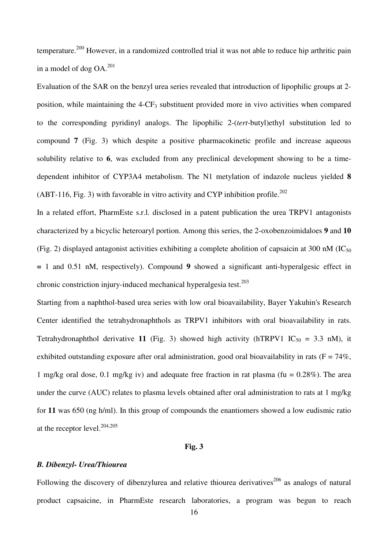temperature.<sup>200</sup> However, in a randomized controlled trial it was not able to reduce hip arthritic pain in a model of dog  $OA<sup>201</sup>$ 

Evaluation of the SAR on the benzyl urea series revealed that introduction of lipophilic groups at 2 position, while maintaining the  $4$ -CF<sub>3</sub> substituent provided more in vivo activities when compared to the corresponding pyridinyl analogs. The lipophilic 2-(*tert*-butyl)ethyl substitution led to compound **7** (Fig. 3) which despite a positive pharmacokinetic profile and increase aqueous solubility relative to **6**, was excluded from any preclinical development showing to be a timedependent inhibitor of CYP3A4 metabolism. The N1 metylation of indazole nucleus yielded **8** (ABT-116, Fig. 3) with favorable in vitro activity and CYP inhibition profile.<sup>202</sup>

In a related effort, PharmEste s.r.l. disclosed in a patent publication the urea TRPV1 antagonists characterized by a bicyclic heteroaryl portion. Among this series, the 2-oxobenzoimidaloes **9** and **10** (Fig. 2) displayed antagonist activities exhibiting a complete abolition of capsaicin at 300 nM (IC<sub>50</sub>) **=** 1 and 0.51 nM, respectively). Compound **9** showed a significant anti-hyperalgesic effect in chronic constriction injury-induced mechanical hyperalgesia test. $203$ 

Starting from a naphthol-based urea series with low oral bioavailability, Bayer Yakuhin's Research Center identified the tetrahydronaphthols as TRPV1 inhibitors with oral bioavailability in rats. Tetrahydronaphthol derivative 11 (Fig. 3) showed high activity (hTRPV1  $IC_{50} = 3.3$  nM), it exhibited outstanding exposure after oral administration, good oral bioavailability in rats ( $F = 74\%$ , 1 mg/kg oral dose, 0.1 mg/kg iv) and adequate free fraction in rat plasma (fu =  $0.28\%$ ). The area under the curve (AUC) relates to plasma levels obtained after oral administration to rats at 1 mg/kg for **11** was 650 (ng h/ml). In this group of compounds the enantiomers showed a low eudismic ratio at the receptor level. $204,205$ 

#### **Fig. 3**

#### *B. Dibenzyl- Urea/Thiourea*

Following the discovery of dibenzylurea and relative thiourea derivatives<sup>206</sup> as analogs of natural product capsaicine, in PharmEste research laboratories, a program was begun to reach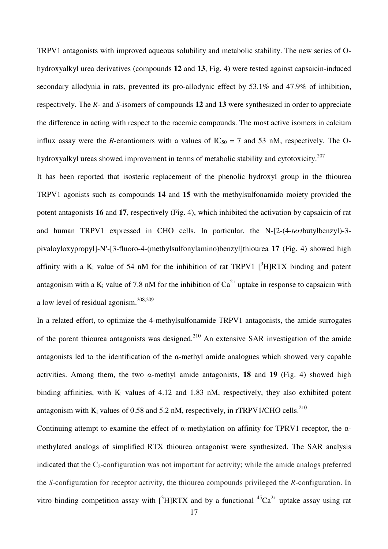TRPV1 antagonists with improved aqueous solubility and metabolic stability. The new series of Ohydroxyalkyl urea derivatives (compounds **12** and **13**, Fig. 4) were tested against capsaicin-induced secondary allodynia in rats, prevented its pro-allodynic effect by 53.1% and 47.9% of inhibition, respectively. The *R*- and *S*-isomers of compounds **12** and **13** were synthesized in order to appreciate the difference in acting with respect to the racemic compounds. The most active isomers in calcium influx assay were the *R*-enantiomers with a values of  $IC_{50} = 7$  and 53 nM, respectively. The Ohydroxyalkyl ureas showed improvement in terms of metabolic stability and cytotoxicity.<sup>207</sup>

It has been reported that isosteric replacement of the phenolic hydroxyl group in the thiourea TRPV1 agonists such as compounds **14** and **15** with the methylsulfonamido moiety provided the potent antagonists **16** and **17**, respectively (Fig. 4), which inhibited the activation by capsaicin of rat and human TRPV1 expressed in CHO cells. In particular, the N-[2-(4-*tert*butylbenzyl)-3 pivaloyloxypropyl]-N′-[3-fluoro-4-(methylsulfonylamino)benzyl]thiourea **17** (Fig. 4) showed high affinity with a  $K_i$  value of 54 nM for the inhibition of rat TRPV1  $[^3H]RTX$  binding and potent antagonism with a  $K_i$  value of 7.8 nM for the inhibition of  $Ca^{2+}$  uptake in response to capsaicin with a low level of residual agonism.208,209

In a related effort, to optimize the 4-methylsulfonamide TRPV1 antagonists, the amide surrogates of the parent thiourea antagonists was designed.<sup>210</sup> An extensive SAR investigation of the amide antagonists led to the identification of the  $\alpha$ -methyl amide analogues which showed very capable activities. Among them, the two  $\alpha$ -methyl amide antagonists, **18** and **19** (Fig. 4) showed high binding affinities, with  $K_i$  values of 4.12 and 1.83 nM, respectively, they also exhibited potent antagonism with  $K_i$  values of 0.58 and 5.2 nM, respectively, in rTRPV1/CHO cells.<sup>210</sup>

Continuing attempt to examine the effect of α-methylation on affinity for TPRV1 receptor, the αmethylated analogs of simplified RTX thiourea antagonist were synthesized. The SAR analysis indicated that the  $C_2$ -configuration was not important for activity; while the amide analogs preferred the *S*-configuration for receptor activity, the thiourea compounds privileged the *R*-configuration. In vitro binding competition assay with  $[{}^{3}H]RTX$  and by a functional  ${}^{45}Ca^{2+}$  uptake assay using rat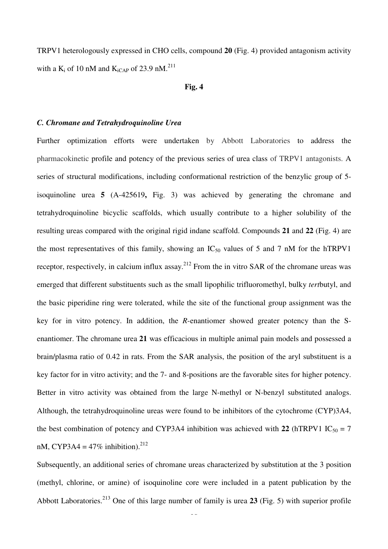TRPV1 heterologously expressed in CHO cells, compound **20** (Fig. 4) provided antagonism activity with a  $K_i$  of 10 nM and  $K_{iCAP}$  of 23.9 nM.<sup>211</sup>

#### **Fig. 4**

#### *C. Chromane and Tetrahydroquinoline Urea*

Further optimization efforts were undertaken by Abbott Laboratories to address the pharmacokinetic profile and potency of the previous series of urea class of TRPV1 antagonists. A series of structural modifications, including conformational restriction of the benzylic group of 5 isoquinoline urea **5** (A-425619**,** Fig. 3) was achieved by generating the chromane and tetrahydroquinoline bicyclic scaffolds, which usually contribute to a higher solubility of the resulting ureas compared with the original rigid indane scaffold. Compounds **21** and **22** (Fig. 4) are the most representatives of this family, showing an  $IC_{50}$  values of 5 and 7 nM for the hTRPV1 receptor, respectively, in calcium influx assay.<sup>212</sup> From the in vitro SAR of the chromane ureas was emerged that different substituents such as the small lipophilic trifluoromethyl, bulky *tert*butyl, and the basic piperidine ring were tolerated, while the site of the functional group assignment was the key for in vitro potency. In addition, the *R*-enantiomer showed greater potency than the Senantiomer. The chromane urea **21** was efficacious in multiple animal pain models and possessed a brain/plasma ratio of 0.42 in rats. From the SAR analysis, the position of the aryl substituent is a key factor for in vitro activity; and the 7- and 8-positions are the favorable sites for higher potency. Better in vitro activity was obtained from the large N-methyl or N-benzyl substituted analogs. Although, the tetrahydroquinoline ureas were found to be inhibitors of the cytochrome (CYP)3A4, the best combination of potency and CYP3A4 inhibition was achieved with 22  $(hTRPV1 IC_{50} = 7$ nM, CYP3A4 =  $47\%$  inhibition).<sup>212</sup>

Subsequently, an additional series of chromane ureas characterized by substitution at the 3 position (methyl, chlorine, or amine) of isoquinoline core were included in a patent publication by the Abbott Laboratories.<sup>213</sup> One of this large number of family is urea **23** (Fig. 5) with superior profile

 $\ddot{\phantom{0}}$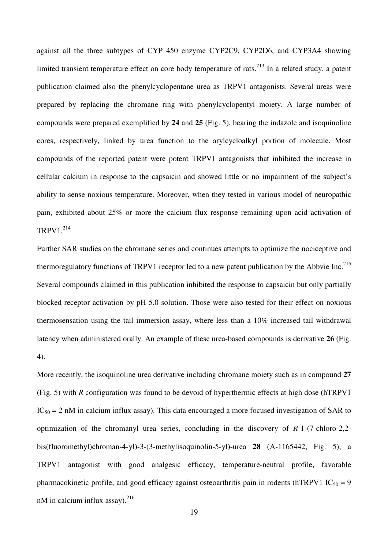against all the three subtypes of CYP 450 enzyme CYP2C9, CYP2D6, and CYP3A4 showing limited transient temperature effect on core body temperature of rats.<sup>213</sup> In a related study, a patent publication claimed also the phenylcyclopentane urea as TRPV1 antagonists. Several ureas were prepared by replacing the chromane ring with phenylcyclopentyl moiety. A large number of compounds were prepared exemplified by **24** and **25** (Fig. 5), bearing the indazole and isoquinoline cores, respectively, linked by urea function to the arylcycloalkyl portion of molecule. Most compounds of the reported patent were potent TRPV1 antagonists that inhibited the increase in cellular calcium in response to the capsaicin and showed little or no impairment of the subject's ability to sense noxious temperature. Moreover, when they tested in various model of neuropathic pain, exhibited about 25% or more the calcium flux response remaining upon acid activation of  $TRPV1.<sup>214</sup>$ 

Further SAR studies on the chromane series and continues attempts to optimize the nociceptive and thermoregulatory functions of TRPV1 receptor led to a new patent publication by the Abbvie Inc.<sup>215</sup> Several compounds claimed in this publication inhibited the response to capsaicin but only partially blocked receptor activation by pH 5.0 solution. Those were also tested for their effect on noxious thermosensation using the tail immersion assay, where less than a 10% increased tail withdrawal latency when administered orally. An example of these urea-based compounds is derivative **26** (Fig. 4).

More recently, the isoquinoline urea derivative including chromane moiety such as in compound **27** (Fig. 5) with *R* configuration was found to be devoid of hyperthermic effects at high dose (hTRPV1  $IC_{50} = 2$  nM in calcium influx assay). This data encouraged a more focused investigation of SAR to optimization of the chromanyl urea series, concluding in the discovery of *R*-1-(7-chloro-2,2 bis(fluoromethyl)chroman-4-yl)-3-(3-methylisoquinolin-5-yl)-urea **28** (A-1165442, Fig. 5), a TRPV1 antagonist with good analgesic efficacy, temperature-neutral profile, favorable pharmacokinetic profile, and good efficacy against osteoarthritis pain in rodents (hTRPV1 IC<sub>50</sub> = 9 nM in calcium influx assay).  $^{216}$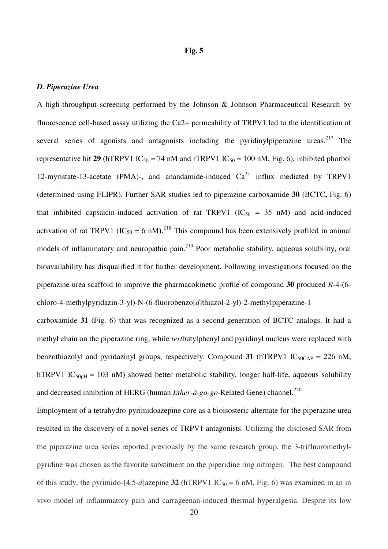#### *D. Piperazine Urea*

A high-throughput screening performed by the Johnson & Johnson Pharmaceutical Research by fluorescence cell-based assay utilizing the Ca2+ permeability of TRPV1 led to the identification of several series of agonists and antagonists including the pyridinylpiperazine ureas.<sup>217</sup> The representative hit 29 (hTRPV1  $IC_{50} = 74$  nM and rTRPV1  $IC_{50} = 100$  nM, Fig. 6), inhibited phorbol 12-myristate-13-acetate (PMA)-, and anandamide-induced  $Ca^{2+}$  influx mediated by TRPV1 (determined using FLIPR). Further SAR studies led to piperazine carboxamide **30** (BCTC**,** Fig. 6) that inhibited capsaicin-induced activation of rat TRPV1 ( $IC_{50} = 35$  nM) and acid-induced activation of rat TRPV1 (IC<sub>50</sub> = 6 nM).<sup>218</sup> This compound has been extensively profiled in animal models of inflammatory and neuropathic pain.<sup>219</sup> Poor metabolic stability, aqueous solubility, oral bioavailability has disqualified it for further development. Following investigations focused on the piperazine urea scaffold to improve the pharmacokinetic profile of compound **30** produced *R*-4-(6 chloro-4-methylpyridazin-3-yl)-N-(6-fluorobenzo[*d*]thiazol-2-yl)-2-methylpiperazine-1

carboxamide **31** (Fig. 6) that was recognized as a second-generation of BCTC analogs. It had a methyl chain on the piperazine ring, while *tert*butylphenyl and pyridinyl nucleus were replaced with benzothiazolyl and pyridazinyl groups, respectively. Compound 31  $(hTRPV1 IC<sub>50CAP</sub> = 226 nM,$ hTRPV1 IC<sub>50pH</sub> = 103 nM) showed better metabolic stability, longer half-life, aqueous solubility and decreased inhibition of HERG (human *Ether-à-go-go-*Related Gene) channel.<sup>220</sup>

Employment of a tetrahydro-pyrimidoazepine core as a bioisosteric alternate for the piperazine urea resulted in the discovery of a novel series of TRPV1 antagonists. Utilizing the disclosed SAR from the piperazine urea series reported previously by the same research group, the 3-trifluoromethylpyridine was chosen as the favorite substituent on the piperidine ring nitrogen. The best compound of this study, the pyrimido-[4,5-*d*]azepine **32** (hTRPV1 IC<sub>50</sub> = 6 nM, Fig. 6) was examined in an in vivo model of inflammatory pain and carrageenan-induced thermal hyperalgesia. Despite its low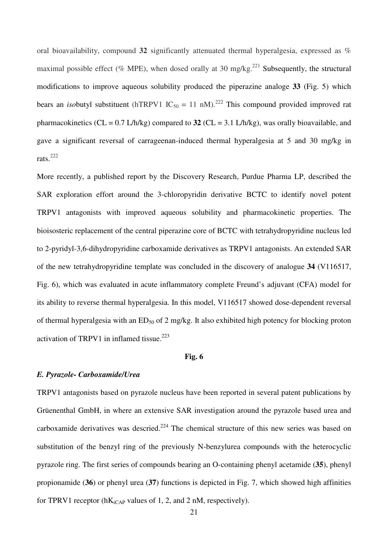oral bioavailability, compound **32** significantly attenuated thermal hyperalgesia, expressed as % maximal possible effect (% MPE), when dosed orally at 30 mg/kg.<sup>221</sup> Subsequently, the structural modifications to improve aqueous solubility produced the piperazine analoge **33** (Fig. 5) which bears an *iso*butyl substituent (hTRPV1 IC<sub>50</sub> = 11 nM).<sup>222</sup> This compound provided improved rat pharmacokinetics ( $CL = 0.7$   $L/h/kg$ ) compared to **32** ( $CL = 3.1$   $L/h/kg$ ), was orally bioavailable, and gave a significant reversal of carrageenan-induced thermal hyperalgesia at 5 and 30 mg/kg in rats. $^{222}$ 

More recently, a published report by the Discovery Research, Purdue Pharma LP, described the SAR exploration effort around the 3-chloropyridin derivative BCTC to identify novel potent TRPV1 antagonists with improved aqueous solubility and pharmacokinetic properties. The bioisosteric replacement of the central piperazine core of BCTC with tetrahydropyridine nucleus led to 2-pyridyl-3,6-dihydropyridine carboxamide derivatives as TRPV1 antagonists. An extended SAR of the new tetrahydropyridine template was concluded in the discovery of analogue **34** (V116517, Fig. 6), which was evaluated in acute inflammatory complete Freund's adjuvant (CFA) model for its ability to reverse thermal hyperalgesia. In this model, V116517 showed dose-dependent reversal of thermal hyperalgesia with an  $ED_{50}$  of 2 mg/kg. It also exhibited high potency for blocking proton activation of TRPV1 in inflamed tissue.<sup>223</sup>

#### **Fig. 6**

#### *E. Pyrazole- Carboxamide/Urea*

TRPV1 antagonists based on pyrazole nucleus have been reported in several patent publications by Grüenenthal GmbH, in where an extensive SAR investigation around the pyrazole based urea and carboxamide derivatives was descried.<sup>224</sup> The chemical structure of this new series was based on substitution of the benzyl ring of the previously N-benzylurea compounds with the heterocyclic pyrazole ring. The first series of compounds bearing an O-containing phenyl acetamide (**35**), phenyl propionamide (**36**) or phenyl urea (**37**) functions is depicted in Fig. 7, which showed high affinities for TPRV1 receptor ( $hK_{iCAP}$  values of 1, 2, and 2 nM, respectively).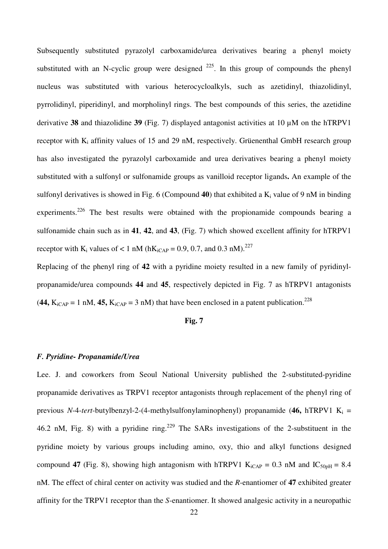Subsequently substituted pyrazolyl carboxamide/urea derivatives bearing a phenyl moiety substituted with an N-cyclic group were designed  $^{225}$ . In this group of compounds the phenyl nucleus was substituted with various heterocycloalkyls, such as azetidinyl, thiazolidinyl, pyrrolidinyl, piperidinyl, and morpholinyl rings. The best compounds of this series, the azetidine derivative **38** and thiazolidine **39** (Fig. 7) displayed antagonist activities at 10 µM on the hTRPV1 receptor with  $K_i$  affinity values of 15 and 29 nM, respectively. Grüenenthal GmbH research group has also investigated the pyrazolyl carboxamide and urea derivatives bearing a phenyl moiety substituted with a sulfonyl or sulfonamide groups as vanilloid receptor ligands**.** An example of the sulfonyl derivatives is showed in Fig. 6 (Compound 40) that exhibited a K<sub>i</sub> value of 9 nM in binding experiments.<sup>226</sup> The best results were obtained with the propionamide compounds bearing a sulfonamide chain such as in **41**, **42**, and **43**, (Fig. 7) which showed excellent affinity for hTRPV1 receptor with  $K_i$  values of  $< 1$  nM (h $K_{iCAP} = 0.9, 0.7$ , and 0.3 nM).<sup>227</sup>

Replacing of the phenyl ring of **42** with a pyridine moiety resulted in a new family of pyridinylpropanamide/urea compounds **44** and **45**, respectively depicted in Fig. 7 as hTRPV1 antagonists  $(44, K_{iCAP} = 1 \text{ nM}, 45, K_{iCAP} = 3 \text{ nM})$  that have been enclosed in a patent publication.<sup>228</sup>

#### **Fig. 7**

### *F. Pyridine- Propanamide/Urea*

Lee. J. and coworkers from Seoul National University published the 2-substituted-pyridine propanamide derivatives as TRPV1 receptor antagonists through replacement of the phenyl ring of previous *N*-4-*tert*-butylbenzyl-2-(4-methylsulfonylaminophenyl) propanamide (46, hTRPV1 K<sub>i</sub> = 46.2 nM, Fig. 8) with a pyridine ring.<sup>229</sup> The SARs investigations of the 2-substituent in the pyridine moiety by various groups including amino, oxy, thio and alkyl functions designed compound 47 (Fig. 8), showing high antagonism with hTRPV1  $K_{iCAP} = 0.3$  nM and  $IC_{50pH} = 8.4$ nM. The effect of chiral center on activity was studied and the *R*-enantiomer of **47** exhibited greater affinity for the TRPV1 receptor than the *S*-enantiomer. It showed analgesic activity in a neuropathic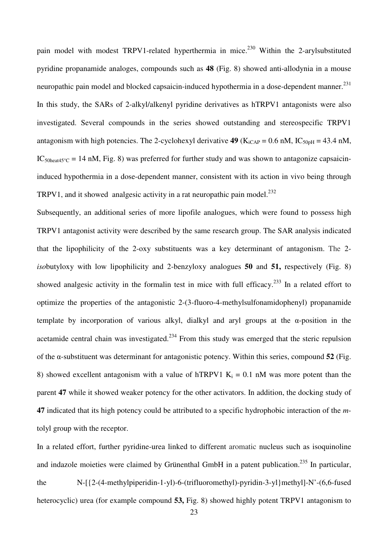pain model with modest TRPV1-related hyperthermia in mice.<sup>230</sup> Within the 2-arylsubstituted pyridine propanamide analoges, compounds such as **48** (Fig. 8) showed anti-allodynia in a mouse neuropathic pain model and blocked capsaicin-induced hypothermia in a dose-dependent manner.<sup>231</sup> In this study, the SARs of 2-alkyl/alkenyl pyridine derivatives as hTRPV1 antagonists were also investigated. Several compounds in the series showed outstanding and stereospecific TRPV1 antagonism with high potencies. The 2-cyclohexyl derivative **49** ( $K_{iCAP} = 0.6$  nM,  $IC_{50pH} = 43.4$  nM, IC<sub>50heat45</sub>°C = 14 nM, Fig. 8) was preferred for further study and was shown to antagonize capsaicininduced hypothermia in a dose-dependent manner, consistent with its action in vivo being through TRPV1, and it showed analgesic activity in a rat neuropathic pain model.<sup>232</sup>

Subsequently, an additional series of more lipofile analogues, which were found to possess high TRPV1 antagonist activity were described by the same research group. The SAR analysis indicated that the lipophilicity of the 2-oxy substituents was a key determinant of antagonism. The 2 *iso*butyloxy with low lipophilicity and 2-benzyloxy analogues **50** and **51,** respectively (Fig. 8) showed analgesic activity in the formalin test in mice with full efficacy.<sup>233</sup> In a related effort to optimize the properties of the antagonistic 2-(3-fluoro-4-methylsulfonamidophenyl) propanamide template by incorporation of various alkyl, dialkyl and aryl groups at the  $\alpha$ -position in the acetamide central chain was investigated.<sup>234</sup> From this study was emerged that the steric repulsion of the α-substituent was determinant for antagonistic potency. Within this series, compound **52** (Fig. 8) showed excellent antagonism with a value of hTRPV1  $K_i = 0.1$  nM was more potent than the parent **47** while it showed weaker potency for the other activators. In addition, the docking study of **47** indicated that its high potency could be attributed to a specific hydrophobic interaction of the *m*tolyl group with the receptor.

In a related effort, further pyridine-urea linked to different aromatic nucleus such as isoquinoline and indazole moieties were claimed by Grünenthal GmbH in a patent publication.<sup>235</sup> In particular, the N-[{2-(4-methylpiperidin-1-yl)-6-(trifluoromethyl)-pyridin-3-yl}methyl]-N'-(6,6-fused heterocyclic) urea (for example compound **53,** Fig. 8) showed highly potent TRPV1 antagonism to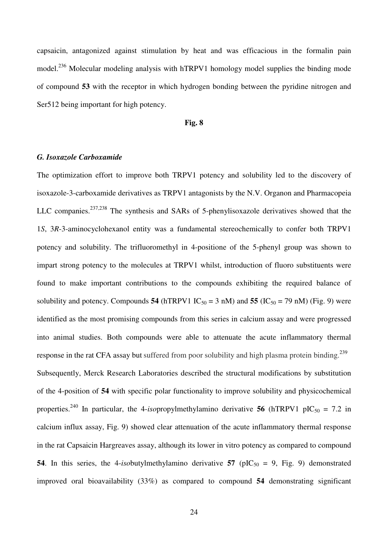capsaicin, antagonized against stimulation by heat and was efficacious in the formalin pain model.<sup>236</sup> Molecular modeling analysis with hTRPV1 homology model supplies the binding mode of compound **53** with the receptor in which hydrogen bonding between the pyridine nitrogen and Ser512 being important for high potency.

#### **Fig. 8**

#### *G. Isoxazole Carboxamide*

The optimization effort to improve both TRPV1 potency and solubility led to the discovery of isoxazole-3-carboxamide derivatives as TRPV1 antagonists by the N.V. Organon and Pharmacopeia LLC companies.<sup>237,238</sup> The synthesis and SARs of 5-phenylisoxazole derivatives showed that the 1*S*, 3*R*-3-aminocyclohexanol entity was a fundamental stereochemically to confer both TRPV1 potency and solubility. The trifluoromethyl in 4-positione of the 5-phenyl group was shown to impart strong potency to the molecules at TRPV1 whilst, introduction of fluoro substituents were found to make important contributions to the compounds exhibiting the required balance of solubility and potency. Compounds **54** (hTRPV1  $IC_{50} = 3$  nM) and **55** ( $IC_{50} = 79$  nM) (Fig. 9) were identified as the most promising compounds from this series in calcium assay and were progressed into animal studies. Both compounds were able to attenuate the acute inflammatory thermal response in the rat CFA assay but suffered from poor solubility and high plasma protein binding.<sup>239</sup> Subsequently, Merck Research Laboratories described the structural modifications by substitution of the 4-position of **54** with specific polar functionality to improve solubility and physicochemical properties.<sup>240</sup> In particular, the 4-*iso*propylmethylamino derivative **56** (hTRPV1 pIC<sub>50</sub> = 7.2 in calcium influx assay, Fig. 9) showed clear attenuation of the acute inflammatory thermal response in the rat Capsaicin Hargreaves assay, although its lower in vitro potency as compared to compound **54**. In this series, the 4-*iso*butylmethylamino derivative **57** ( $pIC_{50} = 9$ , Fig. 9) demonstrated improved oral bioavailability (33%) as compared to compound **54** demonstrating significant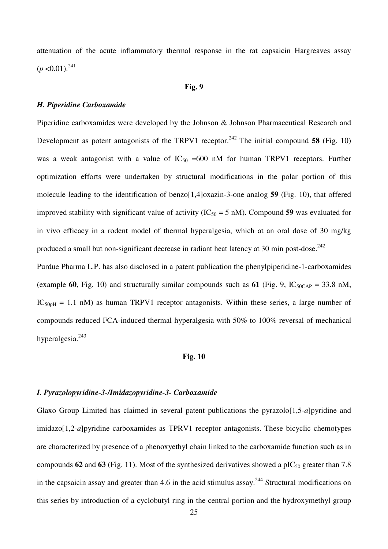attenuation of the acute inflammatory thermal response in the rat capsaicin Hargreaves assay  $(p<0.01)$ .<sup>241</sup>

#### **Fig. 9**

## *H. Piperidine Carboxamide*

Piperidine carboxamides were developed by the Johnson & Johnson Pharmaceutical Research and Development as potent antagonists of the TRPV1 receptor.<sup>242</sup> The initial compound 58 (Fig. 10) was a weak antagonist with a value of  $IC_{50} = 600$  nM for human TRPV1 receptors. Further optimization efforts were undertaken by structural modifications in the polar portion of this molecule leading to the identification of benzo[1,4]oxazin-3-one analog **59** (Fig. 10), that offered improved stability with significant value of activity  $(IC_{50} = 5 \text{ nM})$ . Compound 59 was evaluated for in vivo efficacy in a rodent model of thermal hyperalgesia, which at an oral dose of 30 mg/kg produced a small but non-significant decrease in radiant heat latency at 30 min post-dose.<sup>242</sup>

Purdue Pharma L.P. has also disclosed in a patent publication the phenylpiperidine-1-carboxamides (example 60, Fig. 10) and structurally similar compounds such as 61 (Fig. 9,  $IC_{50CAP} = 33.8$  nM,  $IC<sub>50pH</sub> = 1.1$  nM) as human TRPV1 receptor antagonists. Within these series, a large number of compounds reduced FCA-induced thermal hyperalgesia with 50% to 100% reversal of mechanical hyperalgesia.<sup>243</sup>

#### **Fig. 10**

### *I. Pyrazolopyridine-3-/Imidazopyridine-3- Carboxamide*

Glaxo Group Limited has claimed in several patent publications the pyrazolo[1,5-*a*]pyridine and imidazo[1,2-*a*]pyridine carboxamides as TPRV1 receptor antagonists. These bicyclic chemotypes are characterized by presence of a phenoxyethyl chain linked to the carboxamide function such as in compounds  $62$  and  $63$  (Fig. 11). Most of the synthesized derivatives showed a pIC<sub>50</sub> greater than 7.8 in the capsaicin assay and greater than 4.6 in the acid stimulus assay.<sup>244</sup> Structural modifications on this series by introduction of a cyclobutyl ring in the central portion and the hydroxymethyl group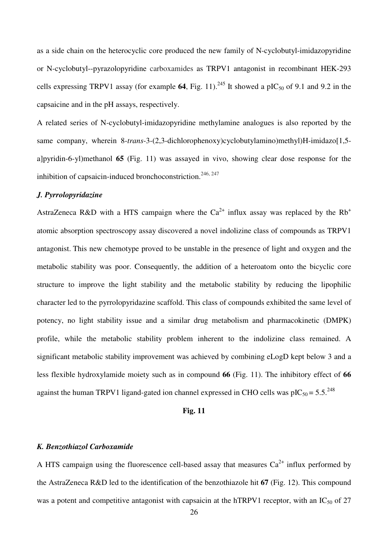as a side chain on the heterocyclic core produced the new family of N-cyclobutyl-imidazopyridine or N-cyclobutyl--pyrazolopyridine carboxamides as TRPV1 antagonist in recombinant HEK-293 cells expressing TRPV1 assay (for example 64, Fig. 11).<sup>245</sup> It showed a pIC<sub>50</sub> of 9.1 and 9.2 in the capsaicine and in the pH assays, respectively.

A related series of N-cyclobutyl-imidazopyridine methylamine analogues is also reported by the same company, wherein 8-*trans*-3-(2,3-dichlorophenoxy)cyclobutylamino)methyl)H-imidazo[1,5 a]pyridin-6-yl)methanol **65** (Fig. 11) was assayed in vivo, showing clear dose response for the inhibition of capsaicin-induced bronchoconstriction.<sup>246, 247</sup>

## *J. Pyrrolopyridazine*

AstraZeneca R&D with a HTS campaign where the  $Ca^{2+}$  influx assay was replaced by the Rb<sup>+</sup> atomic absorption spectroscopy assay discovered a novel indolizine class of compounds as TRPV1 antagonist. This new chemotype proved to be unstable in the presence of light and oxygen and the metabolic stability was poor. Consequently, the addition of a heteroatom onto the bicyclic core structure to improve the light stability and the metabolic stability by reducing the lipophilic character led to the pyrrolopyridazine scaffold. This class of compounds exhibited the same level of potency, no light stability issue and a similar drug metabolism and pharmacokinetic (DMPK) profile, while the metabolic stability problem inherent to the indolizine class remained. A significant metabolic stability improvement was achieved by combining eLogD kept below 3 and a less flexible hydroxylamide moiety such as in compound **66** (Fig. 11). The inhibitory effect of **66**  against the human TRPV1 ligand-gated ion channel expressed in CHO cells was  $pIC_{50} = 5.5^{248}$ 

## **Fig. 11**

#### *K. Benzothiazol Carboxamide*

A HTS campaign using the fluorescence cell-based assay that measures  $Ca^{2+}$  influx performed by the AstraZeneca R&D led to the identification of the benzothiazole hit **67** (Fig. 12). This compound was a potent and competitive antagonist with capsaicin at the hTRPV1 receptor, with an  $IC_{50}$  of 27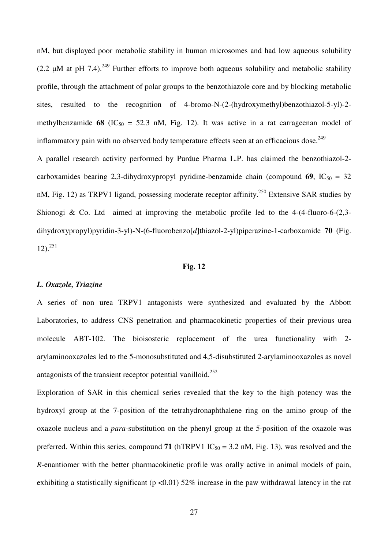nM, but displayed poor metabolic stability in human microsomes and had low aqueous solubility (2.2  $\mu$ M at pH 7.4).<sup>249</sup> Further efforts to improve both aqueous solubility and metabolic stability profile, through the attachment of polar groups to the benzothiazole core and by blocking metabolic sites, resulted to the recognition of 4-bromo-N-(2-(hydroxymethyl)benzothiazol-5-yl)-2 methylbenzamide **68** (IC<sub>50</sub> = 52.3 nM, Fig. 12). It was active in a rat carrageenan model of inflammatory pain with no observed body temperature effects seen at an efficacious dose.<sup>249</sup>

A parallel research activity performed by Purdue Pharma L.P. has claimed the benzothiazol-2 carboxamides bearing 2,3-dihydroxypropyl pyridine-benzamide chain (compound  $69$ ,  $IC_{50} = 32$ ) nM, Fig. 12) as TRPV1 ligand, possessing moderate receptor affinity.<sup>250</sup> Extensive SAR studies by Shionogi & Co. Ltd aimed at improving the metabolic profile led to the 4-(4-fluoro-6-(2,3 dihydroxypropyl)pyridin-3-yl)-N-(6-fluorobenzo[*d*]thiazol-2-yl)piperazine-1-carboxamide **70** (Fig.  $12$ ).<sup>251</sup>

#### **Fig. 12**

#### *L. Oxazole, Triazine*

A series of non urea TRPV1 antagonists were synthesized and evaluated by the Abbott Laboratories, to address CNS penetration and pharmacokinetic properties of their previous urea molecule ABT-102. The bioisosteric replacement of the urea functionality with 2 arylaminooxazoles led to the 5-monosubstituted and 4,5-disubstituted 2-arylaminooxazoles as novel antagonists of the transient receptor potential vanilloid.<sup>252</sup>

Exploration of SAR in this chemical series revealed that the key to the high potency was the hydroxyl group at the 7-position of the tetrahydronaphthalene ring on the amino group of the oxazole nucleus and a *para*-substitution on the phenyl group at the 5-position of the oxazole was preferred. Within this series, compound **71** (hTRPV1  $IC_{50} = 3.2$  nM, Fig. 13), was resolved and the *R*-enantiomer with the better pharmacokinetic profile was orally active in animal models of pain, exhibiting a statistically significant ( $p < 0.01$ ) 52% increase in the paw withdrawal latency in the rat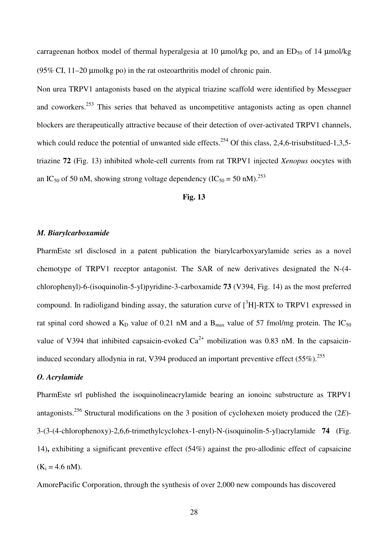carrageenan hotbox model of thermal hyperalgesia at 10  $\mu$ mol/kg po, and an ED<sub>50</sub> of 14  $\mu$ mol/kg (95% CI, 11–20 µmolkg po) in the rat osteoarthritis model of chronic pain.

Non urea TRPV1 antagonists based on the atypical triazine scaffold were identified by Messeguer and coworkers.<sup>253</sup> This series that behaved as uncompetitive antagonists acting as open channel blockers are therapeutically attractive because of their detection of over-activated TRPV1 channels, which could reduce the potential of unwanted side effects.<sup>254</sup> Of this class, 2,4,6-trisubstitued-1,3,5triazine **72** (Fig. 13) inhibited whole-cell currents from rat TRPV1 injected *Xenopus* oocytes with an IC<sub>50</sub> of 50 nM, showing strong voltage dependency (IC<sub>50</sub> = 50 nM).<sup>253</sup>

#### **Fig. 13**

## *M. Biarylcarboxamide*

PharmEste srl disclosed in a patent publication the biarylcarboxyarylamide series as a novel chemotype of TRPV1 receptor antagonist. The SAR of new derivatives designated the N-(4 chlorophenyl)-6-(isoquinolin-5-yl)pyridine-3-carboxamide **73** (V394, Fig. 14) as the most preferred compound. In radioligand binding assay, the saturation curve of  $\int^3 H$ ]-RTX to TRPV1 expressed in rat spinal cord showed a  $K_D$  value of 0.21 nM and a  $B_{max}$  value of 57 fmol/mg protein. The IC<sub>50</sub> value of V394 that inhibited capsaicin-evoked  $Ca^{2+}$  mobilization was 0.83 nM. In the capsaicininduced secondary allodynia in rat, V394 produced an important preventive effect  $(55\%)$ <sup>255</sup>

#### *O. Acrylamide*

PharmEste srl published the isoquinolineacrylamide bearing an ionoinc substructure as TRPV1 antagonists.<sup>256</sup> Structural modifications on the 3 position of cyclohexen moiety produced the (2*E*)- 3-(3-(4-chlorophenoxy)-2,6,6-trimethylcyclohex-1-enyl)-N-(isoquinolin-5-yl)acrylamide **74** (Fig. 14)**,** exhibiting a significant preventive effect (54%) against the pro-allodinic effect of capsaicine  $(K_i = 4.6 \text{ nM}).$ 

AmorePacific Corporation, through the synthesis of over 2,000 new compounds has discovered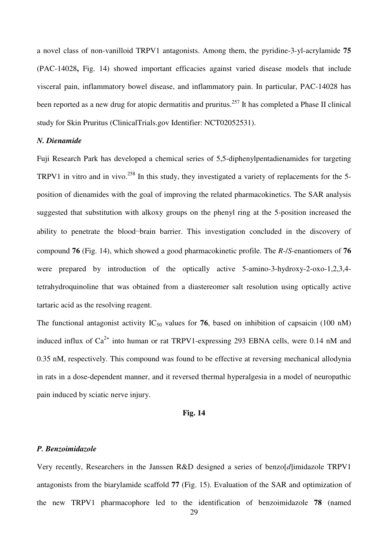a novel class of non-vanilloid TRPV1 antagonists. Among them, the pyridine-3-yl-acrylamide **75** (PAC-14028**,** Fig. 14) showed important efficacies against varied disease models that include visceral pain, inflammatory bowel disease, and inflammatory pain. In particular, PAC-14028 has been reported as a new drug for atopic dermatitis and pruritus.<sup>257</sup> It has completed a Phase II clinical study for Skin Pruritus (ClinicalTrials.gov Identifier: NCT02052531).

## *N. Dienamide*

Fuji Research Park has developed a chemical series of 5,5-diphenylpentadienamides for targeting TRPV1 in vitro and in vivo.<sup>258</sup> In this study, they investigated a variety of replacements for the 5position of dienamides with the goal of improving the related pharmacokinetics. The SAR analysis suggested that substitution with alkoxy groups on the phenyl ring at the 5-position increased the ability to penetrate the blood−brain barrier. This investigation concluded in the discovery of compound **76** (Fig. 14), which showed a good pharmacokinetic profile. The *R*-/*S*-enantiomers of **76**  were prepared by introduction of the optically active 5-amino-3-hydroxy-2-oxo-1,2,3,4 tetrahydroquinoline that was obtained from a diastereomer salt resolution using optically active tartaric acid as the resolving reagent.

The functional antagonist activity  $IC_{50}$  values for **76**, based on inhibition of capsaicin (100 nM) induced influx of  $Ca^{2+}$  into human or rat TRPV1-expressing 293 EBNA cells, were 0.14 nM and 0.35 nM, respectively. This compound was found to be effective at reversing mechanical allodynia in rats in a dose-dependent manner, and it reversed thermal hyperalgesia in a model of neuropathic pain induced by sciatic nerve injury.

#### **Fig. 14**

#### *P. Benzoimidazole*

Very recently, Researchers in the Janssen R&D designed a series of benzo[*d*]imidazole TRPV1 antagonists from the biarylamide scaffold **77** (Fig. 15). Evaluation of the SAR and optimization of the new TRPV1 pharmacophore led to the identification of benzoimidazole **78** (named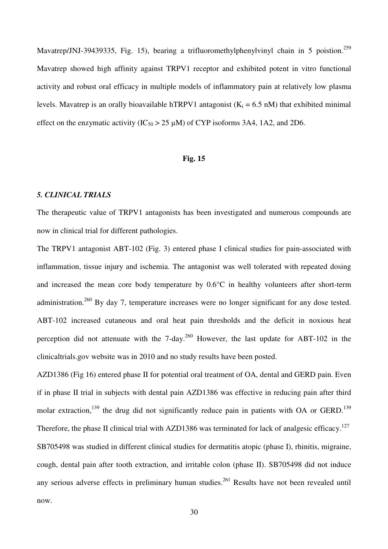Mavatrep/JNJ-39439335, Fig. 15), bearing a trifluoromethylphenylvinyl chain in 5 poistion.<sup>259</sup> Mavatrep showed high affinity against TRPV1 receptor and exhibited potent in vitro functional activity and robust oral efficacy in multiple models of inflammatory pain at relatively low plasma levels. Mavatrep is an orally bioavailable hTRPV1 antagonist  $(K_i = 6.5 \text{ nM})$  that exhibited minimal effect on the enzymatic activity  $(IC_{50} > 25 \mu M)$  of CYP isoforms 3A4, 1A2, and 2D6.

#### **Fig. 15**

#### *5. CLINICAL TRIALS*

The therapeutic value of TRPV1 antagonists has been investigated and numerous compounds are now in clinical trial for different pathologies.

The TRPV1 antagonist ABT-102 (Fig. 3) entered phase I clinical studies for pain-associated with inflammation, tissue injury and ischemia. The antagonist was well tolerated with repeated dosing and increased the mean core body temperature by 0.6°C in healthy volunteers after short-term administration.<sup>260</sup> By day 7, temperature increases were no longer significant for any dose tested. ABT-102 increased cutaneous and oral heat pain thresholds and the deficit in noxious heat perception did not attenuate with the  $7$ -day.<sup>260</sup> However, the last update for ABT-102 in the clinicaltrials.gov website was in 2010 and no study results have been posted.

AZD1386 (Fig 16) entered phase II for potential oral treatment of OA, dental and GERD pain. Even if in phase II trial in subjects with dental pain AZD1386 was effective in reducing pain after third molar extraction,<sup>139</sup> the drug did not significantly reduce pain in patients with OA or GERD.<sup>139</sup> Therefore, the phase II clinical trial with AZD1386 was terminated for lack of analgesic efficacy.<sup>127</sup> SB705498 was studied in different clinical studies for dermatitis atopic (phase I), rhinitis, migraine, cough, dental pain after tooth extraction, and irritable colon (phase II). SB705498 did not induce any serious adverse effects in preliminary human studies.<sup>261</sup> Results have not been revealed until now.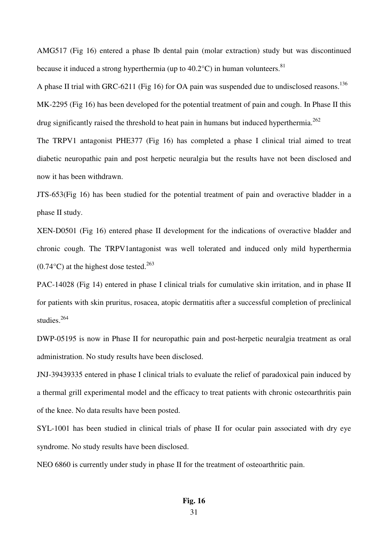AMG517 (Fig 16) entered a phase Ib dental pain (molar extraction) study but was discontinued because it induced a strong hyperthermia (up to  $40.2^{\circ}$ C) in human volunteers.<sup>81</sup>

A phase II trial with GRC-6211 (Fig 16) for OA pain was suspended due to undisclosed reasons.<sup>136</sup> MK-2295 (Fig 16) has been developed for the potential treatment of pain and cough. In Phase II this drug significantly raised the threshold to heat pain in humans but induced hyperthermia.<sup>262</sup>

The TRPV1 antagonist PHE377 (Fig 16) has completed a phase I clinical trial aimed to treat diabetic neuropathic pain and post herpetic neuralgia but the results have not been disclosed and now it has been withdrawn.

JTS-653(Fig 16) has been studied for the potential treatment of pain and overactive bladder in a phase II study.

XEN-D0501 (Fig 16) entered phase II development for the indications of overactive bladder and chronic cough. The TRPV1antagonist was well tolerated and induced only mild hyperthermia  $(0.74\textdegree C)$  at the highest dose tested.<sup>263</sup>

PAC-14028 (Fig 14) entered in phase I clinical trials for cumulative skin irritation, and in phase II for patients with skin pruritus, rosacea, atopic dermatitis after a successful completion of preclinical studies.<sup>264</sup>

DWP-05195 is now in Phase II for neuropathic pain and post-herpetic neuralgia treatment as oral administration. No study results have been disclosed.

JNJ-39439335 entered in phase I clinical trials to evaluate the relief of paradoxical pain induced by a thermal grill experimental model and the efficacy to treat patients with chronic osteoarthritis pain of the knee. No data results have been posted.

SYL-1001 has been studied in clinical trials of phase II for ocular pain associated with dry eye syndrome. No study results have been disclosed.

NEO 6860 is currently under study in phase II for the treatment of osteoarthritic pain.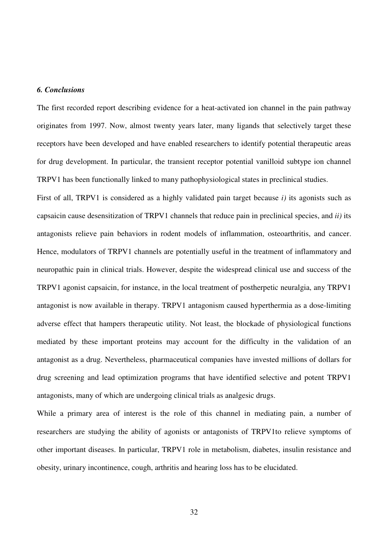## *6. Conclusions*

The first recorded report describing evidence for a heat-activated ion channel in the pain pathway originates from 1997. Now, almost twenty years later, many ligands that selectively target these receptors have been developed and have enabled researchers to identify potential therapeutic areas for drug development. In particular, the transient receptor potential vanilloid subtype ion channel TRPV1 has been functionally linked to many pathophysiological states in preclinical studies.

First of all, TRPV1 is considered as a highly validated pain target because *i)* its agonists such as capsaicin cause desensitization of TRPV1 channels that reduce pain in preclinical species, and *ii)* its antagonists relieve pain behaviors in rodent models of inflammation, osteoarthritis, and cancer. Hence, modulators of TRPV1 channels are potentially useful in the treatment of inflammatory and neuropathic pain in clinical trials. However, despite the widespread clinical use and success of the TRPV1 agonist capsaicin, for instance, in the local treatment of postherpetic neuralgia, any TRPV1 antagonist is now available in therapy. TRPV1 antagonism caused hyperthermia as a dose-limiting adverse effect that hampers therapeutic utility. Not least, the blockade of physiological functions mediated by these important proteins may account for the difficulty in the validation of an antagonist as a drug. Nevertheless, pharmaceutical companies have invested millions of dollars for drug screening and lead optimization programs that have identified selective and potent TRPV1 antagonists, many of which are undergoing clinical trials as analgesic drugs.

While a primary area of interest is the role of this channel in mediating pain, a number of researchers are studying the ability of agonists or antagonists of TRPV1to relieve symptoms of other important diseases. In particular, TRPV1 role in metabolism, diabetes, insulin resistance and obesity, urinary incontinence, cough, arthritis and hearing loss has to be elucidated.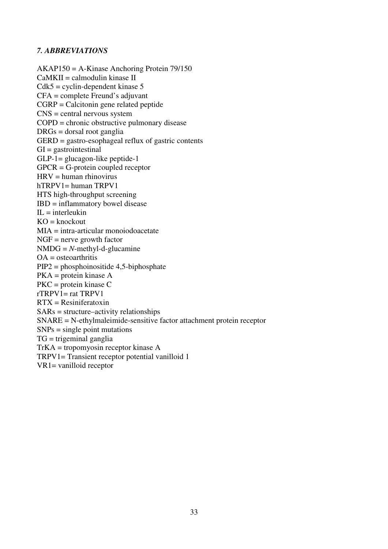## *7. ABBREVIATIONS*

AKAP150 = A-Kinase Anchoring Protein 79/150 CaMKII = calmodulin kinase II  $Cdk5 = cyclin-dependent kinase 5$ CFA = complete Freund's adjuvant CGRP = Calcitonin gene related peptide CNS = central nervous system COPD = chronic obstructive pulmonary disease DRGs = dorsal root ganglia  $GERD =$  gastro-esophageal reflux of gastric contents  $GI =$  gastrointestinal GLP-1= glucagon-like peptide-1 GPCR = G-protein coupled receptor HRV = human rhinovirus hTRPV1= human TRPV1 HTS high-throughput screening IBD = inflammatory bowel disease  $IL = interleukin$  $KO =$ knockout MIA = intra-articular monoiodoacetate  $NGF =$  nerve growth factor  $NMDG = N$ -methyl-d-glucamine  $OA =$ oste $o$ arthritis PIP2 = phosphoinositide 4,5-biphosphate PKA = protein kinase A PKC = protein kinase C  $rTRPV1 = rat TRPV1$ RTX = Resiniferatoxin  $SARs = structure–activity$  relationships SNARE = N-ethylmaleimide-sensitive factor attachment protein receptor  $SNPs = single point$  mutations TG = trigeminal ganglia TrKA = tropomyosin receptor kinase A TRPV1= Transient receptor potential vanilloid 1 VR1= vanilloid receptor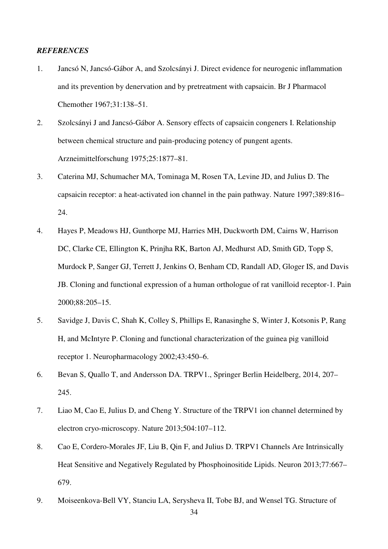#### *REFERENCES*

- 1. Jancsó N, Jancsó-Gábor A, and Szolcsányi J. Direct evidence for neurogenic inflammation and its prevention by denervation and by pretreatment with capsaicin. Br J Pharmacol Chemother 1967;31:138–51.
- 2. Szolcsányi J and Jancsó-Gábor A. Sensory effects of capsaicin congeners I. Relationship between chemical structure and pain-producing potency of pungent agents. Arzneimittelforschung 1975;25:1877–81.
- 3. Caterina MJ, Schumacher MA, Tominaga M, Rosen TA, Levine JD, and Julius D. The capsaicin receptor: a heat-activated ion channel in the pain pathway. Nature 1997;389:816– 24.
- 4. Hayes P, Meadows HJ, Gunthorpe MJ, Harries MH, Duckworth DM, Cairns W, Harrison DC, Clarke CE, Ellington K, Prinjha RK, Barton AJ, Medhurst AD, Smith GD, Topp S, Murdock P, Sanger GJ, Terrett J, Jenkins O, Benham CD, Randall AD, Gloger IS, and Davis JB. Cloning and functional expression of a human orthologue of rat vanilloid receptor-1. Pain 2000;88:205–15.
- 5. Savidge J, Davis C, Shah K, Colley S, Phillips E, Ranasinghe S, Winter J, Kotsonis P, Rang H, and McIntyre P. Cloning and functional characterization of the guinea pig vanilloid receptor 1. Neuropharmacology 2002;43:450–6.
- 6. Bevan S, Quallo T, and Andersson DA. TRPV1., Springer Berlin Heidelberg, 2014, 207– 245.
- 7. Liao M, Cao E, Julius D, and Cheng Y. Structure of the TRPV1 ion channel determined by electron cryo-microscopy. Nature 2013;504:107–112.
- 8. Cao E, Cordero-Morales JF, Liu B, Qin F, and Julius D. TRPV1 Channels Are Intrinsically Heat Sensitive and Negatively Regulated by Phosphoinositide Lipids. Neuron 2013;77:667– 679.
- 9. Moiseenkova-Bell VY, Stanciu LA, Serysheva II, Tobe BJ, and Wensel TG. Structure of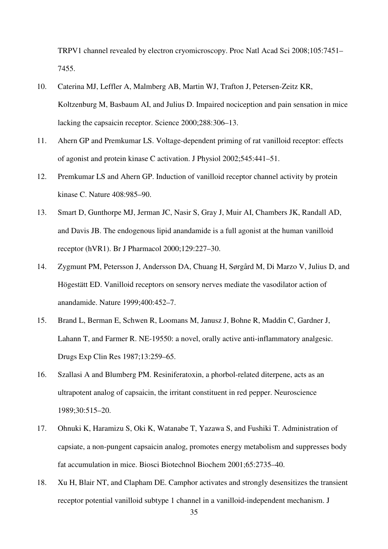TRPV1 channel revealed by electron cryomicroscopy. Proc Natl Acad Sci 2008;105:7451– 7455.

- 10. Caterina MJ, Leffler A, Malmberg AB, Martin WJ, Trafton J, Petersen-Zeitz KR, Koltzenburg M, Basbaum AI, and Julius D. Impaired nociception and pain sensation in mice lacking the capsaicin receptor. Science 2000;288:306–13.
- 11. Ahern GP and Premkumar LS. Voltage-dependent priming of rat vanilloid receptor: effects of agonist and protein kinase C activation. J Physiol 2002;545:441–51.
- 12. Premkumar LS and Ahern GP. Induction of vanilloid receptor channel activity by protein kinase C. Nature 408:985–90.
- 13. Smart D, Gunthorpe MJ, Jerman JC, Nasir S, Gray J, Muir AI, Chambers JK, Randall AD, and Davis JB. The endogenous lipid anandamide is a full agonist at the human vanilloid receptor (hVR1). Br J Pharmacol 2000;129:227–30.
- 14. Zygmunt PM, Petersson J, Andersson DA, Chuang H, Sørgård M, Di Marzo V, Julius D, and Högestätt ED. Vanilloid receptors on sensory nerves mediate the vasodilator action of anandamide. Nature 1999;400:452–7.
- 15. Brand L, Berman E, Schwen R, Loomans M, Janusz J, Bohne R, Maddin C, Gardner J, Lahann T, and Farmer R. NE-19550: a novel, orally active anti-inflammatory analgesic. Drugs Exp Clin Res 1987;13:259–65.
- 16. Szallasi A and Blumberg PM. Resiniferatoxin, a phorbol-related diterpene, acts as an ultrapotent analog of capsaicin, the irritant constituent in red pepper. Neuroscience 1989;30:515–20.
- 17. Ohnuki K, Haramizu S, Oki K, Watanabe T, Yazawa S, and Fushiki T. Administration of capsiate, a non-pungent capsaicin analog, promotes energy metabolism and suppresses body fat accumulation in mice. Biosci Biotechnol Biochem 2001;65:2735–40.
- 18. Xu H, Blair NT, and Clapham DE. Camphor activates and strongly desensitizes the transient receptor potential vanilloid subtype 1 channel in a vanilloid-independent mechanism. J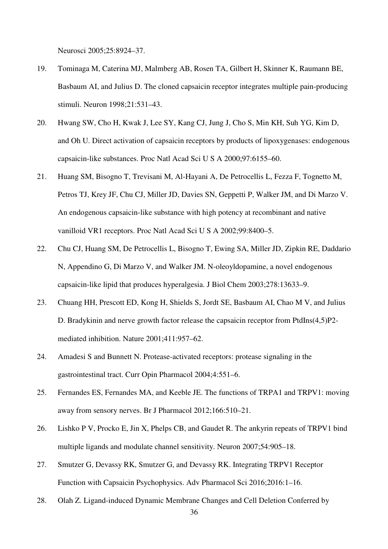Neurosci 2005;25:8924–37.

- 19. Tominaga M, Caterina MJ, Malmberg AB, Rosen TA, Gilbert H, Skinner K, Raumann BE, Basbaum AI, and Julius D. The cloned capsaicin receptor integrates multiple pain-producing stimuli. Neuron 1998;21:531–43.
- 20. Hwang SW, Cho H, Kwak J, Lee SY, Kang CJ, Jung J, Cho S, Min KH, Suh YG, Kim D, and Oh U. Direct activation of capsaicin receptors by products of lipoxygenases: endogenous capsaicin-like substances. Proc Natl Acad Sci U S A 2000;97:6155–60.
- 21. Huang SM, Bisogno T, Trevisani M, Al-Hayani A, De Petrocellis L, Fezza F, Tognetto M, Petros TJ, Krey JF, Chu CJ, Miller JD, Davies SN, Geppetti P, Walker JM, and Di Marzo V. An endogenous capsaicin-like substance with high potency at recombinant and native vanilloid VR1 receptors. Proc Natl Acad Sci U S A 2002;99:8400–5.
- 22. Chu CJ, Huang SM, De Petrocellis L, Bisogno T, Ewing SA, Miller JD, Zipkin RE, Daddario N, Appendino G, Di Marzo V, and Walker JM. N-oleoyldopamine, a novel endogenous capsaicin-like lipid that produces hyperalgesia. J Biol Chem 2003;278:13633–9.
- 23. Chuang HH, Prescott ED, Kong H, Shields S, Jordt SE, Basbaum AI, Chao M V, and Julius D. Bradykinin and nerve growth factor release the capsaicin receptor from PtdIns(4,5)P2 mediated inhibition. Nature 2001;411:957–62.
- 24. Amadesi S and Bunnett N. Protease-activated receptors: protease signaling in the gastrointestinal tract. Curr Opin Pharmacol 2004;4:551–6.
- 25. Fernandes ES, Fernandes MA, and Keeble JE. The functions of TRPA1 and TRPV1: moving away from sensory nerves. Br J Pharmacol 2012;166:510–21.
- 26. Lishko P V, Procko E, Jin X, Phelps CB, and Gaudet R. The ankyrin repeats of TRPV1 bind multiple ligands and modulate channel sensitivity. Neuron 2007;54:905–18.
- 27. Smutzer G, Devassy RK, Smutzer G, and Devassy RK. Integrating TRPV1 Receptor Function with Capsaicin Psychophysics. Adv Pharmacol Sci 2016;2016:1–16.
- 28. Olah Z. Ligand-induced Dynamic Membrane Changes and Cell Deletion Conferred by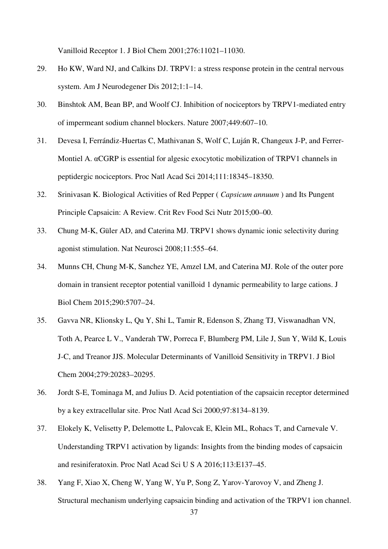Vanilloid Receptor 1. J Biol Chem 2001;276:11021–11030.

- 29. Ho KW, Ward NJ, and Calkins DJ. TRPV1: a stress response protein in the central nervous system. Am J Neurodegener Dis 2012;1:1–14.
- 30. Binshtok AM, Bean BP, and Woolf CJ. Inhibition of nociceptors by TRPV1-mediated entry of impermeant sodium channel blockers. Nature 2007;449:607–10.
- 31. Devesa I, Ferrándiz-Huertas C, Mathivanan S, Wolf C, Luján R, Changeux J-P, and Ferrer-Montiel A. αCGRP is essential for algesic exocytotic mobilization of TRPV1 channels in peptidergic nociceptors. Proc Natl Acad Sci 2014;111:18345–18350.
- 32. Srinivasan K. Biological Activities of Red Pepper ( *Capsicum annuum* ) and Its Pungent Principle Capsaicin: A Review. Crit Rev Food Sci Nutr 2015;00–00.
- 33. Chung M-K, Güler AD, and Caterina MJ. TRPV1 shows dynamic ionic selectivity during agonist stimulation. Nat Neurosci 2008;11:555–64.
- 34. Munns CH, Chung M-K, Sanchez YE, Amzel LM, and Caterina MJ. Role of the outer pore domain in transient receptor potential vanilloid 1 dynamic permeability to large cations. J Biol Chem 2015;290:5707–24.
- 35. Gavva NR, Klionsky L, Qu Y, Shi L, Tamir R, Edenson S, Zhang TJ, Viswanadhan VN, Toth A, Pearce L V., Vanderah TW, Porreca F, Blumberg PM, Lile J, Sun Y, Wild K, Louis J-C, and Treanor JJS. Molecular Determinants of Vanilloid Sensitivity in TRPV1. J Biol Chem 2004;279:20283–20295.
- 36. Jordt S-E, Tominaga M, and Julius D. Acid potentiation of the capsaicin receptor determined by a key extracellular site. Proc Natl Acad Sci 2000;97:8134–8139.
- 37. Elokely K, Velisetty P, Delemotte L, Palovcak E, Klein ML, Rohacs T, and Carnevale V. Understanding TRPV1 activation by ligands: Insights from the binding modes of capsaicin and resiniferatoxin. Proc Natl Acad Sci U S A 2016;113:E137–45.
- 38. Yang F, Xiao X, Cheng W, Yang W, Yu P, Song Z, Yarov-Yarovoy V, and Zheng J. Structural mechanism underlying capsaicin binding and activation of the TRPV1 ion channel.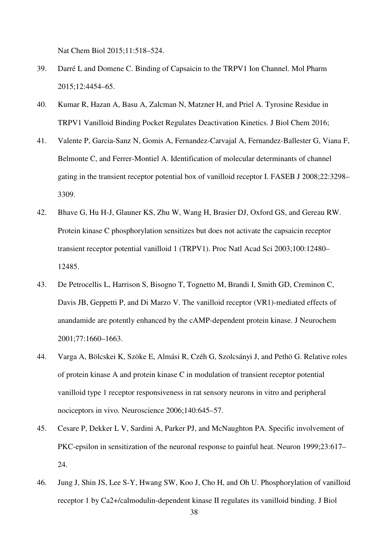Nat Chem Biol 2015;11:518–524.

- 39. Darré L and Domene C. Binding of Capsaicin to the TRPV1 Ion Channel. Mol Pharm 2015;12:4454–65.
- 40. Kumar R, Hazan A, Basu A, Zalcman N, Matzner H, and Priel A. Tyrosine Residue in TRPV1 Vanilloid Binding Pocket Regulates Deactivation Kinetics. J Biol Chem 2016;
- 41. Valente P, Garcia-Sanz N, Gomis A, Fernandez-Carvajal A, Fernandez-Ballester G, Viana F, Belmonte C, and Ferrer-Montiel A. Identification of molecular determinants of channel gating in the transient receptor potential box of vanilloid receptor I. FASEB J 2008;22:3298– 3309.
- 42. Bhave G, Hu H-J, Glauner KS, Zhu W, Wang H, Brasier DJ, Oxford GS, and Gereau RW. Protein kinase C phosphorylation sensitizes but does not activate the capsaicin receptor transient receptor potential vanilloid 1 (TRPV1). Proc Natl Acad Sci 2003;100:12480– 12485.
- 43. De Petrocellis L, Harrison S, Bisogno T, Tognetto M, Brandi I, Smith GD, Creminon C, Davis JB, Geppetti P, and Di Marzo V. The vanilloid receptor (VR1)-mediated effects of anandamide are potently enhanced by the cAMP-dependent protein kinase. J Neurochem 2001;77:1660–1663.
- 44. Varga A, Bölcskei K, Szöke E, Almási R, Czéh G, Szolcsányi J, and Pethö G. Relative roles of protein kinase A and protein kinase C in modulation of transient receptor potential vanilloid type 1 receptor responsiveness in rat sensory neurons in vitro and peripheral nociceptors in vivo. Neuroscience 2006;140:645–57.
- 45. Cesare P, Dekker L V, Sardini A, Parker PJ, and McNaughton PA. Specific involvement of PKC-epsilon in sensitization of the neuronal response to painful heat. Neuron 1999;23:617– 24.
- 46. Jung J, Shin JS, Lee S-Y, Hwang SW, Koo J, Cho H, and Oh U. Phosphorylation of vanilloid receptor 1 by Ca2+/calmodulin-dependent kinase II regulates its vanilloid binding. J Biol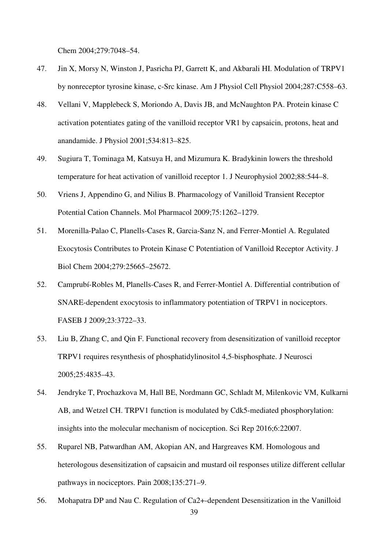Chem 2004;279:7048–54.

- 47. Jin X, Morsy N, Winston J, Pasricha PJ, Garrett K, and Akbarali HI. Modulation of TRPV1 by nonreceptor tyrosine kinase, c-Src kinase. Am J Physiol Cell Physiol 2004;287:C558–63.
- 48. Vellani V, Mapplebeck S, Moriondo A, Davis JB, and McNaughton PA. Protein kinase C activation potentiates gating of the vanilloid receptor VR1 by capsaicin, protons, heat and anandamide. J Physiol 2001;534:813–825.
- 49. Sugiura T, Tominaga M, Katsuya H, and Mizumura K. Bradykinin lowers the threshold temperature for heat activation of vanilloid receptor 1. J Neurophysiol 2002;88:544–8.
- 50. Vriens J, Appendino G, and Nilius B. Pharmacology of Vanilloid Transient Receptor Potential Cation Channels. Mol Pharmacol 2009;75:1262–1279.
- 51. Morenilla-Palao C, Planells-Cases R, Garcia-Sanz N, and Ferrer-Montiel A. Regulated Exocytosis Contributes to Protein Kinase C Potentiation of Vanilloid Receptor Activity. J Biol Chem 2004;279:25665–25672.
- 52. Camprubí-Robles M, Planells-Cases R, and Ferrer-Montiel A. Differential contribution of SNARE-dependent exocytosis to inflammatory potentiation of TRPV1 in nociceptors. FASEB J 2009;23:3722–33.
- 53. Liu B, Zhang C, and Qin F. Functional recovery from desensitization of vanilloid receptor TRPV1 requires resynthesis of phosphatidylinositol 4,5-bisphosphate. J Neurosci 2005;25:4835–43.
- 54. Jendryke T, Prochazkova M, Hall BE, Nordmann GC, Schladt M, Milenkovic VM, Kulkarni AB, and Wetzel CH. TRPV1 function is modulated by Cdk5-mediated phosphorylation: insights into the molecular mechanism of nociception. Sci Rep 2016;6:22007.
- 55. Ruparel NB, Patwardhan AM, Akopian AN, and Hargreaves KM. Homologous and heterologous desensitization of capsaicin and mustard oil responses utilize different cellular pathways in nociceptors. Pain 2008;135:271–9.
- 56. Mohapatra DP and Nau C. Regulation of Ca2+-dependent Desensitization in the Vanilloid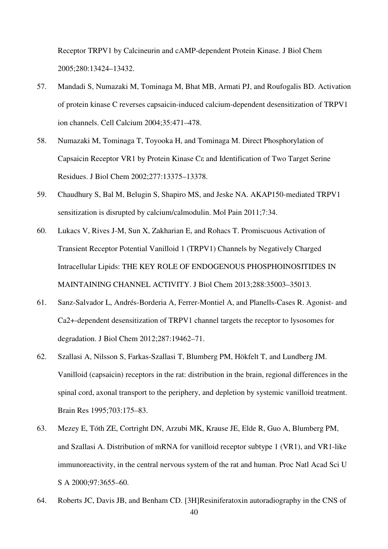Receptor TRPV1 by Calcineurin and cAMP-dependent Protein Kinase. J Biol Chem 2005;280:13424–13432.

- 57. Mandadi S, Numazaki M, Tominaga M, Bhat MB, Armati PJ, and Roufogalis BD. Activation of protein kinase C reverses capsaicin-induced calcium-dependent desensitization of TRPV1 ion channels. Cell Calcium 2004;35:471–478.
- 58. Numazaki M, Tominaga T, Toyooka H, and Tominaga M. Direct Phosphorylation of Capsaicin Receptor VR1 by Protein Kinase Cε and Identification of Two Target Serine Residues. J Biol Chem 2002;277:13375–13378.
- 59. Chaudhury S, Bal M, Belugin S, Shapiro MS, and Jeske NA. AKAP150-mediated TRPV1 sensitization is disrupted by calcium/calmodulin. Mol Pain 2011;7:34.
- 60. Lukacs V, Rives J-M, Sun X, Zakharian E, and Rohacs T. Promiscuous Activation of Transient Receptor Potential Vanilloid 1 (TRPV1) Channels by Negatively Charged Intracellular Lipids: THE KEY ROLE OF ENDOGENOUS PHOSPHOINOSITIDES IN MAINTAINING CHANNEL ACTIVITY. J Biol Chem 2013;288:35003–35013.
- 61. Sanz-Salvador L, Andrés-Borderia A, Ferrer-Montiel A, and Planells-Cases R. Agonist- and Ca2+-dependent desensitization of TRPV1 channel targets the receptor to lysosomes for degradation. J Biol Chem 2012;287:19462–71.
- 62. Szallasi A, Nilsson S, Farkas-Szallasi T, Blumberg PM, Hökfelt T, and Lundberg JM. Vanilloid (capsaicin) receptors in the rat: distribution in the brain, regional differences in the spinal cord, axonal transport to the periphery, and depletion by systemic vanilloid treatment. Brain Res 1995;703:175–83.
- 63. Mezey E, Tóth ZE, Cortright DN, Arzubi MK, Krause JE, Elde R, Guo A, Blumberg PM, and Szallasi A. Distribution of mRNA for vanilloid receptor subtype 1 (VR1), and VR1-like immunoreactivity, in the central nervous system of the rat and human. Proc Natl Acad Sci U S A 2000;97:3655-60.
- 64. Roberts JC, Davis JB, and Benham CD. [3H]Resiniferatoxin autoradiography in the CNS of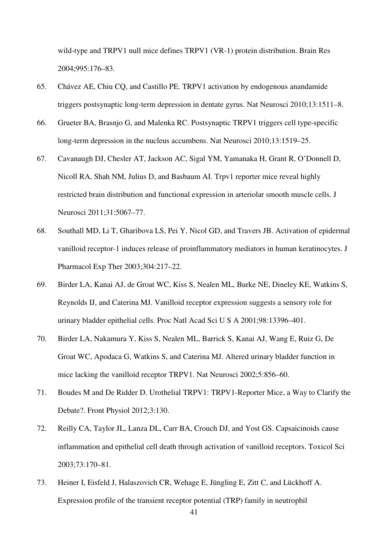wild-type and TRPV1 null mice defines TRPV1 (VR-1) protein distribution. Brain Res 2004;995:176–83.

- 65. Chávez AE, Chiu CQ, and Castillo PE. TRPV1 activation by endogenous anandamide triggers postsynaptic long-term depression in dentate gyrus. Nat Neurosci 2010;13:1511–8.
- 66. Grueter BA, Brasnjo G, and Malenka RC. Postsynaptic TRPV1 triggers cell type-specific long-term depression in the nucleus accumbens. Nat Neurosci 2010;13:1519–25.
- 67. Cavanaugh DJ, Chesler AT, Jackson AC, Sigal YM, Yamanaka H, Grant R, O'Donnell D, Nicoll RA, Shah NM, Julius D, and Basbaum AI. Trpv1 reporter mice reveal highly restricted brain distribution and functional expression in arteriolar smooth muscle cells. J Neurosci 2011;31:5067–77.
- 68. Southall MD, Li T, Gharibova LS, Pei Y, Nicol GD, and Travers JB. Activation of epidermal vanilloid receptor-1 induces release of proinflammatory mediators in human keratinocytes. J Pharmacol Exp Ther 2003;304:217–22.
- 69. Birder LA, Kanai AJ, de Groat WC, Kiss S, Nealen ML, Burke NE, Dineley KE, Watkins S, Reynolds IJ, and Caterina MJ. Vanilloid receptor expression suggests a sensory role for urinary bladder epithelial cells. Proc Natl Acad Sci U S A 2001;98:13396–401.
- 70. Birder LA, Nakamura Y, Kiss S, Nealen ML, Barrick S, Kanai AJ, Wang E, Ruiz G, De Groat WC, Apodaca G, Watkins S, and Caterina MJ. Altered urinary bladder function in mice lacking the vanilloid receptor TRPV1. Nat Neurosci 2002;5:856–60.
- 71. Boudes M and De Ridder D. Urothelial TRPV1: TRPV1-Reporter Mice, a Way to Clarify the Debate?. Front Physiol 2012;3:130.
- 72. Reilly CA, Taylor JL, Lanza DL, Carr BA, Crouch DJ, and Yost GS. Capsaicinoids cause inflammation and epithelial cell death through activation of vanilloid receptors. Toxicol Sci 2003;73:170–81.
- 73. Heiner I, Eisfeld J, Halaszovich CR, Wehage E, Jüngling E, Zitt C, and Lückhoff A. Expression profile of the transient receptor potential (TRP) family in neutrophil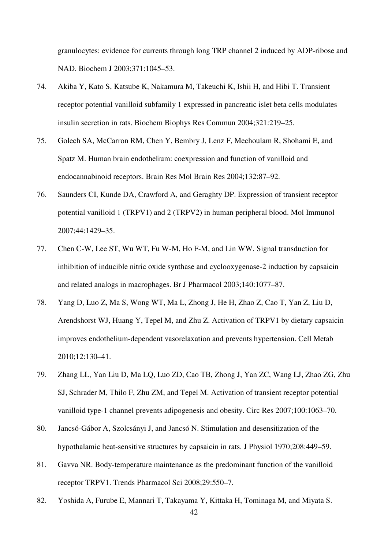granulocytes: evidence for currents through long TRP channel 2 induced by ADP-ribose and NAD. Biochem J 2003;371:1045–53.

- 74. Akiba Y, Kato S, Katsube K, Nakamura M, Takeuchi K, Ishii H, and Hibi T. Transient receptor potential vanilloid subfamily 1 expressed in pancreatic islet beta cells modulates insulin secretion in rats. Biochem Biophys Res Commun 2004;321:219–25.
- 75. Golech SA, McCarron RM, Chen Y, Bembry J, Lenz F, Mechoulam R, Shohami E, and Spatz M. Human brain endothelium: coexpression and function of vanilloid and endocannabinoid receptors. Brain Res Mol Brain Res 2004;132:87–92.
- 76. Saunders CI, Kunde DA, Crawford A, and Geraghty DP. Expression of transient receptor potential vanilloid 1 (TRPV1) and 2 (TRPV2) in human peripheral blood. Mol Immunol 2007;44:1429–35.
- 77. Chen C-W, Lee ST, Wu WT, Fu W-M, Ho F-M, and Lin WW. Signal transduction for inhibition of inducible nitric oxide synthase and cyclooxygenase-2 induction by capsaicin and related analogs in macrophages. Br J Pharmacol 2003;140:1077–87.
- 78. Yang D, Luo Z, Ma S, Wong WT, Ma L, Zhong J, He H, Zhao Z, Cao T, Yan Z, Liu D, Arendshorst WJ, Huang Y, Tepel M, and Zhu Z. Activation of TRPV1 by dietary capsaicin improves endothelium-dependent vasorelaxation and prevents hypertension. Cell Metab 2010;12:130–41.
- 79. Zhang LL, Yan Liu D, Ma LQ, Luo ZD, Cao TB, Zhong J, Yan ZC, Wang LJ, Zhao ZG, Zhu SJ, Schrader M, Thilo F, Zhu ZM, and Tepel M. Activation of transient receptor potential vanilloid type-1 channel prevents adipogenesis and obesity. Circ Res 2007;100:1063–70.
- 80. Jancsó-Gábor A, Szolcsányi J, and Jancsó N. Stimulation and desensitization of the hypothalamic heat-sensitive structures by capsaicin in rats. J Physiol 1970;208:449–59.
- 81. Gavva NR. Body-temperature maintenance as the predominant function of the vanilloid receptor TRPV1. Trends Pharmacol Sci 2008;29:550–7.
- 82. Yoshida A, Furube E, Mannari T, Takayama Y, Kittaka H, Tominaga M, and Miyata S.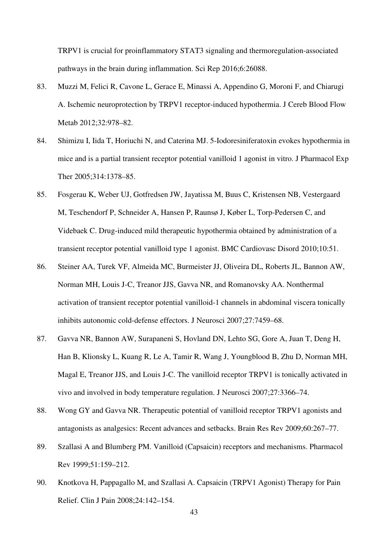TRPV1 is crucial for proinflammatory STAT3 signaling and thermoregulation-associated pathways in the brain during inflammation. Sci Rep 2016;6:26088.

- 83. Muzzi M, Felici R, Cavone L, Gerace E, Minassi A, Appendino G, Moroni F, and Chiarugi A. Ischemic neuroprotection by TRPV1 receptor-induced hypothermia. J Cereb Blood Flow Metab 2012;32:978–82.
- 84. Shimizu I, Iida T, Horiuchi N, and Caterina MJ. 5-Iodoresiniferatoxin evokes hypothermia in mice and is a partial transient receptor potential vanilloid 1 agonist in vitro. J Pharmacol Exp Ther 2005;314:1378–85.
- 85. Fosgerau K, Weber UJ, Gotfredsen JW, Jayatissa M, Buus C, Kristensen NB, Vestergaard M, Teschendorf P, Schneider A, Hansen P, Raunsø J, Køber L, Torp-Pedersen C, and Videbaek C. Drug-induced mild therapeutic hypothermia obtained by administration of a transient receptor potential vanilloid type 1 agonist. BMC Cardiovasc Disord 2010;10:51.
- 86. Steiner AA, Turek VF, Almeida MC, Burmeister JJ, Oliveira DL, Roberts JL, Bannon AW, Norman MH, Louis J-C, Treanor JJS, Gavva NR, and Romanovsky AA. Nonthermal activation of transient receptor potential vanilloid-1 channels in abdominal viscera tonically inhibits autonomic cold-defense effectors. J Neurosci 2007;27:7459–68.
- 87. Gavva NR, Bannon AW, Surapaneni S, Hovland DN, Lehto SG, Gore A, Juan T, Deng H, Han B, Klionsky L, Kuang R, Le A, Tamir R, Wang J, Youngblood B, Zhu D, Norman MH, Magal E, Treanor JJS, and Louis J-C. The vanilloid receptor TRPV1 is tonically activated in vivo and involved in body temperature regulation. J Neurosci 2007;27:3366–74.
- 88. Wong GY and Gavva NR. Therapeutic potential of vanilloid receptor TRPV1 agonists and antagonists as analgesics: Recent advances and setbacks. Brain Res Rev 2009;60:267–77.
- 89. Szallasi A and Blumberg PM. Vanilloid (Capsaicin) receptors and mechanisms. Pharmacol Rev 1999;51:159–212.
- 90. Knotkova H, Pappagallo M, and Szallasi A. Capsaicin (TRPV1 Agonist) Therapy for Pain Relief. Clin J Pain 2008;24:142–154.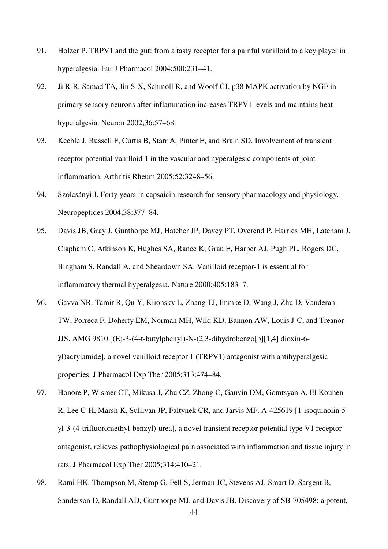- 91. Holzer P. TRPV1 and the gut: from a tasty receptor for a painful vanilloid to a key player in hyperalgesia. Eur J Pharmacol 2004;500:231–41.
- 92. Ji R-R, Samad TA, Jin S-X, Schmoll R, and Woolf CJ. p38 MAPK activation by NGF in primary sensory neurons after inflammation increases TRPV1 levels and maintains heat hyperalgesia. Neuron 2002;36:57–68.
- 93. Keeble J, Russell F, Curtis B, Starr A, Pinter E, and Brain SD. Involvement of transient receptor potential vanilloid 1 in the vascular and hyperalgesic components of joint inflammation. Arthritis Rheum 2005;52:3248–56.
- 94. Szolcsányi J. Forty years in capsaicin research for sensory pharmacology and physiology. Neuropeptides 2004;38:377–84.
- 95. Davis JB, Gray J, Gunthorpe MJ, Hatcher JP, Davey PT, Overend P, Harries MH, Latcham J, Clapham C, Atkinson K, Hughes SA, Rance K, Grau E, Harper AJ, Pugh PL, Rogers DC, Bingham S, Randall A, and Sheardown SA. Vanilloid receptor-1 is essential for inflammatory thermal hyperalgesia. Nature 2000;405:183–7.
- 96. Gavva NR, Tamir R, Qu Y, Klionsky L, Zhang TJ, Immke D, Wang J, Zhu D, Vanderah TW, Porreca F, Doherty EM, Norman MH, Wild KD, Bannon AW, Louis J-C, and Treanor JJS. AMG 9810 [(E)-3-(4-t-butylphenyl)-N-(2,3-dihydrobenzo[b][1,4] dioxin-6 yl)acrylamide], a novel vanilloid receptor 1 (TRPV1) antagonist with antihyperalgesic properties. J Pharmacol Exp Ther 2005;313:474–84.
- 97. Honore P, Wismer CT, Mikusa J, Zhu CZ, Zhong C, Gauvin DM, Gomtsyan A, El Kouhen R, Lee C-H, Marsh K, Sullivan JP, Faltynek CR, and Jarvis MF. A-425619 [1-isoquinolin-5 yl-3-(4-trifluoromethyl-benzyl)-urea], a novel transient receptor potential type V1 receptor antagonist, relieves pathophysiological pain associated with inflammation and tissue injury in rats. J Pharmacol Exp Ther 2005;314:410–21.
- 98. Rami HK, Thompson M, Stemp G, Fell S, Jerman JC, Stevens AJ, Smart D, Sargent B, Sanderson D, Randall AD, Gunthorpe MJ, and Davis JB. Discovery of SB-705498: a potent,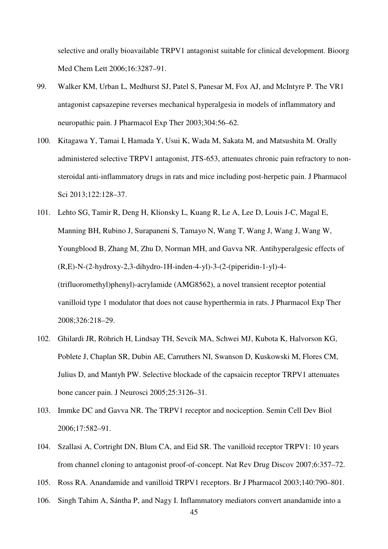selective and orally bioavailable TRPV1 antagonist suitable for clinical development. Bioorg Med Chem Lett 2006;16:3287–91.

- 99. Walker KM, Urban L, Medhurst SJ, Patel S, Panesar M, Fox AJ, and McIntyre P. The VR1 antagonist capsazepine reverses mechanical hyperalgesia in models of inflammatory and neuropathic pain. J Pharmacol Exp Ther 2003;304:56–62.
- 100. Kitagawa Y, Tamai I, Hamada Y, Usui K, Wada M, Sakata M, and Matsushita M. Orally administered selective TRPV1 antagonist, JTS-653, attenuates chronic pain refractory to nonsteroidal anti-inflammatory drugs in rats and mice including post-herpetic pain. J Pharmacol Sci 2013;122:128–37.
- 101. Lehto SG, Tamir R, Deng H, Klionsky L, Kuang R, Le A, Lee D, Louis J-C, Magal E, Manning BH, Rubino J, Surapaneni S, Tamayo N, Wang T, Wang J, Wang J, Wang W, Youngblood B, Zhang M, Zhu D, Norman MH, and Gavva NR. Antihyperalgesic effects of (R,E)-N-(2-hydroxy-2,3-dihydro-1H-inden-4-yl)-3-(2-(piperidin-1-yl)-4- (trifluoromethyl)phenyl)-acrylamide (AMG8562), a novel transient receptor potential vanilloid type 1 modulator that does not cause hyperthermia in rats. J Pharmacol Exp Ther 2008;326:218–29.
- 102. Ghilardi JR, Röhrich H, Lindsay TH, Sevcik MA, Schwei MJ, Kubota K, Halvorson KG, Poblete J, Chaplan SR, Dubin AE, Carruthers NI, Swanson D, Kuskowski M, Flores CM, Julius D, and Mantyh PW. Selective blockade of the capsaicin receptor TRPV1 attenuates bone cancer pain. J Neurosci 2005;25:3126–31.
- 103. Immke DC and Gavva NR. The TRPV1 receptor and nociception. Semin Cell Dev Biol 2006;17:582–91.
- 104. Szallasi A, Cortright DN, Blum CA, and Eid SR. The vanilloid receptor TRPV1: 10 years from channel cloning to antagonist proof-of-concept. Nat Rev Drug Discov 2007;6:357–72.
- 105. Ross RA. Anandamide and vanilloid TRPV1 receptors. Br J Pharmacol 2003;140:790–801.
- 106. Singh Tahim A, Sántha P, and Nagy I. Inflammatory mediators convert anandamide into a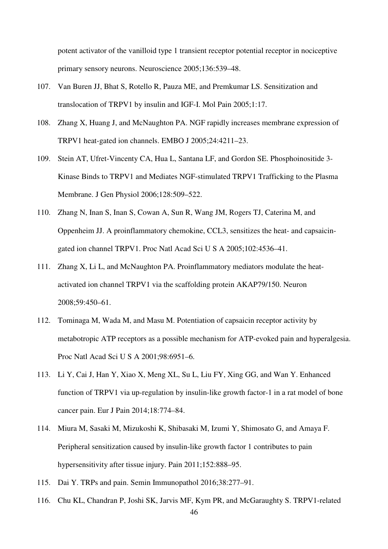potent activator of the vanilloid type 1 transient receptor potential receptor in nociceptive primary sensory neurons. Neuroscience 2005;136:539–48.

- 107. Van Buren JJ, Bhat S, Rotello R, Pauza ME, and Premkumar LS. Sensitization and translocation of TRPV1 by insulin and IGF-I. Mol Pain 2005;1:17.
- 108. Zhang X, Huang J, and McNaughton PA. NGF rapidly increases membrane expression of TRPV1 heat-gated ion channels. EMBO J 2005;24:4211–23.
- 109. Stein AT, Ufret-Vincenty CA, Hua L, Santana LF, and Gordon SE. Phosphoinositide 3- Kinase Binds to TRPV1 and Mediates NGF-stimulated TRPV1 Trafficking to the Plasma Membrane. J Gen Physiol 2006;128:509–522.
- 110. Zhang N, Inan S, Inan S, Cowan A, Sun R, Wang JM, Rogers TJ, Caterina M, and Oppenheim JJ. A proinflammatory chemokine, CCL3, sensitizes the heat- and capsaicingated ion channel TRPV1. Proc Natl Acad Sci U S A 2005;102:4536–41.
- 111. Zhang X, Li L, and McNaughton PA. Proinflammatory mediators modulate the heatactivated ion channel TRPV1 via the scaffolding protein AKAP79/150. Neuron 2008;59:450–61.
- 112. Tominaga M, Wada M, and Masu M. Potentiation of capsaicin receptor activity by metabotropic ATP receptors as a possible mechanism for ATP-evoked pain and hyperalgesia. Proc Natl Acad Sci U S A 2001;98:6951–6.
- 113. Li Y, Cai J, Han Y, Xiao X, Meng XL, Su L, Liu FY, Xing GG, and Wan Y. Enhanced function of TRPV1 via up-regulation by insulin-like growth factor-1 in a rat model of bone cancer pain. Eur J Pain 2014;18:774–84.
- 114. Miura M, Sasaki M, Mizukoshi K, Shibasaki M, Izumi Y, Shimosato G, and Amaya F. Peripheral sensitization caused by insulin-like growth factor 1 contributes to pain hypersensitivity after tissue injury. Pain 2011;152:888–95.
- 115. Dai Y. TRPs and pain. Semin Immunopathol 2016;38:277–91.
- 116. Chu KL, Chandran P, Joshi SK, Jarvis MF, Kym PR, and McGaraughty S. TRPV1-related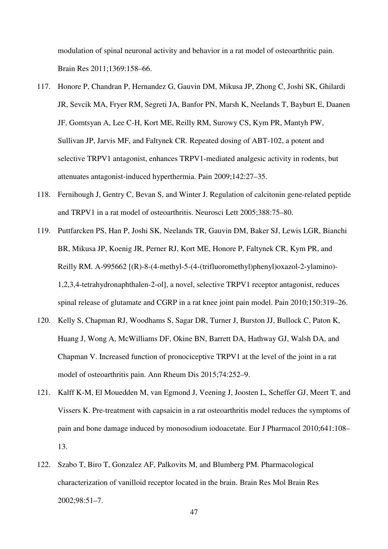modulation of spinal neuronal activity and behavior in a rat model of osteoarthritic pain. Brain Res 2011;1369:158–66.

- 117. Honore P, Chandran P, Hernandez G, Gauvin DM, Mikusa JP, Zhong C, Joshi SK, Ghilardi JR, Sevcik MA, Fryer RM, Segreti JA, Banfor PN, Marsh K, Neelands T, Bayburt E, Daanen JF, Gomtsyan A, Lee C-H, Kort ME, Reilly RM, Surowy CS, Kym PR, Mantyh PW, Sullivan JP, Jarvis MF, and Faltynek CR. Repeated dosing of ABT-102, a potent and selective TRPV1 antagonist, enhances TRPV1-mediated analgesic activity in rodents, but attenuates antagonist-induced hyperthermia. Pain 2009;142:27–35.
- 118. Fernihough J, Gentry C, Bevan S, and Winter J. Regulation of calcitonin gene-related peptide and TRPV1 in a rat model of osteoarthritis. Neurosci Lett 2005;388:75–80.
- 119. Puttfarcken PS, Han P, Joshi SK, Neelands TR, Gauvin DM, Baker SJ, Lewis LGR, Bianchi BR, Mikusa JP, Koenig JR, Perner RJ, Kort ME, Honore P, Faltynek CR, Kym PR, and Reilly RM. A-995662 [(R)-8-(4-methyl-5-(4-(trifluoromethyl)phenyl)oxazol-2-ylamino)- 1,2,3,4-tetrahydronaphthalen-2-ol], a novel, selective TRPV1 receptor antagonist, reduces spinal release of glutamate and CGRP in a rat knee joint pain model. Pain 2010;150:319–26.
- 120. Kelly S, Chapman RJ, Woodhams S, Sagar DR, Turner J, Burston JJ, Bullock C, Paton K, Huang J, Wong A, McWilliams DF, Okine BN, Barrett DA, Hathway GJ, Walsh DA, and Chapman V. Increased function of pronociceptive TRPV1 at the level of the joint in a rat model of osteoarthritis pain. Ann Rheum Dis 2015;74:252–9.
- 121. Kalff K-M, El Mouedden M, van Egmond J, Veening J, Joosten L, Scheffer GJ, Meert T, and Vissers K. Pre-treatment with capsaicin in a rat osteoarthritis model reduces the symptoms of pain and bone damage induced by monosodium iodoacetate. Eur J Pharmacol 2010;641:108– 13.
- 122. Szabo T, Biro T, Gonzalez AF, Palkovits M, and Blumberg PM. Pharmacological characterization of vanilloid receptor located in the brain. Brain Res Mol Brain Res 2002;98:51–7.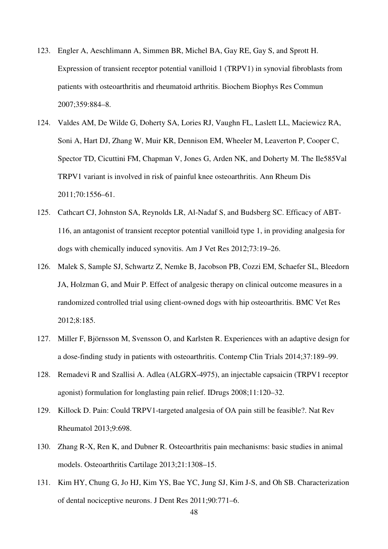- 123. Engler A, Aeschlimann A, Simmen BR, Michel BA, Gay RE, Gay S, and Sprott H. Expression of transient receptor potential vanilloid 1 (TRPV1) in synovial fibroblasts from patients with osteoarthritis and rheumatoid arthritis. Biochem Biophys Res Commun 2007;359:884–8.
- 124. Valdes AM, De Wilde G, Doherty SA, Lories RJ, Vaughn FL, Laslett LL, Maciewicz RA, Soni A, Hart DJ, Zhang W, Muir KR, Dennison EM, Wheeler M, Leaverton P, Cooper C, Spector TD, Cicuttini FM, Chapman V, Jones G, Arden NK, and Doherty M. The Ile585Val TRPV1 variant is involved in risk of painful knee osteoarthritis. Ann Rheum Dis 2011;70:1556–61.
- 125. Cathcart CJ, Johnston SA, Reynolds LR, Al-Nadaf S, and Budsberg SC. Efficacy of ABT-116, an antagonist of transient receptor potential vanilloid type 1, in providing analgesia for dogs with chemically induced synovitis. Am J Vet Res 2012;73:19–26.
- 126. Malek S, Sample SJ, Schwartz Z, Nemke B, Jacobson PB, Cozzi EM, Schaefer SL, Bleedorn JA, Holzman G, and Muir P. Effect of analgesic therapy on clinical outcome measures in a randomized controlled trial using client-owned dogs with hip osteoarthritis. BMC Vet Res 2012;8:185.
- 127. Miller F, Björnsson M, Svensson O, and Karlsten R. Experiences with an adaptive design for a dose-finding study in patients with osteoarthritis. Contemp Clin Trials 2014;37:189–99.
- 128. Remadevi R and Szallisi A. Adlea (ALGRX-4975), an injectable capsaicin (TRPV1 receptor agonist) formulation for longlasting pain relief. IDrugs 2008;11:120–32.
- 129. Killock D. Pain: Could TRPV1-targeted analgesia of OA pain still be feasible?. Nat Rev Rheumatol 2013;9:698.
- 130. Zhang R-X, Ren K, and Dubner R. Osteoarthritis pain mechanisms: basic studies in animal models. Osteoarthritis Cartilage 2013;21:1308–15.
- 131. Kim HY, Chung G, Jo HJ, Kim YS, Bae YC, Jung SJ, Kim J-S, and Oh SB. Characterization of dental nociceptive neurons. J Dent Res 2011;90:771–6.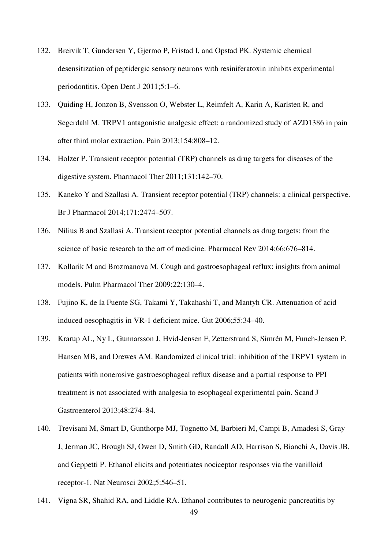- 132. Breivik T, Gundersen Y, Gjermo P, Fristad I, and Opstad PK. Systemic chemical desensitization of peptidergic sensory neurons with resiniferatoxin inhibits experimental periodontitis. Open Dent J 2011;5:1–6.
- 133. Quiding H, Jonzon B, Svensson O, Webster L, Reimfelt A, Karin A, Karlsten R, and Segerdahl M. TRPV1 antagonistic analgesic effect: a randomized study of AZD1386 in pain after third molar extraction. Pain 2013;154:808–12.
- 134. Holzer P. Transient receptor potential (TRP) channels as drug targets for diseases of the digestive system. Pharmacol Ther 2011;131:142–70.
- 135. Kaneko Y and Szallasi A. Transient receptor potential (TRP) channels: a clinical perspective. Br J Pharmacol 2014;171:2474–507.
- 136. Nilius B and Szallasi A. Transient receptor potential channels as drug targets: from the science of basic research to the art of medicine. Pharmacol Rev 2014;66:676–814.
- 137. Kollarik M and Brozmanova M. Cough and gastroesophageal reflux: insights from animal models. Pulm Pharmacol Ther 2009;22:130–4.
- 138. Fujino K, de la Fuente SG, Takami Y, Takahashi T, and Mantyh CR. Attenuation of acid induced oesophagitis in VR-1 deficient mice. Gut 2006;55:34–40.
- 139. Krarup AL, Ny L, Gunnarsson J, Hvid-Jensen F, Zetterstrand S, Simrén M, Funch-Jensen P, Hansen MB, and Drewes AM. Randomized clinical trial: inhibition of the TRPV1 system in patients with nonerosive gastroesophageal reflux disease and a partial response to PPI treatment is not associated with analgesia to esophageal experimental pain. Scand J Gastroenterol 2013;48:274–84.
- 140. Trevisani M, Smart D, Gunthorpe MJ, Tognetto M, Barbieri M, Campi B, Amadesi S, Gray J, Jerman JC, Brough SJ, Owen D, Smith GD, Randall AD, Harrison S, Bianchi A, Davis JB, and Geppetti P. Ethanol elicits and potentiates nociceptor responses via the vanilloid receptor-1. Nat Neurosci 2002;5:546–51.
- 141. Vigna SR, Shahid RA, and Liddle RA. Ethanol contributes to neurogenic pancreatitis by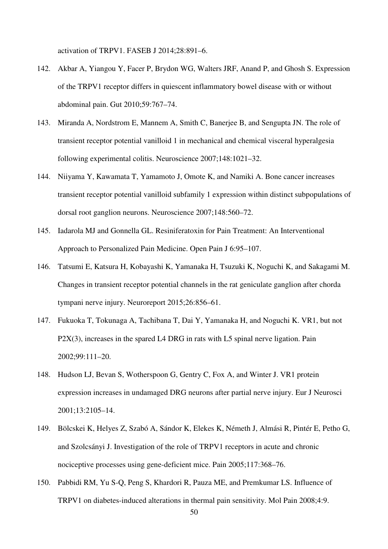activation of TRPV1. FASEB J 2014;28:891–6.

- 142. Akbar A, Yiangou Y, Facer P, Brydon WG, Walters JRF, Anand P, and Ghosh S. Expression of the TRPV1 receptor differs in quiescent inflammatory bowel disease with or without abdominal pain. Gut 2010;59:767–74.
- 143. Miranda A, Nordstrom E, Mannem A, Smith C, Banerjee B, and Sengupta JN. The role of transient receptor potential vanilloid 1 in mechanical and chemical visceral hyperalgesia following experimental colitis. Neuroscience 2007;148:1021–32.
- 144. Niiyama Y, Kawamata T, Yamamoto J, Omote K, and Namiki A. Bone cancer increases transient receptor potential vanilloid subfamily 1 expression within distinct subpopulations of dorsal root ganglion neurons. Neuroscience 2007;148:560–72.
- 145. Iadarola MJ and Gonnella GL. Resiniferatoxin for Pain Treatment: An Interventional Approach to Personalized Pain Medicine. Open Pain J 6:95–107.
- 146. Tatsumi E, Katsura H, Kobayashi K, Yamanaka H, Tsuzuki K, Noguchi K, and Sakagami M. Changes in transient receptor potential channels in the rat geniculate ganglion after chorda tympani nerve injury. Neuroreport 2015;26:856–61.
- 147. Fukuoka T, Tokunaga A, Tachibana T, Dai Y, Yamanaka H, and Noguchi K. VR1, but not P2X(3), increases in the spared L4 DRG in rats with L5 spinal nerve ligation. Pain 2002;99:111–20.
- 148. Hudson LJ, Bevan S, Wotherspoon G, Gentry C, Fox A, and Winter J. VR1 protein expression increases in undamaged DRG neurons after partial nerve injury. Eur J Neurosci 2001;13:2105–14.
- 149. Bölcskei K, Helyes Z, Szabó A, Sándor K, Elekes K, Németh J, Almási R, Pintér E, Petho G, and Szolcsányi J. Investigation of the role of TRPV1 receptors in acute and chronic nociceptive processes using gene-deficient mice. Pain 2005;117:368–76.
- 150. Pabbidi RM, Yu S-Q, Peng S, Khardori R, Pauza ME, and Premkumar LS. Influence of TRPV1 on diabetes-induced alterations in thermal pain sensitivity. Mol Pain 2008;4:9.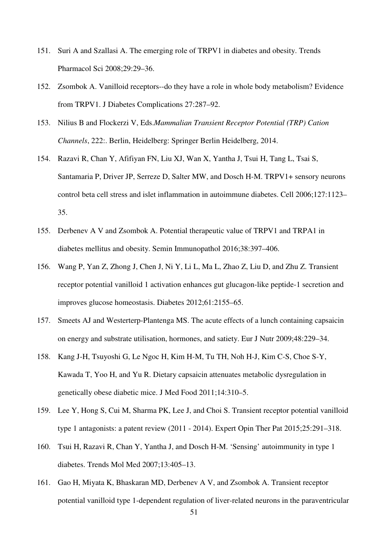- 151. Suri A and Szallasi A. The emerging role of TRPV1 in diabetes and obesity. Trends Pharmacol Sci 2008;29:29–36.
- 152. Zsombok A. Vanilloid receptors--do they have a role in whole body metabolism? Evidence from TRPV1. J Diabetes Complications 27:287–92.
- 153. Nilius B and Flockerzi V, Eds.*Mammalian Transient Receptor Potential (TRP) Cation Channels*, 222:. Berlin, Heidelberg: Springer Berlin Heidelberg, 2014.
- 154. Razavi R, Chan Y, Afifiyan FN, Liu XJ, Wan X, Yantha J, Tsui H, Tang L, Tsai S, Santamaria P, Driver JP, Serreze D, Salter MW, and Dosch H-M. TRPV1+ sensory neurons control beta cell stress and islet inflammation in autoimmune diabetes. Cell 2006;127:1123– 35.
- 155. Derbenev A V and Zsombok A. Potential therapeutic value of TRPV1 and TRPA1 in diabetes mellitus and obesity. Semin Immunopathol 2016;38:397–406.
- 156. Wang P, Yan Z, Zhong J, Chen J, Ni Y, Li L, Ma L, Zhao Z, Liu D, and Zhu Z. Transient receptor potential vanilloid 1 activation enhances gut glucagon-like peptide-1 secretion and improves glucose homeostasis. Diabetes 2012;61:2155–65.
- 157. Smeets AJ and Westerterp-Plantenga MS. The acute effects of a lunch containing capsaicin on energy and substrate utilisation, hormones, and satiety. Eur J Nutr 2009;48:229–34.
- 158. Kang J-H, Tsuyoshi G, Le Ngoc H, Kim H-M, Tu TH, Noh H-J, Kim C-S, Choe S-Y, Kawada T, Yoo H, and Yu R. Dietary capsaicin attenuates metabolic dysregulation in genetically obese diabetic mice. J Med Food 2011;14:310–5.
- 159. Lee Y, Hong S, Cui M, Sharma PK, Lee J, and Choi S. Transient receptor potential vanilloid type 1 antagonists: a patent review (2011 - 2014). Expert Opin Ther Pat 2015;25:291–318.
- 160. Tsui H, Razavi R, Chan Y, Yantha J, and Dosch H-M. 'Sensing' autoimmunity in type 1 diabetes. Trends Mol Med 2007;13:405–13.
- 161. Gao H, Miyata K, Bhaskaran MD, Derbenev A V, and Zsombok A. Transient receptor potential vanilloid type 1-dependent regulation of liver-related neurons in the paraventricular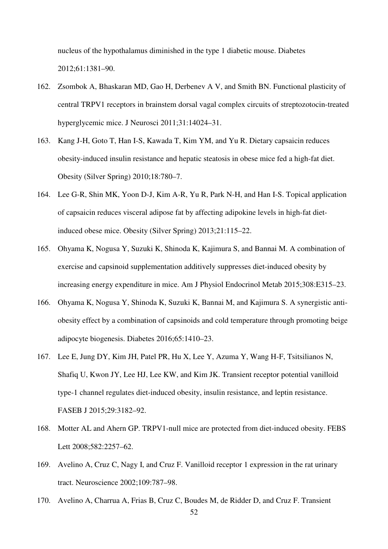nucleus of the hypothalamus diminished in the type 1 diabetic mouse. Diabetes 2012;61:1381–90.

- 162. Zsombok A, Bhaskaran MD, Gao H, Derbenev A V, and Smith BN. Functional plasticity of central TRPV1 receptors in brainstem dorsal vagal complex circuits of streptozotocin-treated hyperglycemic mice. J Neurosci 2011;31:14024–31.
- 163. Kang J-H, Goto T, Han I-S, Kawada T, Kim YM, and Yu R. Dietary capsaicin reduces obesity-induced insulin resistance and hepatic steatosis in obese mice fed a high-fat diet. Obesity (Silver Spring) 2010;18:780–7.
- 164. Lee G-R, Shin MK, Yoon D-J, Kim A-R, Yu R, Park N-H, and Han I-S. Topical application of capsaicin reduces visceral adipose fat by affecting adipokine levels in high-fat dietinduced obese mice. Obesity (Silver Spring) 2013;21:115–22.
- 165. Ohyama K, Nogusa Y, Suzuki K, Shinoda K, Kajimura S, and Bannai M. A combination of exercise and capsinoid supplementation additively suppresses diet-induced obesity by increasing energy expenditure in mice. Am J Physiol Endocrinol Metab 2015;308:E315–23.
- 166. Ohyama K, Nogusa Y, Shinoda K, Suzuki K, Bannai M, and Kajimura S. A synergistic antiobesity effect by a combination of capsinoids and cold temperature through promoting beige adipocyte biogenesis. Diabetes 2016;65:1410–23.
- 167. Lee E, Jung DY, Kim JH, Patel PR, Hu X, Lee Y, Azuma Y, Wang H-F, Tsitsilianos N, Shafiq U, Kwon JY, Lee HJ, Lee KW, and Kim JK. Transient receptor potential vanilloid type-1 channel regulates diet-induced obesity, insulin resistance, and leptin resistance. FASEB J 2015;29:3182–92.
- 168. Motter AL and Ahern GP. TRPV1-null mice are protected from diet-induced obesity. FEBS Lett 2008;582:2257–62.
- 169. Avelino A, Cruz C, Nagy I, and Cruz F. Vanilloid receptor 1 expression in the rat urinary tract. Neuroscience 2002;109:787–98.
- 170. Avelino A, Charrua A, Frias B, Cruz C, Boudes M, de Ridder D, and Cruz F. Transient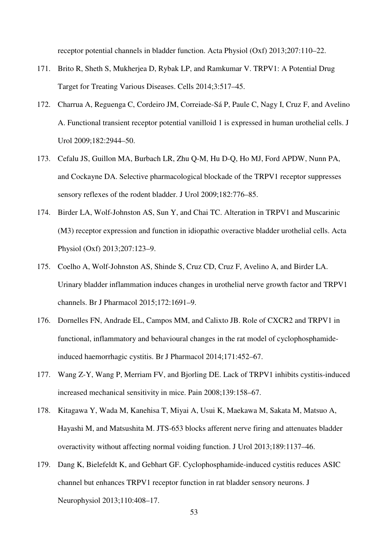receptor potential channels in bladder function. Acta Physiol (Oxf) 2013;207:110–22.

- 171. Brito R, Sheth S, Mukherjea D, Rybak LP, and Ramkumar V. TRPV1: A Potential Drug Target for Treating Various Diseases. Cells 2014;3:517–45.
- 172. Charrua A, Reguenga C, Cordeiro JM, Correiade-Sá P, Paule C, Nagy I, Cruz F, and Avelino A. Functional transient receptor potential vanilloid 1 is expressed in human urothelial cells. J Urol 2009;182:2944–50.
- 173. Cefalu JS, Guillon MA, Burbach LR, Zhu Q-M, Hu D-Q, Ho MJ, Ford APDW, Nunn PA, and Cockayne DA. Selective pharmacological blockade of the TRPV1 receptor suppresses sensory reflexes of the rodent bladder. J Urol 2009;182:776–85.
- 174. Birder LA, Wolf-Johnston AS, Sun Y, and Chai TC. Alteration in TRPV1 and Muscarinic (M3) receptor expression and function in idiopathic overactive bladder urothelial cells. Acta Physiol (Oxf) 2013;207:123–9.
- 175. Coelho A, Wolf-Johnston AS, Shinde S, Cruz CD, Cruz F, Avelino A, and Birder LA. Urinary bladder inflammation induces changes in urothelial nerve growth factor and TRPV1 channels. Br J Pharmacol 2015;172:1691–9.
- 176. Dornelles FN, Andrade EL, Campos MM, and Calixto JB. Role of CXCR2 and TRPV1 in functional, inflammatory and behavioural changes in the rat model of cyclophosphamideinduced haemorrhagic cystitis. Br J Pharmacol 2014;171:452–67.
- 177. Wang Z-Y, Wang P, Merriam FV, and Bjorling DE. Lack of TRPV1 inhibits cystitis-induced increased mechanical sensitivity in mice. Pain 2008;139:158–67.
- 178. Kitagawa Y, Wada M, Kanehisa T, Miyai A, Usui K, Maekawa M, Sakata M, Matsuo A, Hayashi M, and Matsushita M. JTS-653 blocks afferent nerve firing and attenuates bladder overactivity without affecting normal voiding function. J Urol 2013;189:1137–46.
- 179. Dang K, Bielefeldt K, and Gebhart GF. Cyclophosphamide-induced cystitis reduces ASIC channel but enhances TRPV1 receptor function in rat bladder sensory neurons. J Neurophysiol 2013;110:408–17.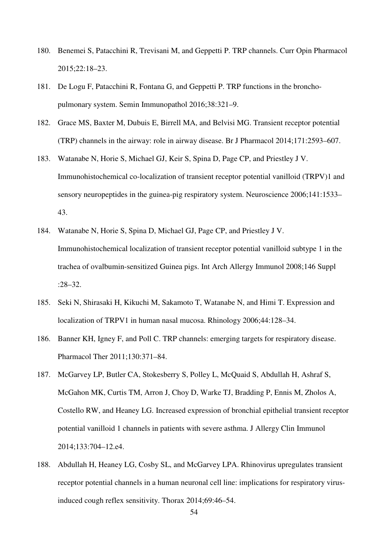- 180. Benemei S, Patacchini R, Trevisani M, and Geppetti P. TRP channels. Curr Opin Pharmacol 2015;22:18–23.
- 181. De Logu F, Patacchini R, Fontana G, and Geppetti P. TRP functions in the bronchopulmonary system. Semin Immunopathol 2016;38:321–9.
- 182. Grace MS, Baxter M, Dubuis E, Birrell MA, and Belvisi MG. Transient receptor potential (TRP) channels in the airway: role in airway disease. Br J Pharmacol 2014;171:2593–607.
- 183. Watanabe N, Horie S, Michael GJ, Keir S, Spina D, Page CP, and Priestley J V. Immunohistochemical co-localization of transient receptor potential vanilloid (TRPV)1 and sensory neuropeptides in the guinea-pig respiratory system. Neuroscience 2006;141:1533– 43.
- 184. Watanabe N, Horie S, Spina D, Michael GJ, Page CP, and Priestley J V. Immunohistochemical localization of transient receptor potential vanilloid subtype 1 in the trachea of ovalbumin-sensitized Guinea pigs. Int Arch Allergy Immunol 2008;146 Suppl :28–32.
- 185. Seki N, Shirasaki H, Kikuchi M, Sakamoto T, Watanabe N, and Himi T. Expression and localization of TRPV1 in human nasal mucosa. Rhinology 2006;44:128–34.
- 186. Banner KH, Igney F, and Poll C. TRP channels: emerging targets for respiratory disease. Pharmacol Ther 2011;130:371–84.
- 187. McGarvey LP, Butler CA, Stokesberry S, Polley L, McQuaid S, Abdullah H, Ashraf S, McGahon MK, Curtis TM, Arron J, Choy D, Warke TJ, Bradding P, Ennis M, Zholos A, Costello RW, and Heaney LG. Increased expression of bronchial epithelial transient receptor potential vanilloid 1 channels in patients with severe asthma. J Allergy Clin Immunol 2014;133:704–12.e4.
- 188. Abdullah H, Heaney LG, Cosby SL, and McGarvey LPA. Rhinovirus upregulates transient receptor potential channels in a human neuronal cell line: implications for respiratory virusinduced cough reflex sensitivity. Thorax 2014;69:46–54.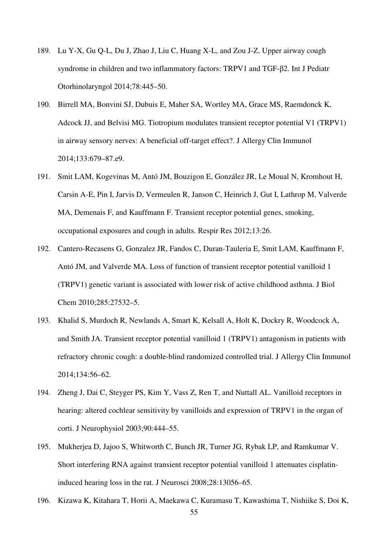- 189. Lu Y-X, Gu Q-L, Du J, Zhao J, Liu C, Huang X-L, and Zou J-Z. Upper airway cough syndrome in children and two inflammatory factors: TRPV1 and TGF-β2. Int J Pediatr Otorhinolaryngol 2014;78:445–50.
- 190. Birrell MA, Bonvini SJ, Dubuis E, Maher SA, Wortley MA, Grace MS, Raemdonck K, Adcock JJ, and Belvisi MG. Tiotropium modulates transient receptor potential V1 (TRPV1) in airway sensory nerves: A beneficial off-target effect?. J Allergy Clin Immunol 2014;133:679–87.e9.
- 191. Smit LAM, Kogevinas M, Antó JM, Bouzigon E, González JR, Le Moual N, Kromhout H, Carsin A-E, Pin I, Jarvis D, Vermeulen R, Janson C, Heinrich J, Gut I, Lathrop M, Valverde MA, Demenais F, and Kauffmann F. Transient receptor potential genes, smoking, occupational exposures and cough in adults. Respir Res 2012;13:26.
- 192. Cantero-Recasens G, Gonzalez JR, Fandos C, Duran-Tauleria E, Smit LAM, Kauffmann F, Antó JM, and Valverde MA. Loss of function of transient receptor potential vanilloid 1 (TRPV1) genetic variant is associated with lower risk of active childhood asthma. J Biol Chem 2010;285:27532–5.
- 193. Khalid S, Murdoch R, Newlands A, Smart K, Kelsall A, Holt K, Dockry R, Woodcock A, and Smith JA. Transient receptor potential vanilloid 1 (TRPV1) antagonism in patients with refractory chronic cough: a double-blind randomized controlled trial. J Allergy Clin Immunol 2014;134:56–62.
- 194. Zheng J, Dai C, Steyger PS, Kim Y, Vass Z, Ren T, and Nuttall AL. Vanilloid receptors in hearing: altered cochlear sensitivity by vanilloids and expression of TRPV1 in the organ of corti. J Neurophysiol 2003;90:444–55.
- 195. Mukherjea D, Jajoo S, Whitworth C, Bunch JR, Turner JG, Rybak LP, and Ramkumar V. Short interfering RNA against transient receptor potential vanilloid 1 attenuates cisplatininduced hearing loss in the rat. J Neurosci 2008;28:13056–65.
- 55 196. Kizawa K, Kitahara T, Horii A, Maekawa C, Kuramasu T, Kawashima T, Nishiike S, Doi K,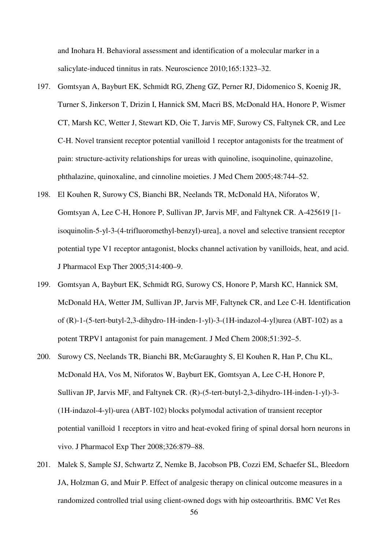and Inohara H. Behavioral assessment and identification of a molecular marker in a salicylate-induced tinnitus in rats. Neuroscience 2010;165:1323–32.

- 197. Gomtsyan A, Bayburt EK, Schmidt RG, Zheng GZ, Perner RJ, Didomenico S, Koenig JR, Turner S, Jinkerson T, Drizin I, Hannick SM, Macri BS, McDonald HA, Honore P, Wismer CT, Marsh KC, Wetter J, Stewart KD, Oie T, Jarvis MF, Surowy CS, Faltynek CR, and Lee C-H. Novel transient receptor potential vanilloid 1 receptor antagonists for the treatment of pain: structure-activity relationships for ureas with quinoline, isoquinoline, quinazoline, phthalazine, quinoxaline, and cinnoline moieties. J Med Chem 2005;48:744–52.
- 198. El Kouhen R, Surowy CS, Bianchi BR, Neelands TR, McDonald HA, Niforatos W, Gomtsyan A, Lee C-H, Honore P, Sullivan JP, Jarvis MF, and Faltynek CR. A-425619 [1 isoquinolin-5-yl-3-(4-trifluoromethyl-benzyl)-urea], a novel and selective transient receptor potential type V1 receptor antagonist, blocks channel activation by vanilloids, heat, and acid. J Pharmacol Exp Ther 2005;314:400–9.
- 199. Gomtsyan A, Bayburt EK, Schmidt RG, Surowy CS, Honore P, Marsh KC, Hannick SM, McDonald HA, Wetter JM, Sullivan JP, Jarvis MF, Faltynek CR, and Lee C-H. Identification of (R)-1-(5-tert-butyl-2,3-dihydro-1H-inden-1-yl)-3-(1H-indazol-4-yl)urea (ABT-102) as a potent TRPV1 antagonist for pain management. J Med Chem 2008;51:392–5.
- 200. Surowy CS, Neelands TR, Bianchi BR, McGaraughty S, El Kouhen R, Han P, Chu KL, McDonald HA, Vos M, Niforatos W, Bayburt EK, Gomtsyan A, Lee C-H, Honore P, Sullivan JP, Jarvis MF, and Faltynek CR. (R)-(5-tert-butyl-2,3-dihydro-1H-inden-1-yl)-3- (1H-indazol-4-yl)-urea (ABT-102) blocks polymodal activation of transient receptor potential vanilloid 1 receptors in vitro and heat-evoked firing of spinal dorsal horn neurons in vivo. J Pharmacol Exp Ther 2008;326:879–88.
- 201. Malek S, Sample SJ, Schwartz Z, Nemke B, Jacobson PB, Cozzi EM, Schaefer SL, Bleedorn JA, Holzman G, and Muir P. Effect of analgesic therapy on clinical outcome measures in a randomized controlled trial using client-owned dogs with hip osteoarthritis. BMC Vet Res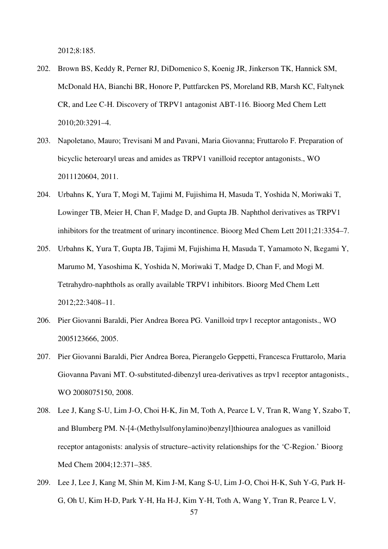2012;8:185.

- 202. Brown BS, Keddy R, Perner RJ, DiDomenico S, Koenig JR, Jinkerson TK, Hannick SM, McDonald HA, Bianchi BR, Honore P, Puttfarcken PS, Moreland RB, Marsh KC, Faltynek CR, and Lee C-H. Discovery of TRPV1 antagonist ABT-116. Bioorg Med Chem Lett 2010;20:3291–4.
- 203. Napoletano, Mauro; Trevisani M and Pavani, Maria Giovanna; Fruttarolo F. Preparation of bicyclic heteroaryl ureas and amides as TRPV1 vanilloid receptor antagonists., WO 2011120604, 2011.
- 204. Urbahns K, Yura T, Mogi M, Tajimi M, Fujishima H, Masuda T, Yoshida N, Moriwaki T, Lowinger TB, Meier H, Chan F, Madge D, and Gupta JB. Naphthol derivatives as TRPV1 inhibitors for the treatment of urinary incontinence. Bioorg Med Chem Lett 2011;21:3354–7.
- 205. Urbahns K, Yura T, Gupta JB, Tajimi M, Fujishima H, Masuda T, Yamamoto N, Ikegami Y, Marumo M, Yasoshima K, Yoshida N, Moriwaki T, Madge D, Chan F, and Mogi M. Tetrahydro-naphthols as orally available TRPV1 inhibitors. Bioorg Med Chem Lett 2012;22:3408–11.
- 206. Pier Giovanni Baraldi, Pier Andrea Borea PG. Vanilloid trpv1 receptor antagonists., WO 2005123666, 2005.
- 207. Pier Giovanni Baraldi, Pier Andrea Borea, Pierangelo Geppetti, Francesca Fruttarolo, Maria Giovanna Pavani MT. O-substituted-dibenzyl urea-derivatives as trpv1 receptor antagonists., WO 2008075150, 2008.
- 208. Lee J, Kang S-U, Lim J-O, Choi H-K, Jin M, Toth A, Pearce L V, Tran R, Wang Y, Szabo T, and Blumberg PM. N-[4-(Methylsulfonylamino)benzyl]thiourea analogues as vanilloid receptor antagonists: analysis of structure–activity relationships for the 'C-Region.' Bioorg Med Chem 2004;12:371–385.
- 209. Lee J, Lee J, Kang M, Shin M, Kim J-M, Kang S-U, Lim J-O, Choi H-K, Suh Y-G, Park H-G, Oh U, Kim H-D, Park Y-H, Ha H-J, Kim Y-H, Toth A, Wang Y, Tran R, Pearce L V,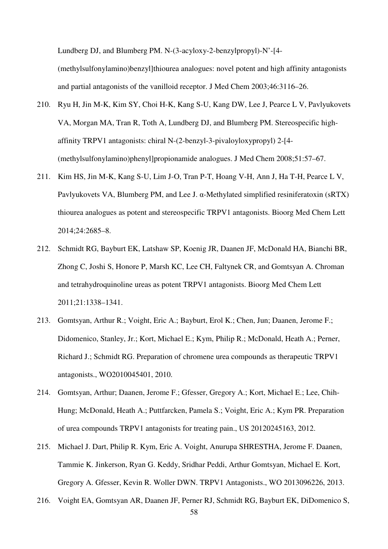Lundberg DJ, and Blumberg PM. N-(3-acyloxy-2-benzylpropyl)-N'-[4-

(methylsulfonylamino)benzyl]thiourea analogues: novel potent and high affinity antagonists and partial antagonists of the vanilloid receptor. J Med Chem 2003;46:3116–26.

- 210. Ryu H, Jin M-K, Kim SY, Choi H-K, Kang S-U, Kang DW, Lee J, Pearce L V, Pavlyukovets VA, Morgan MA, Tran R, Toth A, Lundberg DJ, and Blumberg PM. Stereospecific highaffinity TRPV1 antagonists: chiral N-(2-benzyl-3-pivaloyloxypropyl) 2-[4- (methylsulfonylamino)phenyl]propionamide analogues. J Med Chem 2008;51:57–67.
- 211. Kim HS, Jin M-K, Kang S-U, Lim J-O, Tran P-T, Hoang V-H, Ann J, Ha T-H, Pearce L V, Pavlyukovets VA, Blumberg PM, and Lee J.  $\alpha$ -Methylated simplified resiniferatoxin (sRTX) thiourea analogues as potent and stereospecific TRPV1 antagonists. Bioorg Med Chem Lett 2014;24:2685–8.
- 212. Schmidt RG, Bayburt EK, Latshaw SP, Koenig JR, Daanen JF, McDonald HA, Bianchi BR, Zhong C, Joshi S, Honore P, Marsh KC, Lee CH, Faltynek CR, and Gomtsyan A. Chroman and tetrahydroquinoline ureas as potent TRPV1 antagonists. Bioorg Med Chem Lett 2011;21:1338–1341.
- 213. Gomtsyan, Arthur R.; Voight, Eric A.; Bayburt, Erol K.; Chen, Jun; Daanen, Jerome F.; Didomenico, Stanley, Jr.; Kort, Michael E.; Kym, Philip R.; McDonald, Heath A.; Perner, Richard J.; Schmidt RG. Preparation of chromene urea compounds as therapeutic TRPV1 antagonists., WO2010045401, 2010.
- 214. Gomtsyan, Arthur; Daanen, Jerome F.; Gfesser, Gregory A.; Kort, Michael E.; Lee, Chih-Hung; McDonald, Heath A.; Puttfarcken, Pamela S.; Voight, Eric A.; Kym PR. Preparation of urea compounds TRPV1 antagonists for treating pain., US 20120245163, 2012.
- 215. Michael J. Dart, Philip R. Kym, Eric A. Voight, Anurupa SHRESTHA, Jerome F. Daanen, Tammie K. Jinkerson, Ryan G. Keddy, Sridhar Peddi, Arthur Gomtsyan, Michael E. Kort, Gregory A. Gfesser, Kevin R. Woller DWN. TRPV1 Antagonists., WO 2013096226, 2013.
- 216. Voight EA, Gomtsyan AR, Daanen JF, Perner RJ, Schmidt RG, Bayburt EK, DiDomenico S,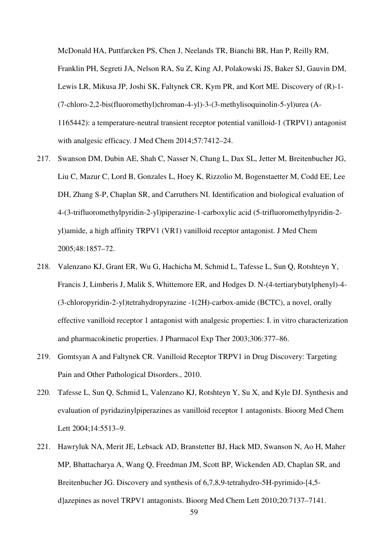McDonald HA, Puttfarcken PS, Chen J, Neelands TR, Bianchi BR, Han P, Reilly RM, Franklin PH, Segreti JA, Nelson RA, Su Z, King AJ, Polakowski JS, Baker SJ, Gauvin DM, Lewis LR, Mikusa JP, Joshi SK, Faltynek CR, Kym PR, and Kort ME. Discovery of (R)-1- (7-chloro-2,2-bis(fluoromethyl)chroman-4-yl)-3-(3-methylisoquinolin-5-yl)urea (A-1165442): a temperature-neutral transient receptor potential vanilloid-1 (TRPV1) antagonist with analgesic efficacy. J Med Chem 2014;57:7412–24.

- 217. Swanson DM, Dubin AE, Shah C, Nasser N, Chang L, Dax SL, Jetter M, Breitenbucher JG, Liu C, Mazur C, Lord B, Gonzales L, Hoey K, Rizzolio M, Bogenstaetter M, Codd EE, Lee DH, Zhang S-P, Chaplan SR, and Carruthers NI. Identification and biological evaluation of 4-(3-trifluoromethylpyridin-2-yl)piperazine-1-carboxylic acid (5-trifluoromethylpyridin-2 yl)amide, a high affinity TRPV1 (VR1) vanilloid receptor antagonist. J Med Chem 2005;48:1857–72.
- 218. Valenzano KJ, Grant ER, Wu G, Hachicha M, Schmid L, Tafesse L, Sun Q, Rotshteyn Y, Francis J, Limberis J, Malik S, Whittemore ER, and Hodges D. N-(4-tertiarybutylphenyl)-4- (3-chloropyridin-2-yl)tetrahydropyrazine -1(2H)-carbox-amide (BCTC), a novel, orally effective vanilloid receptor 1 antagonist with analgesic properties: I. in vitro characterization and pharmacokinetic properties. J Pharmacol Exp Ther 2003;306:377–86.
- 219. Gomtsyan A and Faltynek CR. Vanilloid Receptor TRPV1 in Drug Discovery: Targeting Pain and Other Pathological Disorders., 2010.
- 220. Tafesse L, Sun Q, Schmid L, Valenzano KJ, Rotshteyn Y, Su X, and Kyle DJ. Synthesis and evaluation of pyridazinylpiperazines as vanilloid receptor 1 antagonists. Bioorg Med Chem Lett 2004;14:5513–9.
- 221. Hawryluk NA, Merit JE, Lebsack AD, Branstetter BJ, Hack MD, Swanson N, Ao H, Maher MP, Bhattacharya A, Wang Q, Freedman JM, Scott BP, Wickenden AD, Chaplan SR, and Breitenbucher JG. Discovery and synthesis of 6,7,8,9-tetrahydro-5H-pyrimido-[4,5 d]azepines as novel TRPV1 antagonists. Bioorg Med Chem Lett 2010;20:7137–7141.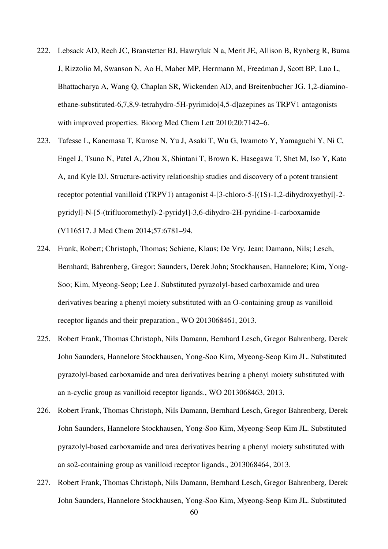- 222. Lebsack AD, Rech JC, Branstetter BJ, Hawryluk N a, Merit JE, Allison B, Rynberg R, Buma J, Rizzolio M, Swanson N, Ao H, Maher MP, Herrmann M, Freedman J, Scott BP, Luo L, Bhattacharya A, Wang Q, Chaplan SR, Wickenden AD, and Breitenbucher JG. 1,2-diaminoethane-substituted-6,7,8,9-tetrahydro-5H-pyrimido[4,5-d]azepines as TRPV1 antagonists with improved properties. Bioorg Med Chem Lett 2010;20:7142–6.
- 223. Tafesse L, Kanemasa T, Kurose N, Yu J, Asaki T, Wu G, Iwamoto Y, Yamaguchi Y, Ni C, Engel J, Tsuno N, Patel A, Zhou X, Shintani T, Brown K, Hasegawa T, Shet M, Iso Y, Kato A, and Kyle DJ. Structure-activity relationship studies and discovery of a potent transient receptor potential vanilloid (TRPV1) antagonist 4-[3-chloro-5-[(1S)-1,2-dihydroxyethyl]-2 pyridyl]-N-[5-(trifluoromethyl)-2-pyridyl]-3,6-dihydro-2H-pyridine-1-carboxamide (V116517. J Med Chem 2014;57:6781–94.
- 224. Frank, Robert; Christoph, Thomas; Schiene, Klaus; De Vry, Jean; Damann, Nils; Lesch, Bernhard; Bahrenberg, Gregor; Saunders, Derek John; Stockhausen, Hannelore; Kim, Yong-Soo; Kim, Myeong-Seop; Lee J. Substituted pyrazolyl-based carboxamide and urea derivatives bearing a phenyl moiety substituted with an O-containing group as vanilloid receptor ligands and their preparation., WO 2013068461, 2013.
- 225. Robert Frank, Thomas Christoph, Nils Damann, Bernhard Lesch, Gregor Bahrenberg, Derek John Saunders, Hannelore Stockhausen, Yong-Soo Kim, Myeong-Seop Kim JL. Substituted pyrazolyl-based carboxamide and urea derivatives bearing a phenyl moiety substituted with an n-cyclic group as vanilloid receptor ligands., WO 2013068463, 2013.
- 226. Robert Frank, Thomas Christoph, Nils Damann, Bernhard Lesch, Gregor Bahrenberg, Derek John Saunders, Hannelore Stockhausen, Yong-Soo Kim, Myeong-Seop Kim JL. Substituted pyrazolyl-based carboxamide and urea derivatives bearing a phenyl moiety substituted with an so2-containing group as vanilloid receptor ligands., 2013068464, 2013.
- 227. Robert Frank, Thomas Christoph, Nils Damann, Bernhard Lesch, Gregor Bahrenberg, Derek John Saunders, Hannelore Stockhausen, Yong-Soo Kim, Myeong-Seop Kim JL. Substituted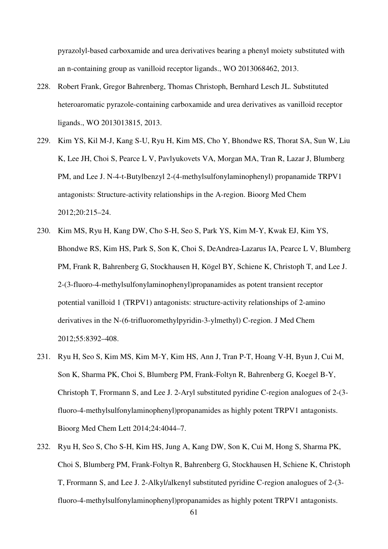pyrazolyl-based carboxamide and urea derivatives bearing a phenyl moiety substituted with an n-containing group as vanilloid receptor ligands., WO 2013068462, 2013.

- 228. Robert Frank, Gregor Bahrenberg, Thomas Christoph, Bernhard Lesch JL. Substituted heteroaromatic pyrazole-containing carboxamide and urea derivatives as vanilloid receptor ligands., WO 2013013815, 2013.
- 229. Kim YS, Kil M-J, Kang S-U, Ryu H, Kim MS, Cho Y, Bhondwe RS, Thorat SA, Sun W, Liu K, Lee JH, Choi S, Pearce L V, Pavlyukovets VA, Morgan MA, Tran R, Lazar J, Blumberg PM, and Lee J. N-4-t-Butylbenzyl 2-(4-methylsulfonylaminophenyl) propanamide TRPV1 antagonists: Structure-activity relationships in the A-region. Bioorg Med Chem 2012;20:215–24.
- 230. Kim MS, Ryu H, Kang DW, Cho S-H, Seo S, Park YS, Kim M-Y, Kwak EJ, Kim YS, Bhondwe RS, Kim HS, Park S, Son K, Choi S, DeAndrea-Lazarus IA, Pearce L V, Blumberg PM, Frank R, Bahrenberg G, Stockhausen H, Kögel BY, Schiene K, Christoph T, and Lee J. 2-(3-fluoro-4-methylsulfonylaminophenyl)propanamides as potent transient receptor potential vanilloid 1 (TRPV1) antagonists: structure-activity relationships of 2-amino derivatives in the N-(6-trifluoromethylpyridin-3-ylmethyl) C-region. J Med Chem 2012;55:8392–408.
- 231. Ryu H, Seo S, Kim MS, Kim M-Y, Kim HS, Ann J, Tran P-T, Hoang V-H, Byun J, Cui M, Son K, Sharma PK, Choi S, Blumberg PM, Frank-Foltyn R, Bahrenberg G, Koegel B-Y, Christoph T, Frormann S, and Lee J. 2-Aryl substituted pyridine C-region analogues of 2-(3 fluoro-4-methylsulfonylaminophenyl)propanamides as highly potent TRPV1 antagonists. Bioorg Med Chem Lett 2014;24:4044–7.
- 232. Ryu H, Seo S, Cho S-H, Kim HS, Jung A, Kang DW, Son K, Cui M, Hong S, Sharma PK, Choi S, Blumberg PM, Frank-Foltyn R, Bahrenberg G, Stockhausen H, Schiene K, Christoph T, Frormann S, and Lee J. 2-Alkyl/alkenyl substituted pyridine C-region analogues of 2-(3 fluoro-4-methylsulfonylaminophenyl)propanamides as highly potent TRPV1 antagonists.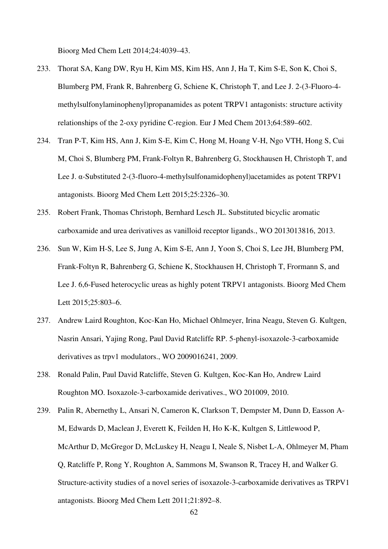Bioorg Med Chem Lett 2014;24:4039–43.

- 233. Thorat SA, Kang DW, Ryu H, Kim MS, Kim HS, Ann J, Ha T, Kim S-E, Son K, Choi S, Blumberg PM, Frank R, Bahrenberg G, Schiene K, Christoph T, and Lee J. 2-(3-Fluoro-4 methylsulfonylaminophenyl)propanamides as potent TRPV1 antagonists: structure activity relationships of the 2-oxy pyridine C-region. Eur J Med Chem 2013;64:589–602.
- 234. Tran P-T, Kim HS, Ann J, Kim S-E, Kim C, Hong M, Hoang V-H, Ngo VTH, Hong S, Cui M, Choi S, Blumberg PM, Frank-Foltyn R, Bahrenberg G, Stockhausen H, Christoph T, and Lee J. α-Substituted 2-(3-fluoro-4-methylsulfonamidophenyl)acetamides as potent TRPV1 antagonists. Bioorg Med Chem Lett 2015;25:2326–30.
- 235. Robert Frank, Thomas Christoph, Bernhard Lesch JL. Substituted bicyclic aromatic carboxamide and urea derivatives as vanilloid receptor ligands., WO 2013013816, 2013.
- 236. Sun W, Kim H-S, Lee S, Jung A, Kim S-E, Ann J, Yoon S, Choi S, Lee JH, Blumberg PM, Frank-Foltyn R, Bahrenberg G, Schiene K, Stockhausen H, Christoph T, Frormann S, and Lee J. 6,6-Fused heterocyclic ureas as highly potent TRPV1 antagonists. Bioorg Med Chem Lett 2015;25:803–6.
- 237. Andrew Laird Roughton, Koc-Kan Ho, Michael Ohlmeyer, Irina Neagu, Steven G. Kultgen, Nasrin Ansari, Yajing Rong, Paul David Ratcliffe RP. 5-phenyl-isoxazole-3-carboxamide derivatives as trpv1 modulators., WO 2009016241, 2009.
- 238. Ronald Palin, Paul David Ratcliffe, Steven G. Kultgen, Koc-Kan Ho, Andrew Laird Roughton MO. Isoxazole-3-carboxamide derivatives., WO 201009, 2010.
- 239. Palin R, Abernethy L, Ansari N, Cameron K, Clarkson T, Dempster M, Dunn D, Easson A-M, Edwards D, Maclean J, Everett K, Feilden H, Ho K-K, Kultgen S, Littlewood P, McArthur D, McGregor D, McLuskey H, Neagu I, Neale S, Nisbet L-A, Ohlmeyer M, Pham Q, Ratcliffe P, Rong Y, Roughton A, Sammons M, Swanson R, Tracey H, and Walker G. Structure-activity studies of a novel series of isoxazole-3-carboxamide derivatives as TRPV1 antagonists. Bioorg Med Chem Lett 2011;21:892–8.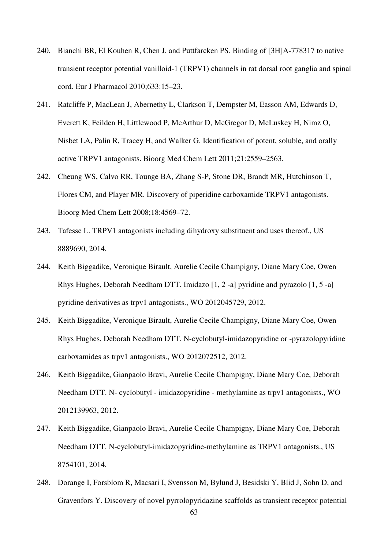- 240. Bianchi BR, El Kouhen R, Chen J, and Puttfarcken PS. Binding of [3H]A-778317 to native transient receptor potential vanilloid-1 (TRPV1) channels in rat dorsal root ganglia and spinal cord. Eur J Pharmacol 2010;633:15–23.
- 241. Ratcliffe P, MacLean J, Abernethy L, Clarkson T, Dempster M, Easson AM, Edwards D, Everett K, Feilden H, Littlewood P, McArthur D, McGregor D, McLuskey H, Nimz O, Nisbet LA, Palin R, Tracey H, and Walker G. Identification of potent, soluble, and orally active TRPV1 antagonists. Bioorg Med Chem Lett 2011;21:2559–2563.
- 242. Cheung WS, Calvo RR, Tounge BA, Zhang S-P, Stone DR, Brandt MR, Hutchinson T, Flores CM, and Player MR. Discovery of piperidine carboxamide TRPV1 antagonists. Bioorg Med Chem Lett 2008;18:4569–72.
- 243. Tafesse L. TRPV1 antagonists including dihydroxy substituent and uses thereof., US 8889690, 2014.
- 244. Keith Biggadike, Veronique Birault, Aurelie Cecile Champigny, Diane Mary Coe, Owen Rhys Hughes, Deborah Needham DTT. Imidazo [1, 2 -a] pyridine and pyrazolo [1, 5 -a] pyridine derivatives as trpv1 antagonists., WO 2012045729, 2012.
- 245. Keith Biggadike, Veronique Birault, Aurelie Cecile Champigny, Diane Mary Coe, Owen Rhys Hughes, Deborah Needham DTT. N-cyclobutyl-imidazopyridine or -pyrazolopyridine carboxamides as trpv1 antagonists., WO 2012072512, 2012.
- 246. Keith Biggadike, Gianpaolo Bravi, Aurelie Cecile Champigny, Diane Mary Coe, Deborah Needham DTT. N- cyclobutyl - imidazopyridine - methylamine as trpv1 antagonists., WO 2012139963, 2012.
- 247. Keith Biggadike, Gianpaolo Bravi, Aurelie Cecile Champigny, Diane Mary Coe, Deborah Needham DTT. N-cyclobutyl-imidazopyridine-methylamine as TRPV1 antagonists., US 8754101, 2014.
- 248. Dorange I, Forsblom R, Macsari I, Svensson M, Bylund J, Besidski Y, Blid J, Sohn D, and Gravenfors Y. Discovery of novel pyrrolopyridazine scaffolds as transient receptor potential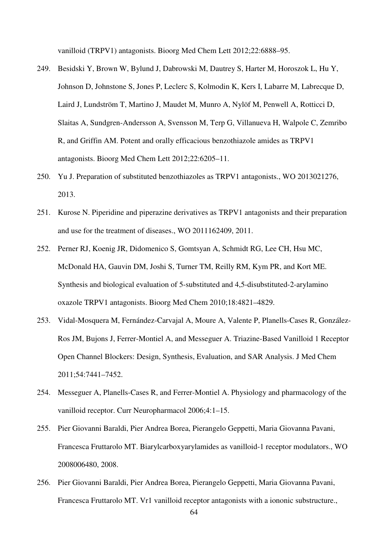vanilloid (TRPV1) antagonists. Bioorg Med Chem Lett 2012;22:6888–95.

- 249. Besidski Y, Brown W, Bylund J, Dabrowski M, Dautrey S, Harter M, Horoszok L, Hu Y, Johnson D, Johnstone S, Jones P, Leclerc S, Kolmodin K, Kers I, Labarre M, Labrecque D, Laird J, Lundström T, Martino J, Maudet M, Munro A, Nylöf M, Penwell A, Rotticci D, Slaitas A, Sundgren-Andersson A, Svensson M, Terp G, Villanueva H, Walpole C, Zemribo R, and Griffin AM. Potent and orally efficacious benzothiazole amides as TRPV1 antagonists. Bioorg Med Chem Lett 2012;22:6205–11.
- 250. Yu J. Preparation of substituted benzothiazoles as TRPV1 antagonists., WO 2013021276, 2013.
- 251. Kurose N. Piperidine and piperazine derivatives as TRPV1 antagonists and their preparation and use for the treatment of diseases., WO 2011162409, 2011.
- 252. Perner RJ, Koenig JR, Didomenico S, Gomtsyan A, Schmidt RG, Lee CH, Hsu MC, McDonald HA, Gauvin DM, Joshi S, Turner TM, Reilly RM, Kym PR, and Kort ME. Synthesis and biological evaluation of 5-substituted and 4,5-disubstituted-2-arylamino oxazole TRPV1 antagonists. Bioorg Med Chem 2010;18:4821–4829.
- 253. Vidal-Mosquera M, Fernández-Carvajal A, Moure A, Valente P, Planells-Cases R, González-Ros JM, Bujons J, Ferrer-Montiel A, and Messeguer A. Triazine-Based Vanilloid 1 Receptor Open Channel Blockers: Design, Synthesis, Evaluation, and SAR Analysis. J Med Chem 2011;54:7441–7452.
- 254. Messeguer A, Planells-Cases R, and Ferrer-Montiel A. Physiology and pharmacology of the vanilloid receptor. Curr Neuropharmacol 2006;4:1–15.
- 255. Pier Giovanni Baraldi, Pier Andrea Borea, Pierangelo Geppetti, Maria Giovanna Pavani, Francesca Fruttarolo MT. Biarylcarboxyarylamides as vanilloid-1 receptor modulators., WO 2008006480, 2008.
- 256. Pier Giovanni Baraldi, Pier Andrea Borea, Pierangelo Geppetti, Maria Giovanna Pavani, Francesca Fruttarolo MT. Vr1 vanilloid receptor antagonists with a iononic substructure.,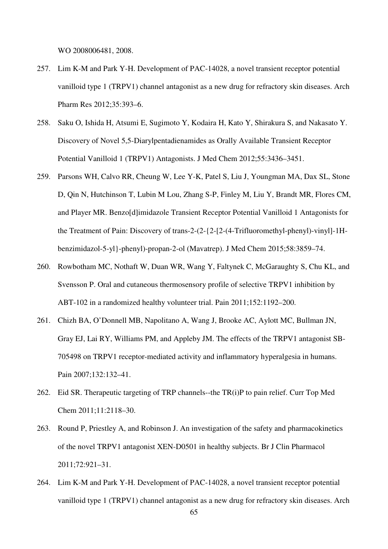WO 2008006481, 2008.

- 257. Lim K-M and Park Y-H. Development of PAC-14028, a novel transient receptor potential vanilloid type 1 (TRPV1) channel antagonist as a new drug for refractory skin diseases. Arch Pharm Res 2012;35:393–6.
- 258. Saku O, Ishida H, Atsumi E, Sugimoto Y, Kodaira H, Kato Y, Shirakura S, and Nakasato Y. Discovery of Novel 5,5-Diarylpentadienamides as Orally Available Transient Receptor Potential Vanilloid 1 (TRPV1) Antagonists. J Med Chem 2012;55:3436–3451.
- 259. Parsons WH, Calvo RR, Cheung W, Lee Y-K, Patel S, Liu J, Youngman MA, Dax SL, Stone D, Qin N, Hutchinson T, Lubin M Lou, Zhang S-P, Finley M, Liu Y, Brandt MR, Flores CM, and Player MR. Benzo[d]imidazole Transient Receptor Potential Vanilloid 1 Antagonists for the Treatment of Pain: Discovery of trans-2-(2-{2-[2-(4-Trifluoromethyl-phenyl)-vinyl]-1Hbenzimidazol-5-yl}-phenyl)-propan-2-ol (Mavatrep). J Med Chem 2015;58:3859–74.
- 260. Rowbotham MC, Nothaft W, Duan WR, Wang Y, Faltynek C, McGaraughty S, Chu KL, and Svensson P. Oral and cutaneous thermosensory profile of selective TRPV1 inhibition by ABT-102 in a randomized healthy volunteer trial. Pain 2011;152:1192–200.
- 261. Chizh BA, O'Donnell MB, Napolitano A, Wang J, Brooke AC, Aylott MC, Bullman JN, Gray EJ, Lai RY, Williams PM, and Appleby JM. The effects of the TRPV1 antagonist SB-705498 on TRPV1 receptor-mediated activity and inflammatory hyperalgesia in humans. Pain 2007;132:132–41.
- 262. Eid SR. Therapeutic targeting of TRP channels--the TR(i)P to pain relief. Curr Top Med Chem 2011;11:2118–30.
- 263. Round P, Priestley A, and Robinson J. An investigation of the safety and pharmacokinetics of the novel TRPV1 antagonist XEN-D0501 in healthy subjects. Br J Clin Pharmacol 2011;72:921–31.
- 264. Lim K-M and Park Y-H. Development of PAC-14028, a novel transient receptor potential vanilloid type 1 (TRPV1) channel antagonist as a new drug for refractory skin diseases. Arch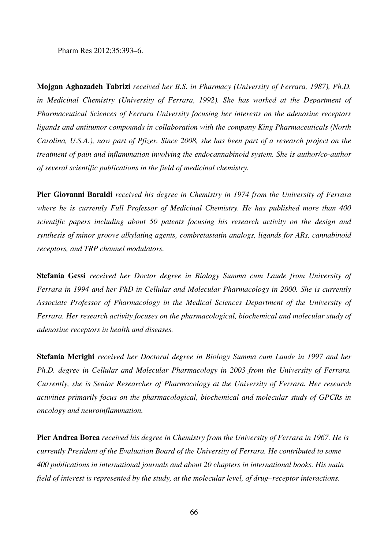Pharm Res 2012;35:393–6.

**Mojgan Aghazadeh Tabrizi** *received her B.S. in Pharmacy (University of Ferrara, 1987), Ph.D. in Medicinal Chemistry (University of Ferrara, 1992). She has worked at the Department of Pharmaceutical Sciences of Ferrara University focusing her interests on the adenosine receptors ligands and antitumor compounds in collaboration with the company King Pharmaceuticals (North Carolina, U.S.A.), now part of Pfizer. Since 2008, she has been part of a research project on the treatment of pain and inflammation involving the endocannabinoid system. She is author/co-author of several scientific publications in the field of medicinal chemistry.* 

**Pier Giovanni Baraldi** *received his degree in Chemistry in 1974 from the University of Ferrara where he is currently Full Professor of Medicinal Chemistry. He has published more than 400 scientific papers including about 50 patents focusing his research activity on the design and synthesis of minor groove alkylating agents, combretastatin analogs, ligands for ARs, cannabinoid receptors, and TRP channel modulators.* 

**Stefania Gessi** *received her Doctor degree in Biology Summa cum Laude from University of Ferrara in 1994 and her PhD in Cellular and Molecular Pharmacology in 2000. She is currently Associate Professor of Pharmacology in the Medical Sciences Department of the University of Ferrara. Her research activity focuses on the pharmacological, biochemical and molecular study of adenosine receptors in health and diseases.* 

**Stefania Merighi** *received her Doctoral degree in Biology Summa cum Laude in 1997 and her Ph.D. degree in Cellular and Molecular Pharmacology in 2003 from the University of Ferrara. Currently, she is Senior Researcher of Pharmacology at the University of Ferrara. Her research activities primarily focus on the pharmacological, biochemical and molecular study of GPCRs in oncology and neuroinflammation.* 

**Pier Andrea Borea** *received his degree in Chemistry from the University of Ferrara in 1967. He is currently President of the Evaluation Board of the University of Ferrara. He contributed to some 400 publications in international journals and about 20 chapters in international books. His main field of interest is represented by the study, at the molecular level, of drug–receptor interactions.*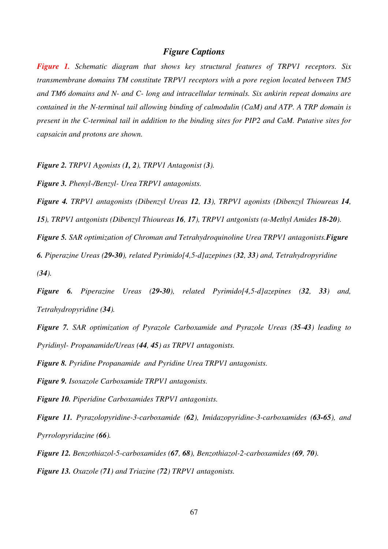## *Figure Captions*

*Figure 1. Schematic diagram that shows key structural features of TRPV1 receptors. Six transmembrane domains TM constitute TRPV1 receptors with a pore region located between TM5 and TM6 domains and N- and C- long and intracellular terminals. Six ankirin repeat domains are contained in the N-terminal tail allowing binding of calmodulin (CaM) and ATP. A TRP domain is present in the C-terminal tail in addition to the binding sites for PIP2 and CaM. Putative sites for capsaicin and protons are shown.* 

*Figure 2. TRPV1 Agonists (1, 2), TRPV1 Antagonist (3).* 

*Figure 3. Phenyl-/Benzyl- Urea TRPV1 antagonists.* 

*Figure 4. TRPV1 antagonists (Dibenzyl Ureas 12, 13), TRPV1 agonists (Dibenzyl Thioureas 14,* 

*15), TRPV1 antgonists (Dibenzyl Thioureas 16, 17), TRPV1 antgonists (*α*-Methyl Amides 18-20).*

*Figure 5. SAR optimization of Chroman and Tetrahydroquinoline Urea TRPV1 antagonists.Figure* 

*6. Piperazine Ureas (29-30), related Pyrimido[4,5-d]azepines (32, 33) and, Tetrahydropyridine (34).* 

*Figure 6. Piperazine Ureas (29-30), related Pyrimido[4,5-d]azepines (32, 33) and, Tetrahydropyridine (34).*

*Figure 7. SAR optimization of Pyrazole Carboxamide and Pyrazole Ureas (35-43) leading to Pyridinyl- Propanamide/Ureas (44, 45) as TRPV1 antagonists.* 

*Figure 8. Pyridine Propanamide and Pyridine Urea TRPV1 antagonists.*

*Figure 9. Isoxazole Carboxamide TRPV1 antagonists.*

*Figure 10. Piperidine Carboxamides TRPV1 antagonists.* 

*Figure 11. Pyrazolopyridine-3-carboxamide (62), Imidazopyridine-3-carboxamides (63-65), and Pyrrolopyridazine (66).* 

*Figure 12. Benzothiazol-5-carboxamides (67, 68), Benzothiazol-2-carboxamides (69, 70). Figure 13. Oxazole (71) and Triazine (72) TRPV1 antagonists.*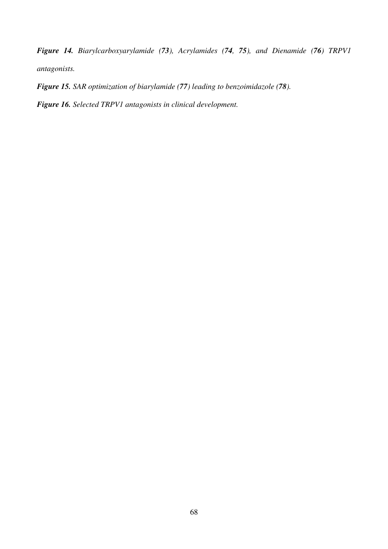*Figure 14. Biarylcarboxyarylamide (73), Acrylamides (74, 75), and Dienamide (76) TRPV1 antagonists.* 

*Figure 15. SAR optimization of biarylamide (77) leading to benzoimidazole (78).* 

*Figure 16. Selected TRPV1 antagonists in clinical development.*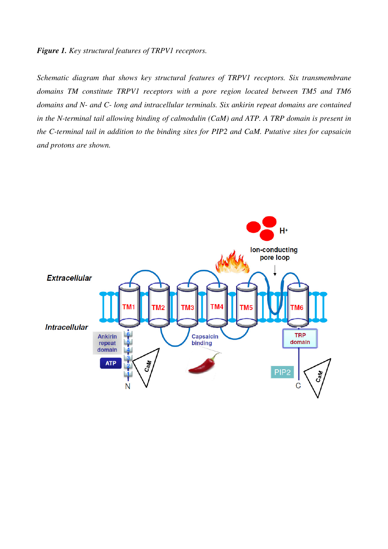## *Figure 1. Key structural features of TRPV1 receptors.*

*Schematic diagram that shows key structural features of TRPV1 receptors. Six transmembrane domains TM constitute TRPV1 receptors with a pore region located between TM5 and TM6 domains and N- and C- long and intracellular terminals. Six ankirin repeat domains are contained in the N-terminal tail allowing binding of calmodulin (CaM) and ATP. A TRP domain is present in the C-terminal tail in addition to the binding sites for PIP2 and CaM. Putative sites for capsaicin and protons are shown.* 

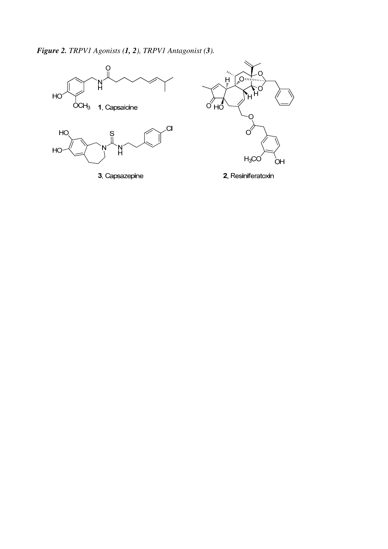*Figure 2. TRPV1 Agonists (1, 2), TRPV1 Antagonist (3).* 

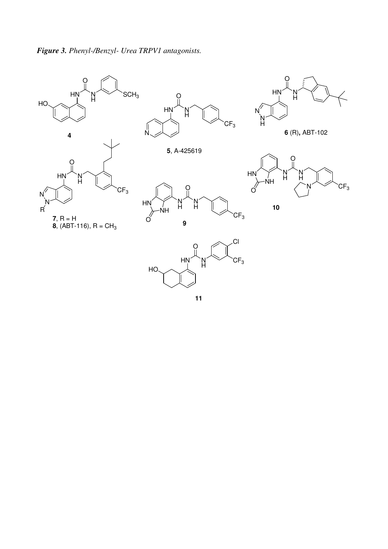



**5**, A-425619





N

**6** (R)**,** ABT-102





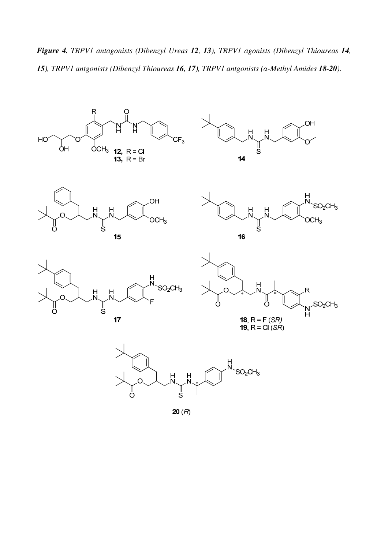*Figure 4. TRPV1 antagonists (Dibenzyl Ureas 12, 13), TRPV1 agonists (Dibenzyl Thioureas 14, 15), TRPV1 antgonists (Dibenzyl Thioureas 16, 17), TRPV1 antgonists (*α*-Methyl Amides 18-20).*

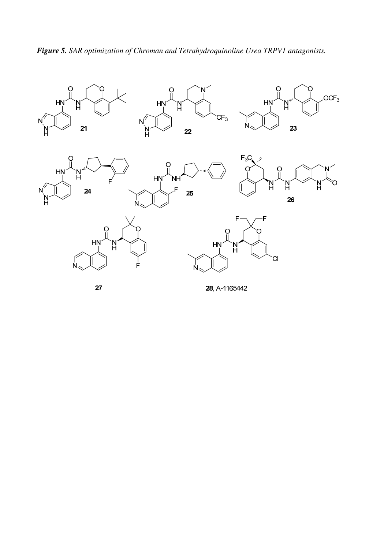

*Figure 5. SAR optimization of Chroman and Tetrahydroquinoline Urea TRPV1 antagonists.* 



28, A-1165442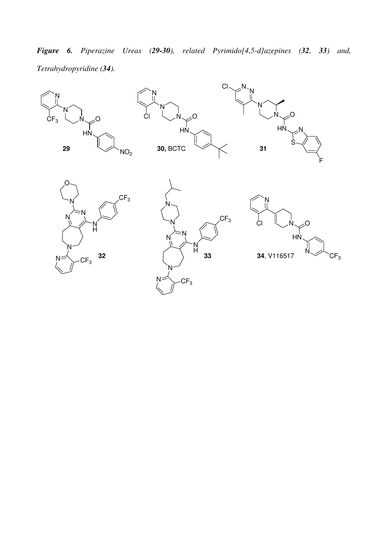*Figure 6. Piperazine Ureas (29-30), related Pyrimido[4,5-d]azepines (32, 33) and, Tetrahydropyridine (34).*

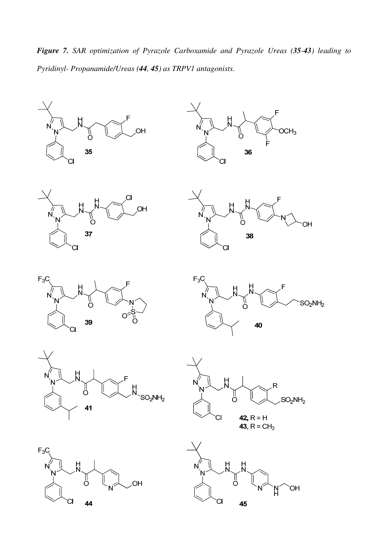*Figure 7. SAR optimization of Pyrazole Carboxamide and Pyrazole Ureas (35-43) leading to Pyridinyl- Propanamide/Ureas (44, 45) as TRPV1 antagonists.* 

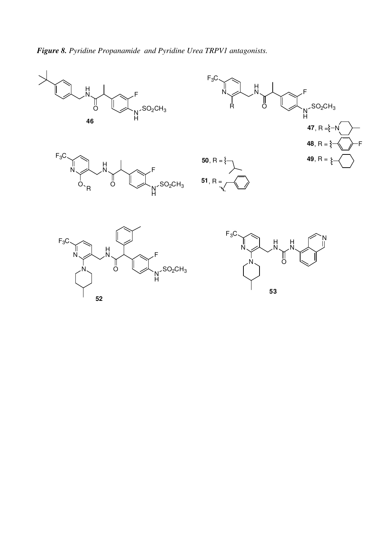*Figure 8. Pyridine Propanamide and Pyridine Urea TRPV1 antagonists.*

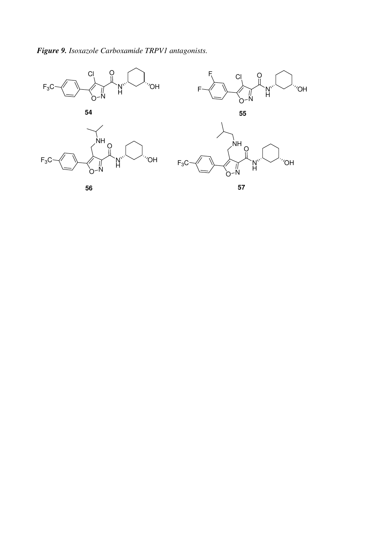## *Figure 9. Isoxazole Carboxamide TRPV1 antagonists.*



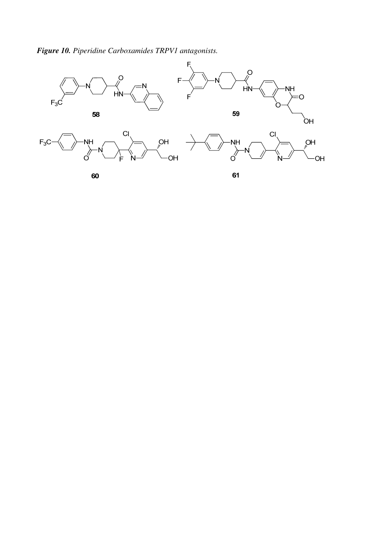*Figure 10. Piperidine Carboxamides TRPV1 antagonists.*

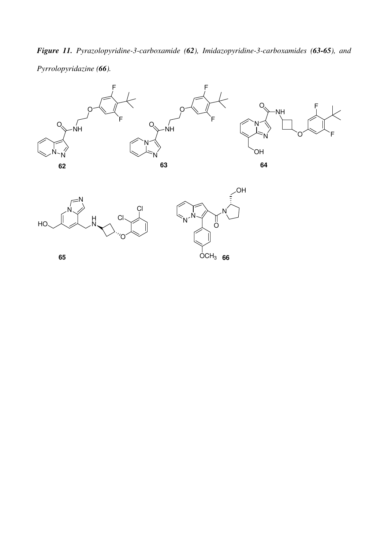*Figure 11. Pyrazolopyridine-3-carboxamide (62), Imidazopyridine-3-carboxamides (63-65), and Pyrrolopyridazine (66).* 







**65**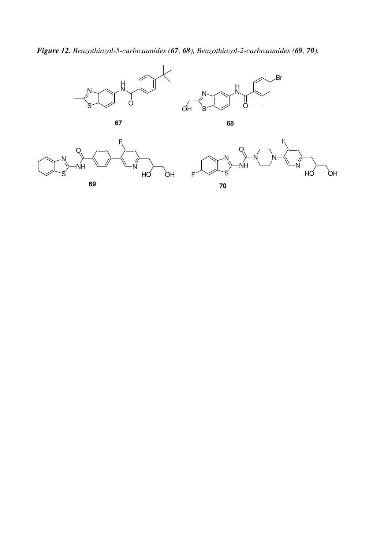*Figure 12. Benzothiazol-5-carboxamides (67, 68), Benzothiazol-2-carboxamides (69, 70).*

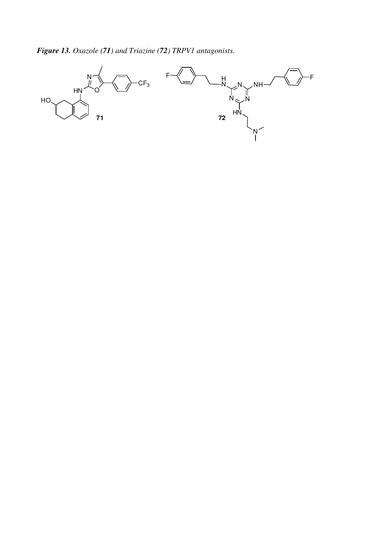*Figure 13. Oxazole (71) and Triazine (72) TRPV1 antagonists.* 

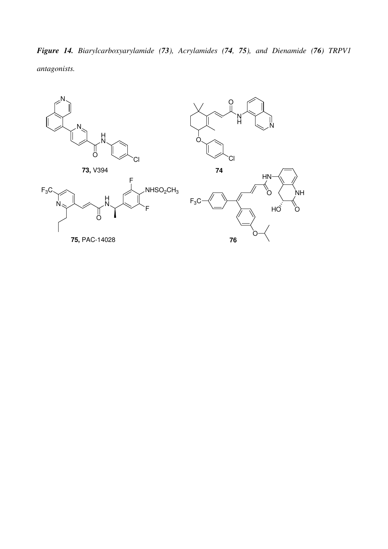*Figure 14. Biarylcarboxyarylamide (73), Acrylamides (74, 75), and Dienamide (76) TRPV1 antagonists.* 

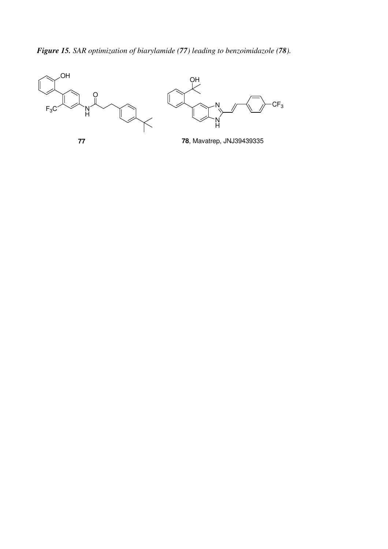*Figure 15. SAR optimization of biarylamide (77) leading to benzoimidazole (78).*